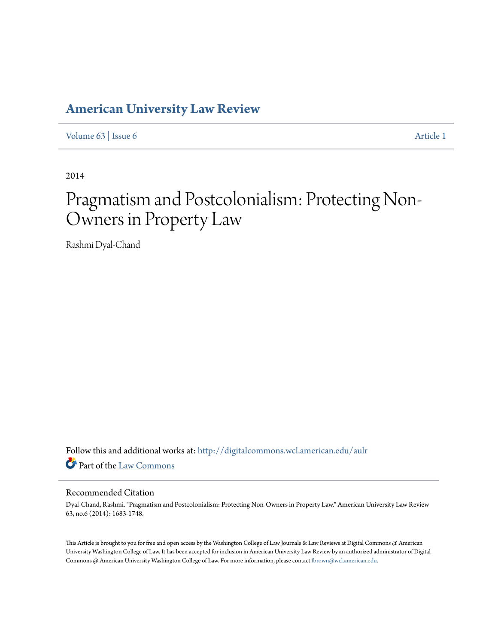# **[American University Law Review](http://digitalcommons.wcl.american.edu/aulr?utm_source=digitalcommons.wcl.american.edu%2Faulr%2Fvol63%2Fiss6%2F1&utm_medium=PDF&utm_campaign=PDFCoverPages)**

[Volume 63](http://digitalcommons.wcl.american.edu/aulr/vol63?utm_source=digitalcommons.wcl.american.edu%2Faulr%2Fvol63%2Fiss6%2F1&utm_medium=PDF&utm_campaign=PDFCoverPages) | [Issue 6](http://digitalcommons.wcl.american.edu/aulr/vol63/iss6?utm_source=digitalcommons.wcl.american.edu%2Faulr%2Fvol63%2Fiss6%2F1&utm_medium=PDF&utm_campaign=PDFCoverPages) [Article 1](http://digitalcommons.wcl.american.edu/aulr/vol63/iss6/1?utm_source=digitalcommons.wcl.american.edu%2Faulr%2Fvol63%2Fiss6%2F1&utm_medium=PDF&utm_campaign=PDFCoverPages)

2014

# Pragmatism and Postcolonialism: Protecting Non-Owners in Property Law

Rashmi Dyal-Chand

Follow this and additional works at: [http://digitalcommons.wcl.american.edu/aulr](http://digitalcommons.wcl.american.edu/aulr?utm_source=digitalcommons.wcl.american.edu%2Faulr%2Fvol63%2Fiss6%2F1&utm_medium=PDF&utm_campaign=PDFCoverPages) Part of the [Law Commons](http://network.bepress.com/hgg/discipline/578?utm_source=digitalcommons.wcl.american.edu%2Faulr%2Fvol63%2Fiss6%2F1&utm_medium=PDF&utm_campaign=PDFCoverPages)

# Recommended Citation

Dyal-Chand, Rashmi. "Pragmatism and Postcolonialism: Protecting Non-Owners in Property Law." American University Law Review 63, no.6 (2014): 1683-1748.

This Article is brought to you for free and open access by the Washington College of Law Journals & Law Reviews at Digital Commons @ American University Washington College of Law. It has been accepted for inclusion in American University Law Review by an authorized administrator of Digital Commons @ American University Washington College of Law. For more information, please contact [fbrown@wcl.american.edu](mailto:fbrown@wcl.american.edu).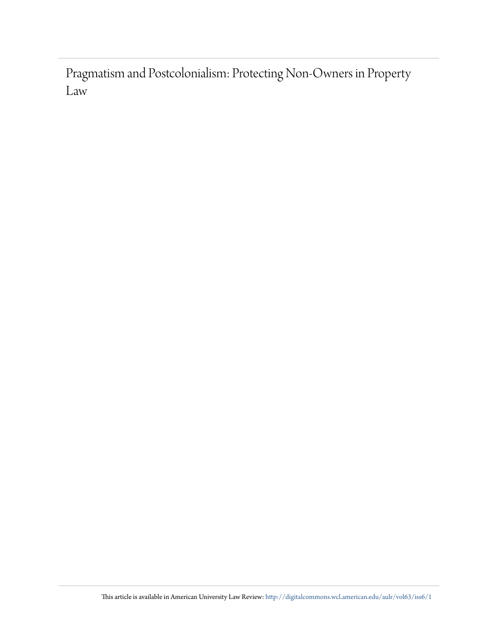Pragmatism and Postcolonialism: Protecting Non-Owners in Property Law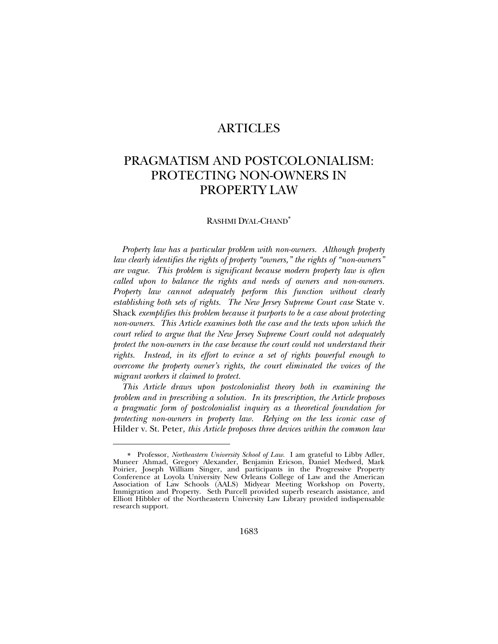# ARTICLES

# PRAGMATISM AND POSTCOLONIALISM: PROTECTING NON-OWNERS IN PROPERTY LAW

# RASHMI DYAL-CHAND

*Property law has a particular problem with non-owners. Although property law clearly identifies the rights of property "owners," the rights of "non-owners" are vague. This problem is significant because modern property law is often called upon to balance the rights and needs of owners and non-owners. Property law cannot adequately perform this function without clearly establishing both sets of rights. The New Jersey Supreme Court case* State v. Shack *exemplifies this problem because it purports to be a case about protecting non-owners. This Article examines both the case and the texts upon which the court relied to argue that the New Jersey Supreme Court could not adequately protect the non-owners in the case because the court could not understand their rights. Instead, in its effort to evince a set of rights powerful enough to overcome the property owner's rights, the court eliminated the voices of the migrant workers it claimed to protect.*

*This Article draws upon postcolonialist theory both in examining the problem and in prescribing a solution. In its prescription, the Article proposes a pragmatic form of postcolonialist inquiry as a theoretical foundation for protecting non-owners in property law. Relying on the less iconic case of*  Hilder v. St. Peter*, this Article proposes three devices within the common law* 

Professor, *Northeastern University School of Law*. I am grateful to Libby Adler, Muneer Ahmad, Gregory Alexander, Benjamin Ericson, Daniel Medwed, Mark Poirier, Joseph William Singer, and participants in the Progressive Property Conference at Loyola University New Orleans College of Law and the American Association of Law Schools (AALS) Midyear Meeting Workshop on Poverty, Immigration and Property. Seth Purcell provided superb research assistance, and Elliott Hibbler of the Northeastern University Law Library provided indispensable research support.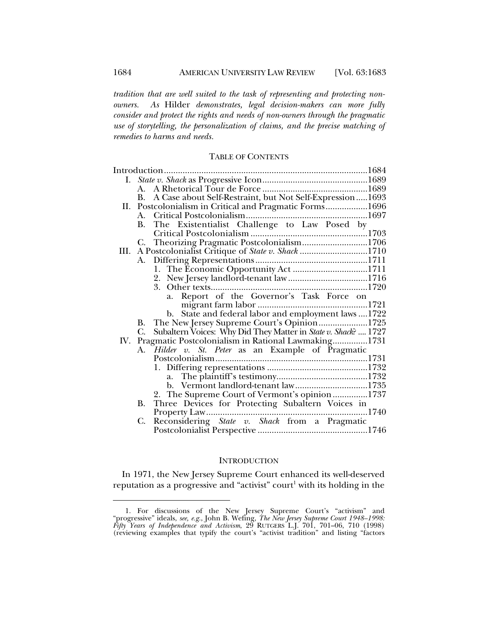*tradition that are well suited to the task of representing and protecting nonowners. As* Hilder *demonstrates, legal decision-makers can more fully consider and protect the rights and needs of non-owners through the pragmatic use of storytelling, the personalization of claims, and the precise matching of remedies to harms and needs.*

# TABLE OF CONTENTS

|      | A.                                                                   |
|------|----------------------------------------------------------------------|
|      | B. A Case about Self-Restraint, but Not Self-Expression1693          |
| Н.   | Postcolonialism in Critical and Pragmatic Forms1696                  |
|      |                                                                      |
|      | The Existentialist Challenge to Law Posed by<br>В.                   |
|      |                                                                      |
|      | Theorizing Pragmatic Postcolonialism1706<br>C.                       |
| III. | A Postcolonialist Critique of State v. Shack 1710                    |
|      |                                                                      |
|      |                                                                      |
|      |                                                                      |
|      |                                                                      |
|      |                                                                      |
|      |                                                                      |
|      | b. State and federal labor and employment laws  1722                 |
|      | The New Jersey Supreme Court's Opinion1725<br>В.                     |
|      | Subaltern Voices: Why Did They Matter in State v. Shack?  1727<br>C. |
| IV.  | Pragmatic Postcolonialism in Rational Lawmaking1731                  |
|      | <i>Hilder v. St. Peter</i> as an Example of Pragmatic<br>A.          |
|      |                                                                      |
|      |                                                                      |
|      |                                                                      |
|      | b. Vermont landlord-tenant law1735                                   |
|      | 2. The Supreme Court of Vermont's opinion 1737                       |
|      | Three Devices for Protecting Subaltern Voices in<br>B.               |
|      |                                                                      |
|      | C.<br>Reconsidering State v. Shack from a Pragmatic                  |
|      |                                                                      |

#### INTRODUCTION

In 1971, the New Jersey Supreme Court enhanced its well-deserved reputation as a progressive and "activist" court $^1$  with its holding in the

 <sup>1.</sup> For discussions of the New Jersey Supreme Court's "activism" and "progressive" ideals, *see, e.g.*, John B. Wefing, *The New Jersey Supreme Court 1948–1998: Fifty Years of Independence and Activism*, 29 RUTGERS L.J. 701, 701–06, 710 (1998) (reviewing examples that typify the court's "activist tradition" and listing "factors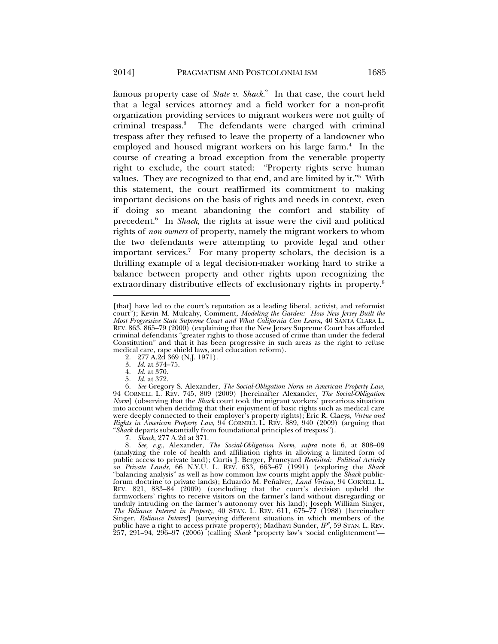famous property case of *State v. Shack*. 2 In that case, the court held that a legal services attorney and a field worker for a non-profit organization providing services to migrant workers were not guilty of criminal trespass.3 The defendants were charged with criminal trespass after they refused to leave the property of a landowner who employed and housed migrant workers on his large farm.<sup>4</sup> In the course of creating a broad exception from the venerable property right to exclude, the court stated: "Property rights serve human values. They are recognized to that end, and are limited by it."5 With this statement, the court reaffirmed its commitment to making important decisions on the basis of rights and needs in context, even if doing so meant abandoning the comfort and stability of precedent.6 In *Shack*, the rights at issue were the civil and political rights of *non-owners* of property, namely the migrant workers to whom the two defendants were attempting to provide legal and other important services.<sup>7</sup> For many property scholars, the decision is a thrilling example of a legal decision-maker working hard to strike a balance between property and other rights upon recognizing the extraordinary distributive effects of exclusionary rights in property.<sup>8</sup>

2. 277 A.2d 369 (N.J. 1971).

3. *Id.* at 374–75.

l

7. *Shack*, 277 A.2d at 371.

 8. *See, e.g.*, Alexander, *The Social-Obligation Norm*, *supra* note 6, at 808–09 (analyzing the role of health and affiliation rights in allowing a limited form of public access to private land); Curtis J. Berger, Pruneyard *Revisited: Political Activity on Private Lands*, 66 N.Y.U. L. REV. 633, 663–67 (1991) (exploring the *Shack* "balancing analysis" as well as how common law courts might apply the *Shack* publicforum doctrine to private lands); Eduardo M. Peñalver, *Land Virtues*, 94 CORNELL L. REV. 821, 883–84 (2009) (concluding that the court's decision upheld the farmworkers' rights to receive visitors on the farmer's land without disregarding or unduly intruding on the farmer's autonomy over his land); Joseph William Singer, *The Reliance Interest in Property*, 40 STAN. L. REV. 611, 675–77 (1988) [hereinafter Singer, *Reliance Interest*] (surveying different situations in which members of the public have a right to access private property); Madhavi Sunder, *IP3* , 59 STAN. L. REV. 257, 291–94, 296–97 (2006) (calling *Shack* "property law's 'social enlightenment'—

<sup>[</sup>that] have led to the court's reputation as a leading liberal, activist, and reformist court"); Kevin M. Mulcahy, Comment, *Modeling the Garden: How New Jersey Built the Most Progressive State Supreme Court and What California Can Learn*, 40 SANTA CLARA L. REV. 863, 865–79 (2000) (explaining that the New Jersey Supreme Court has afforded criminal defendants "greater rights to those accused of crime than under the federal Constitution" and that it has been progressive in such areas as the right to refuse medical care, rape shield laws, and education reform).

 <sup>4.</sup> *Id.* at 370.

 <sup>5.</sup> *Id.* at 372.

 <sup>6.</sup> *See* Gregory S. Alexander, *The Social-Obligation Norm in American Property Law*, 94 CORNELL L. REV. 745, 809 (2009) [hereinafter Alexander, *The Social-Obligation Norm*] (observing that the *Shack* court took the migrant workers' precarious situation into account when deciding that their enjoyment of basic rights such as medical care were deeply connected to their employer's property rights); Eric R. Claeys, *Virtue and Rights in American Property Law*, 94 CORNELL L. REV. 889, 940 (2009) (arguing that "*Shack* departs substantially from foundational principles of trespass").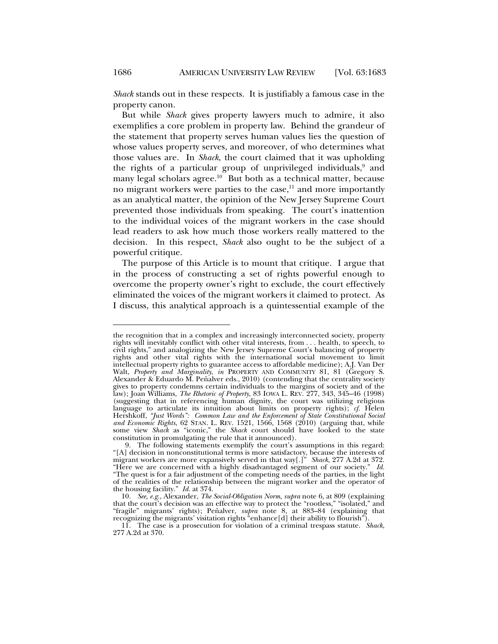*Shack* stands out in these respects. It is justifiably a famous case in the property canon.

But while *Shack* gives property lawyers much to admire, it also exemplifies a core problem in property law. Behind the grandeur of the statement that property serves human values lies the question of whose values property serves, and moreover, of who determines what those values are. In *Shack*, the court claimed that it was upholding the rights of a particular group of unprivileged individuals,<sup>9</sup> and many legal scholars agree.<sup>10</sup> But both as a technical matter, because no migrant workers were parties to the case, $11$  and more importantly as an analytical matter, the opinion of the New Jersey Supreme Court prevented those individuals from speaking. The court's inattention to the individual voices of the migrant workers in the case should lead readers to ask how much those workers really mattered to the decision. In this respect, *Shack* also ought to be the subject of a powerful critique.

The purpose of this Article is to mount that critique. I argue that in the process of constructing a set of rights powerful enough to overcome the property owner's right to exclude, the court effectively eliminated the voices of the migrant workers it claimed to protect. As I discuss, this analytical approach is a quintessential example of the

the recognition that in a complex and increasingly interconnected society, property rights will inevitably conflict with other vital interests, from . . . health, to speech, to civil rights," and analogizing the New Jersey Supreme Court's balancing of property rights and other vital rights with the international social movement to limit intellectual property rights to guarantee access to affordable medicine); A.J. Van Der Walt, Property and Marginality, in PROPERTY AND COMMUNITY 81, 81 (Gregory S. Alexander & Eduardo M. Peñalver eds., 2010) (contending that the centrality society gives to property condemns certain individuals to the margins of society and of the law); Joan Williams, *The Rhetoric of Property*, 83 IOWA L. REV. 277, 343, 345–46 (1998) (suggesting that in referencing human dignity, the court was utilizing religious language to articulate its intuition about limits on property rights); *cf.* Helen Hershkoff, *"Just Words": Common Law and the Enforcement of State Constitutional Social and Economic Rights*, 62 STAN. L. REV. 1521, 1566, 1568 (2010) (arguing that, while some view *Shack* as "iconic," the *Shack* court should have looked to the state constitution in promulgating the rule that it announced).

 <sup>9.</sup> The following statements exemplify the court's assumptions in this regard: "[A] decision in nonconstitutional terms is more satisfactory, because the interests of migrant workers are more expansively served in that way[.]" *Shack*, 277 A.2d at 372. "Here we are concerned with a highly disadvantaged segment of our society." *Id.* "The quest is for a fair adjustment of the competing needs of the parties, in the light of the realities of the relationship between the migrant worker and the operator of the housing facility." *Id.* at 374.

 <sup>10.</sup> *See, e.g.*, Alexander, *The Social-Obligation Norm*, *supra* note 6, at 809 (explaining that the court's decision was an effective way to protect the "rootless," "isolated," and "fragile" migrants' rights); Peñalver, *supra* note 8, at 883–84 (explaining that recognizing the migrants' visitation rights "enhance[d] their ability to flourish").

 <sup>11.</sup> The case is a prosecution for violation of a criminal trespass statute. *Shack*, 277 A.2d at 370.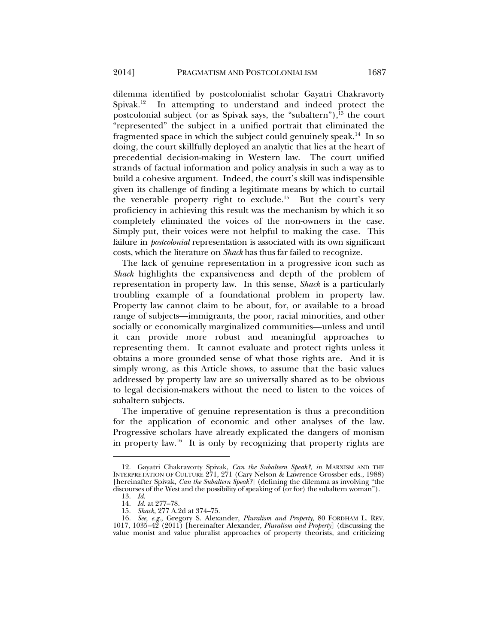dilemma identified by postcolonialist scholar Gayatri Chakravorty Spivak.<sup>12</sup> In attempting to understand and indeed protect the postcolonial subject (or as Spivak says, the "subaltern"), $^{13}$  the court "represented" the subject in a unified portrait that eliminated the fragmented space in which the subject could genuinely speak.14 In so doing, the court skillfully deployed an analytic that lies at the heart of precedential decision-making in Western law. The court unified strands of factual information and policy analysis in such a way as to build a cohesive argument. Indeed, the court's skill was indispensible given its challenge of finding a legitimate means by which to curtail the venerable property right to exclude.<sup>15</sup> But the court's very proficiency in achieving this result was the mechanism by which it so completely eliminated the voices of the non-owners in the case. Simply put, their voices were not helpful to making the case. This failure in *postcolonial* representation is associated with its own significant costs, which the literature on *Shack* has thus far failed to recognize.

The lack of genuine representation in a progressive icon such as *Shack* highlights the expansiveness and depth of the problem of representation in property law. In this sense, *Shack* is a particularly troubling example of a foundational problem in property law. Property law cannot claim to be about, for, or available to a broad range of subjects—immigrants, the poor, racial minorities, and other socially or economically marginalized communities—unless and until it can provide more robust and meaningful approaches to representing them. It cannot evaluate and protect rights unless it obtains a more grounded sense of what those rights are. And it is simply wrong, as this Article shows, to assume that the basic values addressed by property law are so universally shared as to be obvious to legal decision-makers without the need to listen to the voices of subaltern subjects.

The imperative of genuine representation is thus a precondition for the application of economic and other analyses of the law. Progressive scholars have already explicated the dangers of monism in property law.<sup>16</sup> It is only by recognizing that property rights are

 <sup>12.</sup> Gayatri Chakravorty Spivak, *Can the Subaltern Speak?*, *in* MARXISM AND THE INTERPRETATION OF CULTURE 271, 271 (Cary Nelson & Lawrence Grossber eds., 1988) [hereinafter Spivak, *Can the Subaltern Speak?*] (defining the dilemma as involving "the discourses of the West and the possibility of speaking of (or for) the subaltern woman").

 <sup>13.</sup> *Id.*

 <sup>14.</sup> *Id.* at 277–78.

 <sup>15.</sup> *Shack*, 277 A.2d at 374–75.

 <sup>16.</sup> *See, e.g.*, Gregory S. Alexander, *Pluralism and Property*, 80 FORDHAM L. REV. 1017, 1035–42 (2011) [hereinafter Alexander, *Pluralism and Property*] (discussing the value monist and value pluralist approaches of property theorists, and criticizing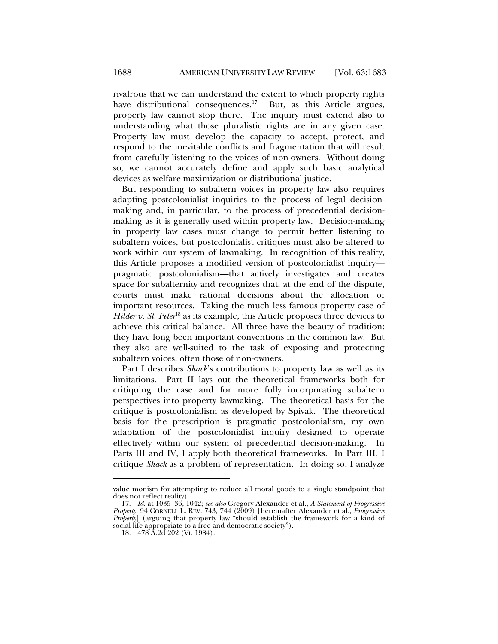rivalrous that we can understand the extent to which property rights have distributional consequences.<sup>17</sup> But, as this Article argues, property law cannot stop there. The inquiry must extend also to understanding what those pluralistic rights are in any given case. Property law must develop the capacity to accept, protect, and respond to the inevitable conflicts and fragmentation that will result from carefully listening to the voices of non-owners. Without doing so, we cannot accurately define and apply such basic analytical devices as welfare maximization or distributional justice.

But responding to subaltern voices in property law also requires adapting postcolonialist inquiries to the process of legal decisionmaking and, in particular, to the process of precedential decisionmaking as it is generally used within property law. Decision-making in property law cases must change to permit better listening to subaltern voices, but postcolonialist critiques must also be altered to work within our system of lawmaking. In recognition of this reality, this Article proposes a modified version of postcolonialist inquiry pragmatic postcolonialism—that actively investigates and creates space for subalternity and recognizes that, at the end of the dispute, courts must make rational decisions about the allocation of important resources. Taking the much less famous property case of *Hilder v. St. Peter*<sup>18</sup> as its example, this Article proposes three devices to achieve this critical balance. All three have the beauty of tradition: they have long been important conventions in the common law. But they also are well-suited to the task of exposing and protecting subaltern voices, often those of non-owners.

Part I describes *Shack*'s contributions to property law as well as its limitations. Part II lays out the theoretical frameworks both for critiquing the case and for more fully incorporating subaltern perspectives into property lawmaking. The theoretical basis for the critique is postcolonialism as developed by Spivak. The theoretical basis for the prescription is pragmatic postcolonialism, my own adaptation of the postcolonialist inquiry designed to operate effectively within our system of precedential decision-making. In Parts III and IV, I apply both theoretical frameworks. In Part III, I critique *Shack* as a problem of representation. In doing so, I analyze

value monism for attempting to reduce all moral goods to a single standpoint that does not reflect reality).

 <sup>17.</sup> *Id.* at 1035–36, 1042; *see also* Gregory Alexander et al., *A Statement of Progressive Property*, 94 CORNELL L. REV. 743, 744 (2009) [hereinafter Alexander et al., *Progressive Property*] (arguing that property law "should establish the framework for a kind of social life appropriate to a free and democratic society").

 <sup>18. 478</sup> A.2d 202 (Vt. 1984).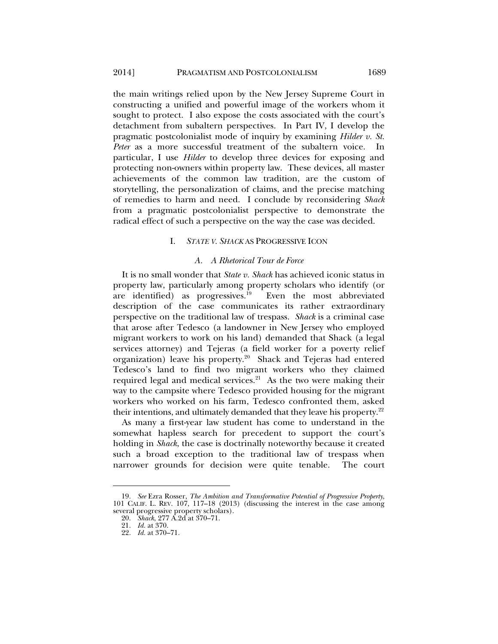the main writings relied upon by the New Jersey Supreme Court in constructing a unified and powerful image of the workers whom it sought to protect. I also expose the costs associated with the court's detachment from subaltern perspectives. In Part IV, I develop the pragmatic postcolonialist mode of inquiry by examining *Hilder v. St. Peter* as a more successful treatment of the subaltern voice. In particular, I use *Hilder* to develop three devices for exposing and protecting non-owners within property law. These devices, all master achievements of the common law tradition, are the custom of storytelling, the personalization of claims, and the precise matching of remedies to harm and need. I conclude by reconsidering *Shack* from a pragmatic postcolonialist perspective to demonstrate the radical effect of such a perspective on the way the case was decided.

#### I. *STATE V. SHACK* AS PROGRESSIVE ICON

#### *A. A Rhetorical Tour de Force*

It is no small wonder that *State v. Shack* has achieved iconic status in property law, particularly among property scholars who identify (or are identified) as progressives.<sup>19</sup> Even the most abbreviated description of the case communicates its rather extraordinary perspective on the traditional law of trespass. *Shack* is a criminal case that arose after Tedesco (a landowner in New Jersey who employed migrant workers to work on his land) demanded that Shack (a legal services attorney) and Tejeras (a field worker for a poverty relief organization) leave his property.20 Shack and Tejeras had entered Tedesco's land to find two migrant workers who they claimed required legal and medical services. $21$  As the two were making their way to the campsite where Tedesco provided housing for the migrant workers who worked on his farm, Tedesco confronted them, asked their intentions, and ultimately demanded that they leave his property.<sup>22</sup>

As many a first-year law student has come to understand in the somewhat hapless search for precedent to support the court's holding in *Shack*, the case is doctrinally noteworthy because it created such a broad exception to the traditional law of trespass when narrower grounds for decision were quite tenable. The court

 <sup>19.</sup> *See* Ezra Rosser, *The Ambition and Transformative Potential of Progressive Property*, 101 CALIF. L. REV. 107, 117–18 (2013) (discussing the interest in the case among several progressive property scholars).

 <sup>20.</sup> *Shack*, 277 A.2d at 370–71.

 <sup>21.</sup> *Id.* at 370.

 <sup>22.</sup> *Id.* at 370–71.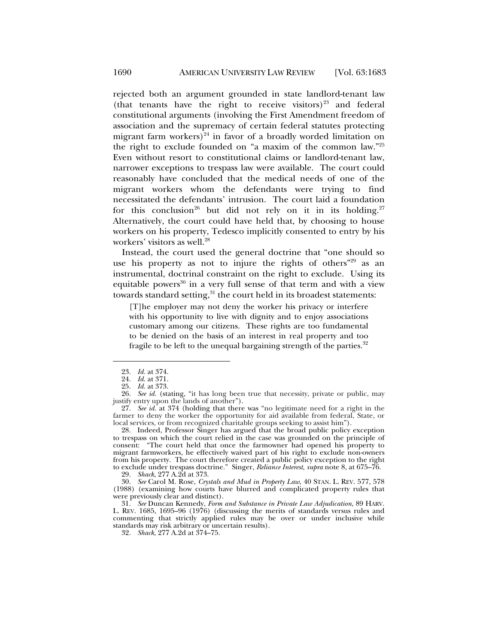rejected both an argument grounded in state landlord-tenant law (that tenants have the right to receive visitors)<sup>23</sup> and federal constitutional arguments (involving the First Amendment freedom of association and the supremacy of certain federal statutes protecting migrant farm workers) $24$  in favor of a broadly worded limitation on the right to exclude founded on "a maxim of the common law."25 Even without resort to constitutional claims or landlord-tenant law, narrower exceptions to trespass law were available. The court could reasonably have concluded that the medical needs of one of the migrant workers whom the defendants were trying to find necessitated the defendants' intrusion. The court laid a foundation for this conclusion<sup>26</sup> but did not rely on it in its holding.<sup>27</sup> Alternatively, the court could have held that, by choosing to house workers on his property, Tedesco implicitly consented to entry by his workers' visitors as well.<sup>28</sup>

Instead, the court used the general doctrine that "one should so use his property as not to injure the rights of others<sup>"29</sup> as an instrumental, doctrinal constraint on the right to exclude. Using its equitable powers $30$  in a very full sense of that term and with a view towards standard setting,<sup>31</sup> the court held in its broadest statements:

[T]he employer may not deny the worker his privacy or interfere with his opportunity to live with dignity and to enjoy associations customary among our citizens. These rights are too fundamental to be denied on the basis of an interest in real property and too fragile to be left to the unequal bargaining strength of the parties. $32$ 

l

 26. *See id.* (stating, "it has long been true that necessity, private or public, may justify entry upon the lands of another").

 27. *See id.* at 374 (holding that there was "no legitimate need for a right in the farmer to deny the worker the opportunity for aid available from federal, State, or local services, or from recognized charitable groups seeking to assist him").

 28. Indeed, Professor Singer has argued that the broad public policy exception to trespass on which the court relied in the case was grounded on the principle of consent: "The court held that once the farmowner had opened his property to migrant farmworkers, he effectively waived part of his right to exclude non-owners from his property. The court therefore created a public policy exception to the right to exclude under trespass doctrine." Singer, *Reliance Interest*, *supra* note 8, at 675–76.

29. *Shack*, 277 A.2d at 373.

 30. *See* Carol M. Rose, *Crystals and Mud in Property Law*, 40 STAN. L. REV. 577, 578 (1988) (examining how courts have blurred and complicated property rules that were previously clear and distinct).

 31. *See* Duncan Kennedy, *Form and Substance in Private Law Adjudication*, 89 HARV. L. REV. 1685, 1695–96 (1976) (discussing the merits of standards versus rules and commenting that strictly applied rules may be over or under inclusive while standards may risk arbitrary or uncertain results).

32. *Shack*, 277 A.2d at 374–75.

 <sup>23.</sup> *Id.* at 374.

 <sup>24.</sup> *Id.* at 371.

 <sup>25.</sup> *Id.* at 373.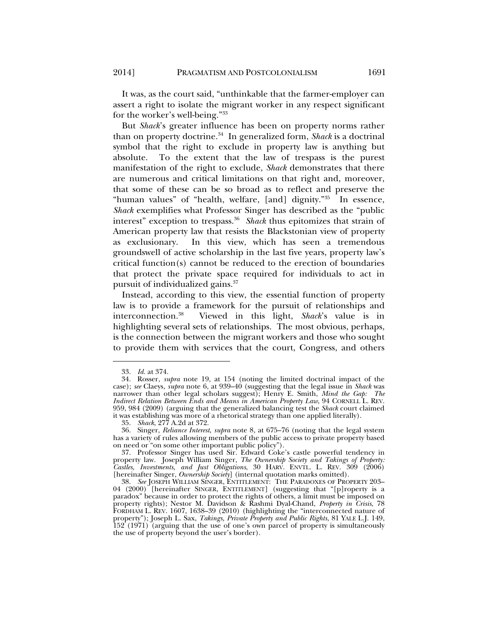It was, as the court said, "unthinkable that the farmer-employer can assert a right to isolate the migrant worker in any respect significant for the worker's well-being."33

But *Shack*'s greater influence has been on property norms rather than on property doctrine.34 In generalized form, *Shack* is a doctrinal symbol that the right to exclude in property law is anything but absolute. To the extent that the law of trespass is the purest manifestation of the right to exclude, *Shack* demonstrates that there are numerous and critical limitations on that right and, moreover, that some of these can be so broad as to reflect and preserve the "human values" of "health, welfare, [and] dignity."35 In essence, *Shack* exemplifies what Professor Singer has described as the "public interest" exception to trespass.<sup>36</sup> *Shack* thus epitomizes that strain of American property law that resists the Blackstonian view of property as exclusionary. In this view, which has seen a tremendous groundswell of active scholarship in the last five years, property law's critical function(s) cannot be reduced to the erection of boundaries that protect the private space required for individuals to act in pursuit of individualized gains.<sup>37</sup>

Instead, according to this view, the essential function of property law is to provide a framework for the pursuit of relationships and interconnection.38 Viewed in this light, *Shack*'s value is in highlighting several sets of relationships. The most obvious, perhaps, is the connection between the migrant workers and those who sought to provide them with services that the court, Congress, and others

 <sup>33.</sup> *Id.* at 374.

 <sup>34.</sup> Rosser, *supra* note 19, at 154 (noting the limited doctrinal impact of the case); *see* Claeys, *supra* note 6, at 939–40 (suggesting that the legal issue in *Shack* was narrower than other legal scholars suggest); Henry E. Smith, *Mind the Gap: The Indirect Relation Between Ends and Means in American Property Law*, 94 CORNELL L. REV. 959, 984 (2009) (arguing that the generalized balancing test the *Shack* court claimed it was establishing was more of a rhetorical strategy than one applied literally).

 <sup>35.</sup> *Shack*, 277 A.2d at 372.

 <sup>36.</sup> Singer, *Reliance Interest*, *supra* note 8, at 675–76 (noting that the legal system has a variety of rules allowing members of the public access to private property based on need or "on some other important public policy").

 <sup>37.</sup> Professor Singer has used Sir. Edward Coke's castle powerful tendency in property law. Joseph William Singer, *The Ownership Society and Takings of Property: Castles, Investments, and Just Obligations*, 30 HARV. ENVTL. L. REV. 309 (2006) [hereinafter Singer, *Ownership Society*] (internal quotation marks omitted).

 <sup>38.</sup> *See* JOSEPH WILLIAM SINGER, ENTITLEMENT: THE PARADOXES OF PROPERTY 203– 04 (2000) [hereinafter SINGER, ENTITLEMENT] (suggesting that "[p]roperty is a paradox" because in order to protect the rights of others, a limit must be imposed on property rights); Nestor M. Davidson & Rashmi Dyal-Chand, *Property in Crisis*, 78 FORDHAM L. REV. 1607, 1638–39 (2010) (highlighting the "interconnected nature of property"); Joseph L. Sax, *Takings, Private Property and Public Rights*, 81 YALE L.J. 149, 152 (1971) (arguing that the use of one's own parcel of property is simultaneously the use of property beyond the user's border).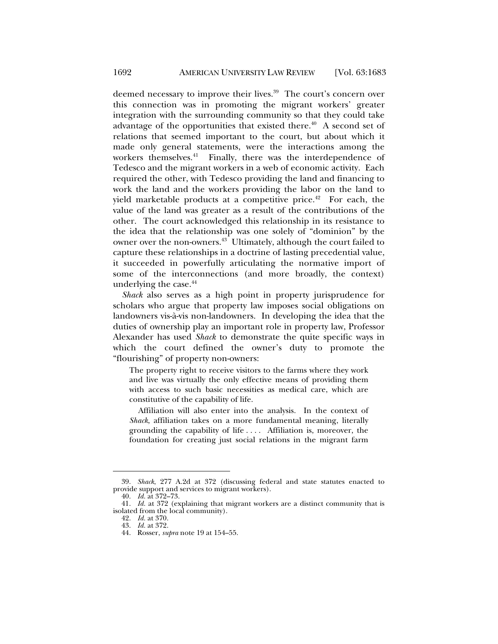deemed necessary to improve their lives.<sup>39</sup> The court's concern over this connection was in promoting the migrant workers' greater integration with the surrounding community so that they could take advantage of the opportunities that existed there.<sup> $40$ </sup> A second set of relations that seemed important to the court, but about which it made only general statements, were the interactions among the workers themselves.<sup>41</sup> Finally, there was the interdependence of Tedesco and the migrant workers in a web of economic activity. Each required the other, with Tedesco providing the land and financing to work the land and the workers providing the labor on the land to yield marketable products at a competitive price.<sup>42</sup> For each, the value of the land was greater as a result of the contributions of the other. The court acknowledged this relationship in its resistance to the idea that the relationship was one solely of "dominion" by the owner over the non-owners.<sup>43</sup> Ultimately, although the court failed to capture these relationships in a doctrine of lasting precedential value, it succeeded in powerfully articulating the normative import of some of the interconnections (and more broadly, the context) underlying the case. $44$ 

*Shack* also serves as a high point in property jurisprudence for scholars who argue that property law imposes social obligations on landowners vis-à-vis non-landowners. In developing the idea that the duties of ownership play an important role in property law, Professor Alexander has used *Shack* to demonstrate the quite specific ways in which the court defined the owner's duty to promote the "flourishing" of property non-owners:

The property right to receive visitors to the farms where they work and live was virtually the only effective means of providing them with access to such basic necessities as medical care, which are constitutive of the capability of life.

 Affiliation will also enter into the analysis. In the context of *Shack*, affiliation takes on a more fundamental meaning, literally grounding the capability of life . . . . Affiliation is, moreover, the foundation for creating just social relations in the migrant farm

 <sup>39.</sup> *Shack*, 277 A.2d at 372 (discussing federal and state statutes enacted to provide support and services to migrant workers).

 <sup>40.</sup> *Id.* at 372–73.

 <sup>41.</sup> *Id.* at 372 (explaining that migrant workers are a distinct community that is isolated from the local community).

 <sup>42.</sup> *Id.* at 370. 43. *Id.* at 372.

 <sup>44.</sup> Rosser, *supra* note 19 at 154–55.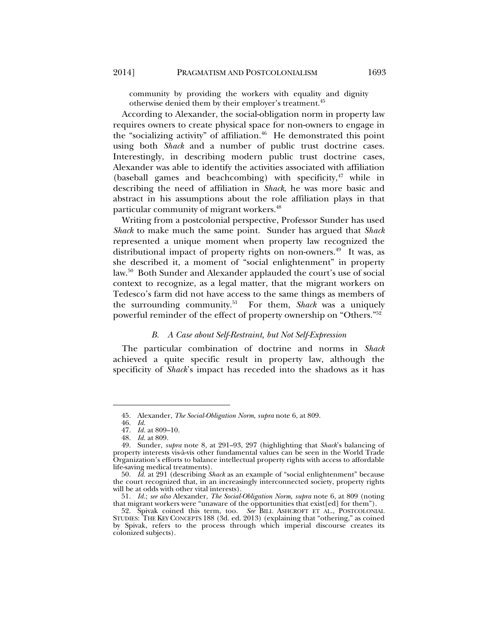community by providing the workers with equality and dignity otherwise denied them by their employer's treatment.<sup>45</sup>

According to Alexander, the social-obligation norm in property law requires owners to create physical space for non-owners to engage in the "socializing activity" of affiliation. $46$  He demonstrated this point using both *Shack* and a number of public trust doctrine cases. Interestingly, in describing modern public trust doctrine cases, Alexander was able to identify the activities associated with affiliation (baseball games and beachcombing) with specificity, $47$  while in describing the need of affiliation in *Shack*, he was more basic and abstract in his assumptions about the role affiliation plays in that particular community of migrant workers.<sup>48</sup>

Writing from a postcolonial perspective, Professor Sunder has used *Shack* to make much the same point. Sunder has argued that *Shack* represented a unique moment when property law recognized the distributional impact of property rights on non-owners.<sup>49</sup> It was, as she described it, a moment of "social enlightenment" in property law.50 Both Sunder and Alexander applauded the court's use of social context to recognize, as a legal matter, that the migrant workers on Tedesco's farm did not have access to the same things as members of the surrounding community.51 For them, *Shack* was a uniquely powerful reminder of the effect of property ownership on "Others."52

## *B. A Case about Self-Restraint, but Not Self-Expression*

The particular combination of doctrine and norms in *Shack* achieved a quite specific result in property law, although the specificity of *Shack*'s impact has receded into the shadows as it has

 <sup>45.</sup> Alexander, *The Social-Obligation Norm*, *supra* note 6, at 809.

 <sup>46.</sup> *Id.*

 <sup>47.</sup> *Id.* at 809–10.

 <sup>48.</sup> *Id.* at 809.

 <sup>49.</sup> Sunder, *supra* note 8, at 291–93, 297 (highlighting that *Shack*'s balancing of property interests vis-à-vis other fundamental values can be seen in the World Trade Organization's efforts to balance intellectual property rights with access to affordable life-saving medical treatments).

 <sup>50.</sup> *Id.* at 291 (describing *Shack* as an example of "social enlightenment" because the court recognized that, in an increasingly interconnected society, property rights will be at odds with other vital interests).

 <sup>51.</sup> *Id.*; *see also* Alexander, *The Social-Obligation Norm*, *supra* note 6, at 809 (noting that migrant workers were "unaware of the opportunities that exist[ed] for them").

 <sup>52.</sup> Spivak coined this term, too. *See* BILL ASHCROFT ET AL., POSTCOLONIAL STUDIES: THE KEY CONCEPTS 188 (3d. ed. 2013) (explaining that "othering," as coined by Spivak, refers to the process through which imperial discourse creates its colonized subjects).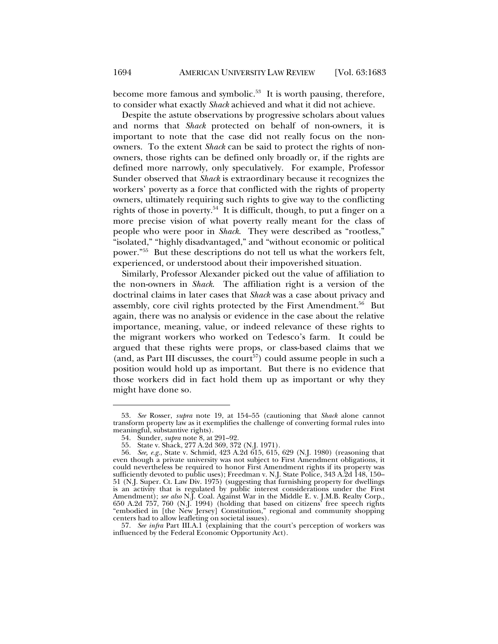become more famous and symbolic.<sup>53</sup> It is worth pausing, therefore, to consider what exactly *Shack* achieved and what it did not achieve.

Despite the astute observations by progressive scholars about values and norms that *Shack* protected on behalf of non-owners, it is important to note that the case did not really focus on the nonowners. To the extent *Shack* can be said to protect the rights of nonowners, those rights can be defined only broadly or, if the rights are defined more narrowly, only speculatively. For example, Professor Sunder observed that *Shack* is extraordinary because it recognizes the workers' poverty as a force that conflicted with the rights of property owners, ultimately requiring such rights to give way to the conflicting rights of those in poverty.54 It is difficult, though, to put a finger on a more precise vision of what poverty really meant for the class of people who were poor in *Shack*. They were described as "rootless," "isolated," "highly disadvantaged," and "without economic or political power."55 But these descriptions do not tell us what the workers felt, experienced, or understood about their impoverished situation.

Similarly, Professor Alexander picked out the value of affiliation to the non-owners in *Shack*. The affiliation right is a version of the doctrinal claims in later cases that *Shack* was a case about privacy and assembly, core civil rights protected by the First Amendment.<sup>56</sup> But again, there was no analysis or evidence in the case about the relative importance, meaning, value, or indeed relevance of these rights to the migrant workers who worked on Tedesco's farm. It could be argued that these rights were props, or class-based claims that we (and, as Part III discusses, the court<sup>57</sup>) could assume people in such a position would hold up as important. But there is no evidence that those workers did in fact hold them up as important or why they might have done so.

 <sup>53.</sup> *See* Rosser, *supra* note 19, at 154–55 (cautioning that *Shack* alone cannot transform property law as it exemplifies the challenge of converting formal rules into meaningful, substantive rights).

 <sup>54.</sup> Sunder, *supra* note 8, at 291–92.

 <sup>55.</sup> State v. Shack, 277 A.2d 369, 372 (N.J. 1971).

 <sup>56.</sup> *See, e.g.*, State v. Schmid, 423 A.2d 615, 615, 629 (N.J. 1980) (reasoning that even though a private university was not subject to First Amendment obligations, it could nevertheless be required to honor First Amendment rights if its property was sufficiently devoted to public uses); Freedman v. N.J. State Police, 343 A.2d 148, 150– 51 (N.J. Super. Ct. Law Div. 1975) (suggesting that furnishing property for dwellings is an activity that is regulated by public interest considerations under the First Amendment); *see also* N.J. Coal. Against War in the Middle E. v. J.M.B. Realty Corp., 650 A.2d 757, 760 (N.J. 1994) (holding that based on citizens' free speech rights "embodied in [the New Jersey] Constitution," regional and community shopping centers had to allow leafleting on societal issues).

 <sup>57.</sup> *See infra* Part III.A.1 (explaining that the court's perception of workers was influenced by the Federal Economic Opportunity Act).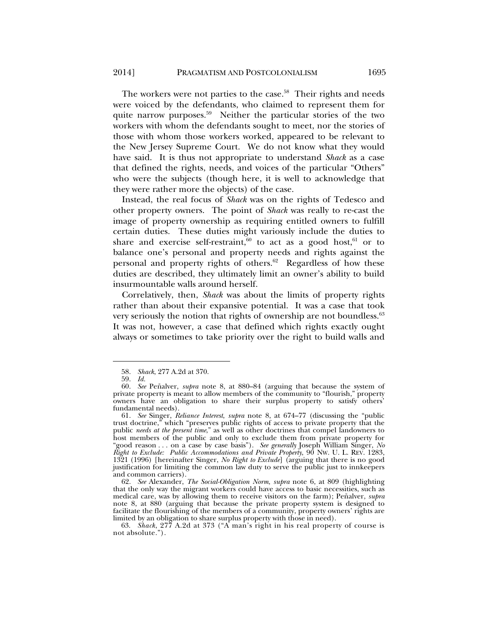The workers were not parties to the case.<sup>58</sup> Their rights and needs were voiced by the defendants, who claimed to represent them for quite narrow purposes.<sup>59</sup> Neither the particular stories of the two workers with whom the defendants sought to meet, nor the stories of those with whom those workers worked, appeared to be relevant to the New Jersey Supreme Court. We do not know what they would have said. It is thus not appropriate to understand *Shack* as a case that defined the rights, needs, and voices of the particular "Others" who were the subjects (though here, it is well to acknowledge that they were rather more the objects) of the case.

Instead, the real focus of *Shack* was on the rights of Tedesco and other property owners. The point of *Shack* was really to re-cast the image of property ownership as requiring entitled owners to fulfill certain duties. These duties might variously include the duties to share and exercise self-restraint, $60$  to act as a good host, $61$  or to balance one's personal and property needs and rights against the personal and property rights of others.62 Regardless of how these duties are described, they ultimately limit an owner's ability to build insurmountable walls around herself.

Correlatively, then, *Shack* was about the limits of property rights rather than about their expansive potential. It was a case that took very seriously the notion that rights of ownership are not boundless.<sup>63</sup> It was not, however, a case that defined which rights exactly ought always or sometimes to take priority over the right to build walls and

 <sup>58.</sup> *Shack*, 277 A.2d at 370.

 <sup>59.</sup> *Id.*

 <sup>60.</sup> *See* Peñalver, *supra* note 8, at 880–84 (arguing that because the system of private property is meant to allow members of the community to "flourish," property owners have an obligation to share their surplus property to satisfy others' fundamental needs).

 <sup>61.</sup> *See* Singer, *Reliance Interest*, *supra* note 8, at 674–77 (discussing the "public trust doctrine," which "preserves public rights of access to private property that the public *needs at the present time*," as well as other doctrines that compel landowners to host members of the public and only to exclude them from private property for "good reason . . . on a case by case basis"). *See generally* Joseph William Singer, *No Right to Exclude: Public Accommodations and Private Property*, 90 NW. U. L. REV. 1283, 1321 (1996) [hereinafter Singer, *No Right to Exclude*] (arguing that there is no good justification for limiting the common law duty to serve the public just to innkeepers and common carriers).

 <sup>62.</sup> *See* Alexander, *The Social-Obligation Norm*, *supra* note 6, at 809 (highlighting that the only way the migrant workers could have access to basic necessities, such as medical care, was by allowing them to receive visitors on the farm); Peñalver, *supra* note 8, at 880 (arguing that because the private property system is designed to facilitate the flourishing of the members of a community, property owners' rights are limited by an obligation to share surplus property with those in need).

 <sup>63.</sup> *Shack*, 277 A.2d at 373 ("A man's right in his real property of course is not absolute.").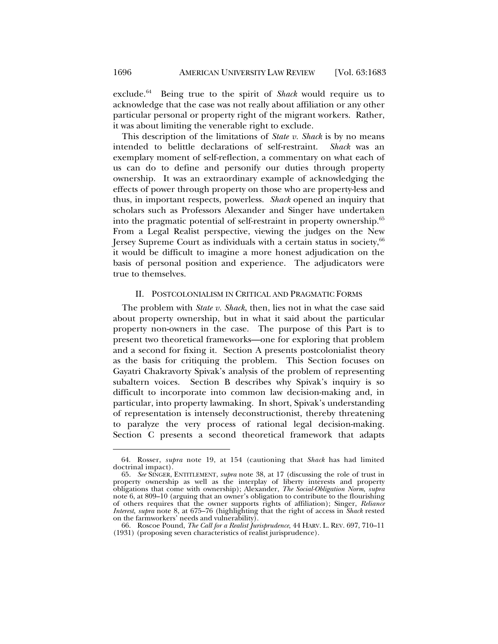exclude.64 Being true to the spirit of *Shack* would require us to acknowledge that the case was not really about affiliation or any other particular personal or property right of the migrant workers. Rather, it was about limiting the venerable right to exclude.

This description of the limitations of *State v. Shack* is by no means intended to belittle declarations of self-restraint. *Shack* was an exemplary moment of self-reflection, a commentary on what each of us can do to define and personify our duties through property ownership. It was an extraordinary example of acknowledging the effects of power through property on those who are property-less and thus, in important respects, powerless. *Shack* opened an inquiry that scholars such as Professors Alexander and Singer have undertaken into the pragmatic potential of self-restraint in property ownership.<sup>65</sup> From a Legal Realist perspective, viewing the judges on the New Jersey Supreme Court as individuals with a certain status in society, $66$ it would be difficult to imagine a more honest adjudication on the basis of personal position and experience. The adjudicators were true to themselves.

#### II. POSTCOLONIALISM IN CRITICAL AND PRAGMATIC FORMS

The problem with *State v. Shack*, then, lies not in what the case said about property ownership, but in what it said about the particular property non-owners in the case. The purpose of this Part is to present two theoretical frameworks—one for exploring that problem and a second for fixing it. Section A presents postcolonialist theory as the basis for critiquing the problem. This Section focuses on Gayatri Chakravorty Spivak's analysis of the problem of representing subaltern voices. Section B describes why Spivak's inquiry is so difficult to incorporate into common law decision-making and, in particular, into property lawmaking. In short, Spivak's understanding of representation is intensely deconstructionist, thereby threatening to paralyze the very process of rational legal decision-making. Section C presents a second theoretical framework that adapts

 <sup>64.</sup> Rosser, *supra* note 19, at 154 (cautioning that *Shack* has had limited doctrinal impact).

 <sup>65.</sup> *See* SINGER, ENTITLEMENT, *supra* note 38, at 17 (discussing the role of trust in property ownership as well as the interplay of liberty interests and property obligations that come with ownership); Alexander, *The Social-Obligation Norm*, *supra* note 6, at 809–10 (arguing that an owner's obligation to contribute to the flourishing of others requires that the owner supports rights of affiliation); Singer, *Reliance Interest*, *supra* note 8, at 675–76 (highlighting that the right of access in *Shack* rested on the farmworkers' needs and vulnerability).

 <sup>66.</sup> Roscoe Pound, *The Call for a Realist Jurisprudence*, 44 HARV. L. REV. 697, 710–11 (1931) (proposing seven characteristics of realist jurisprudence).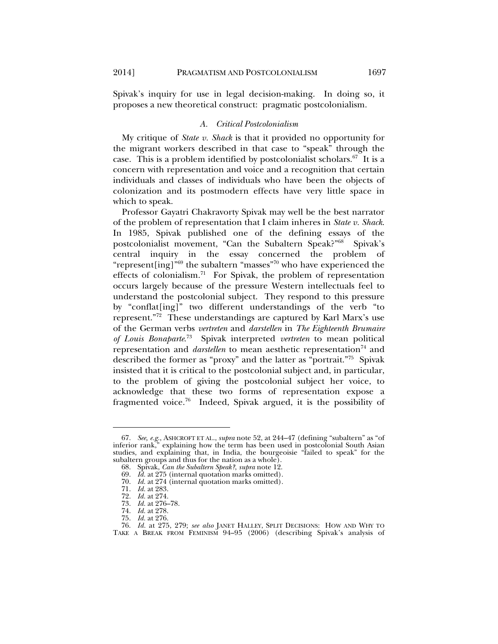Spivak's inquiry for use in legal decision-making. In doing so, it proposes a new theoretical construct: pragmatic postcolonialism.

#### *A. Critical Postcolonialism*

My critique of *State v. Shack* is that it provided no opportunity for the migrant workers described in that case to "speak" through the case. This is a problem identified by postcolonialist scholars. $67$  It is a concern with representation and voice and a recognition that certain individuals and classes of individuals who have been the objects of colonization and its postmodern effects have very little space in which to speak.

Professor Gayatri Chakravorty Spivak may well be the best narrator of the problem of representation that I claim inheres in *State v. Shack*. In 1985, Spivak published one of the defining essays of the postcolonialist movement, "Can the Subaltern Speak?"<sup>68</sup> Spivak's central inquiry in the essay concerned the problem of "represent [ing]<sup>"69</sup> the subaltern "masses"<sup>70</sup> who have experienced the effects of colonialism.71 For Spivak, the problem of representation occurs largely because of the pressure Western intellectuals feel to understand the postcolonial subject. They respond to this pressure by "conflat[ing]" two different understandings of the verb "to represent."72 These understandings are captured by Karl Marx's use of the German verbs *vertreten* and *darstellen* in *The Eighteenth Brumaire of Louis Bonaparte*. 73 Spivak interpreted *vertreten* to mean political representation and *darstellen* to mean aesthetic representation<sup>74</sup> and described the former as "proxy" and the latter as "portrait."75 Spivak insisted that it is critical to the postcolonial subject and, in particular, to the problem of giving the postcolonial subject her voice, to acknowledge that these two forms of representation expose a fragmented voice.76 Indeed, Spivak argued, it is the possibility of

 <sup>67.</sup> *See, e.g.*, ASHCROFT ET AL., *supra* note 52, at 244–47 (defining "subaltern" as "of inferior rank," explaining how the term has been used in postcolonial South Asian studies, and explaining that, in India, the bourgeoisie "failed to speak" for the subaltern groups and thus for the nation as a whole).

 <sup>68.</sup> Spivak, *Can the Subaltern Speak?*, *supra* note 12.

 <sup>69.</sup> *Id.* at 275 (internal quotation marks omitted).

 <sup>70.</sup> *Id.* at 274 (internal quotation marks omitted).

 <sup>71.</sup> *Id.* at 283.

 <sup>72.</sup> *Id.* at 274.

 <sup>73.</sup> *Id.* at 276–78.

 <sup>74.</sup> *Id.* at 278.

 <sup>75.</sup> *Id.* at 276.

 <sup>76.</sup> *Id.* at 275, 279; *see also* JANET HALLEY, SPLIT DECISIONS: HOW AND WHY TO TAKE A BREAK FROM FEMINISM 94–95 (2006) (describing Spivak's analysis of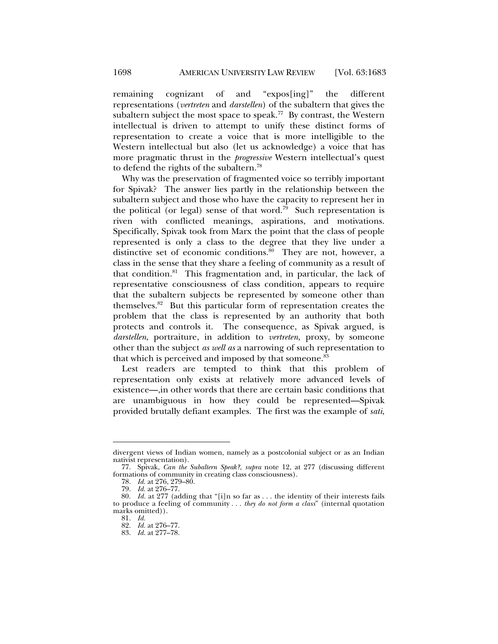remaining cognizant of and "expos[ing]" the different representations (*vertreten* and *darstellen*) of the subaltern that gives the subaltern subject the most space to speak.<sup>77</sup> By contrast, the Western intellectual is driven to attempt to unify these distinct forms of representation to create a voice that is more intelligible to the Western intellectual but also (let us acknowledge) a voice that has more pragmatic thrust in the *progressive* Western intellectual's quest to defend the rights of the subaltern.78

Why was the preservation of fragmented voice so terribly important for Spivak? The answer lies partly in the relationship between the subaltern subject and those who have the capacity to represent her in the political (or legal) sense of that word.<sup>79</sup> Such representation is riven with conflicted meanings, aspirations, and motivations. Specifically, Spivak took from Marx the point that the class of people represented is only a class to the degree that they live under a distinctive set of economic conditions. $80$  They are not, however, a class in the sense that they share a feeling of community as a result of that condition. $81$  This fragmentation and, in particular, the lack of representative consciousness of class condition, appears to require that the subaltern subjects be represented by someone other than themselves.82 But this particular form of representation creates the problem that the class is represented by an authority that both protects and controls it. The consequence, as Spivak argued, is *darstellen*, portraiture, in addition to *vertreten*, proxy, by someone other than the subject *as well as* a narrowing of such representation to that which is perceived and imposed by that someone.<sup>83</sup>

Lest readers are tempted to think that this problem of representation only exists at relatively more advanced levels of existence—,in other words that there are certain basic conditions that are unambiguous in how they could be represented—Spivak provided brutally defiant examples. The first was the example of *sati*,

divergent views of Indian women, namely as a postcolonial subject or as an Indian nativist representation).

 <sup>77.</sup> Spivak, *Can the Subaltern Speak?*, *supra* note 12, at 277 (discussing different formations of community in creating class consciousness).

 <sup>78.</sup> *Id.* at 276, 279–80.

 <sup>79.</sup> *Id.* at 276–77.

 <sup>80.</sup> *Id.* at 277 (adding that "[i]n so far as . . . the identity of their interests fails to produce a feeling of community . . . *they do not form a class*" (internal quotation marks omitted)).

 <sup>81.</sup> *Id.*

 <sup>82.</sup> *Id.* at 276–77.

 <sup>83.</sup> *Id.* at 277–78.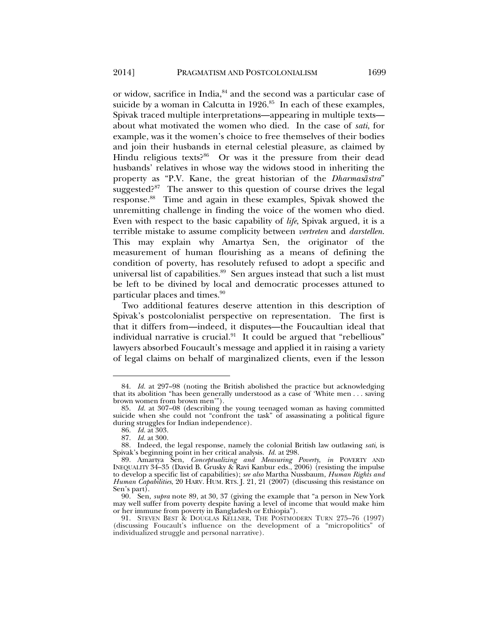or widow, sacrifice in India,  $84$  and the second was a particular case of suicide by a woman in Calcutta in  $1926$ .<sup>85</sup> In each of these examples, Spivak traced multiple interpretations—appearing in multiple texts about what motivated the women who died. In the case of *sati*, for example, was it the women's choice to free themselves of their bodies and join their husbands in eternal celestial pleasure, as claimed by Hindu religious texts?<sup>86</sup> Or was it the pressure from their dead husbands' relatives in whose way the widows stood in inheriting the property as "P.V. Kane, the great historian of the *Dharmasāstra*" suggested?<sup>87</sup> The answer to this question of course drives the legal response.88 Time and again in these examples, Spivak showed the unremitting challenge in finding the voice of the women who died. Even with respect to the basic capability of *life*, Spivak argued, it is a terrible mistake to assume complicity between *vertreten* and *darstellen*. This may explain why Amartya Sen, the originator of the measurement of human flourishing as a means of defining the condition of poverty, has resolutely refused to adopt a specific and universal list of capabilities.<sup>89</sup> Sen argues instead that such a list must be left to be divined by local and democratic processes attuned to particular places and times.<sup>90</sup>

Two additional features deserve attention in this description of Spivak's postcolonialist perspective on representation. The first is that it differs from—indeed, it disputes—the Foucaultian ideal that individual narrative is crucial. $91$  It could be argued that "rebellious" lawyers absorbed Foucault's message and applied it in raising a variety of legal claims on behalf of marginalized clients, even if the lesson

 <sup>84.</sup> *Id.* at 297–98 (noting the British abolished the practice but acknowledging that its abolition "has been generally understood as a case of 'White men . . . saving brown women from brown men'").

 <sup>85.</sup> *Id.* at 307–08 (describing the young teenaged woman as having committed suicide when she could not "confront the task" of assassinating a political figure during struggles for Indian independence).

 <sup>86.</sup> *Id.* at 303.

 <sup>87.</sup> *Id.* at 300.

 <sup>88.</sup> Indeed, the legal response, namely the colonial British law outlawing *sati*, is Spivak's beginning point in her critical analysis. *Id.* at 298.

 <sup>89.</sup> Amartya Sen, *Conceptualizing and Measuring Poverty*, *in* POVERTY AND INEQUALITY 34–35 (David B. Grusky & Ravi Kanbur eds., 2006) (resisting the impulse to develop a specific list of capabilities); *see also* Martha Nussbaum, *Human Rights and Human Capabilities*, 20 HARV. HUM. RTS. J. 21, 21 (2007) (discussing this resistance on Sen's part).

 <sup>90.</sup> Sen, *supra* note 89, at 30, 37 (giving the example that "a person in New York may well suffer from poverty despite having a level of income that would make him or her immune from poverty in Bangladesh or Ethiopia").

 <sup>91.</sup> STEVEN BEST & DOUGLAS KELLNER, THE POSTMODERN TURN 275–76 (1997) (discussing Foucault's influence on the development of a "micropolitics" of individualized struggle and personal narrative).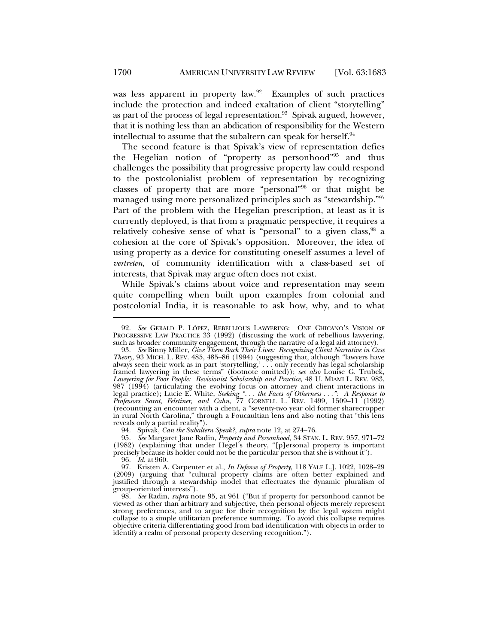was less apparent in property law.<sup>92</sup> Examples of such practices include the protection and indeed exaltation of client "storytelling" as part of the process of legal representation.<sup>93</sup> Spivak argued, however, that it is nothing less than an abdication of responsibility for the Western intellectual to assume that the subaltern can speak for herself.<sup>94</sup>

The second feature is that Spivak's view of representation defies the Hegelian notion of "property as personhood"95 and thus challenges the possibility that progressive property law could respond to the postcolonialist problem of representation by recognizing classes of property that are more "personal"96 or that might be managed using more personalized principles such as "stewardship."97 Part of the problem with the Hegelian prescription, at least as it is currently deployed, is that from a pragmatic perspective, it requires a relatively cohesive sense of what is "personal" to a given class, <sup>98</sup> a cohesion at the core of Spivak's opposition. Moreover, the idea of using property as a device for constituting oneself assumes a level of *vertreten*, of community identification with a class-based set of interests, that Spivak may argue often does not exist.

While Spivak's claims about voice and representation may seem quite compelling when built upon examples from colonial and postcolonial India, it is reasonable to ask how, why, and to what

94. Spivak, *Can the Subaltern Speak?*, *supra* note 12, at 274–76.

 95. *See* Margaret Jane Radin, *Property and Personhood*, 34 STAN. L. REV. 957, 971–72 (1982) (explaining that under Hegel's theory, "[p]ersonal property is important precisely because its holder could not be the particular person that she is without it").

96. *Id.* at 960.

 <sup>92.</sup> *See* GERALD P. LÓPEZ, REBELLIOUS LAWYERING: ONE CHICANO'S VISION OF PROGRESSIVE LAW PRACTICE 33 (1992) (discussing the work of rebellious lawyering, such as broader community engagement, through the narrative of a legal aid attorney).

 <sup>93.</sup> *See* Binny Miller, *Give Them Back Their Lives: Recognizing Client Narrative in Case Theory*, 93 MICH. L. REV. 485, 485–86 (1994) (suggesting that, although "lawyers have always seen their work as in part 'storytelling,' . . . only recently has legal scholarship framed lawyering in these terms" (footnote omitted)); *see also* Louise G. Trubek, *Lawyering for Poor People: Revisionist Scholarship and Practice*, 48 U. MIAMI L. REV. 983, 987 (1994) (articulating the evolving focus on attorney and client interactions in legal practice); Lucie E. White, *Seeking ". . . the Faces of Otherness . . .": A Response to Professors Sarat, Felstiner, and Cahn*, 77 CORNELL L. REV. 1499, 1509–11 (1992) (recounting an encounter with a client, a "seventy-two year old former sharecropper in rural North Carolina," through a Foucaultian lens and also noting that "this lens reveals only a partial reality").

 <sup>97.</sup> Kristen A. Carpenter et al., *In Defense of Property*, 118 YALE L.J. 1022, 1028–29 (2009) (arguing that "cultural property claims are often better explained and justified through a stewardship model that effectuates the dynamic pluralism of group-oriented interests").

 <sup>98.</sup> *See* Radin, *supra* note 95, at 961 ("But if property for personhood cannot be viewed as other than arbitrary and subjective, then personal objects merely represent strong preferences, and to argue for their recognition by the legal system might collapse to a simple utilitarian preference summing. To avoid this collapse requires objective criteria differentiating good from bad identification with objects in order to identify a realm of personal property deserving recognition.").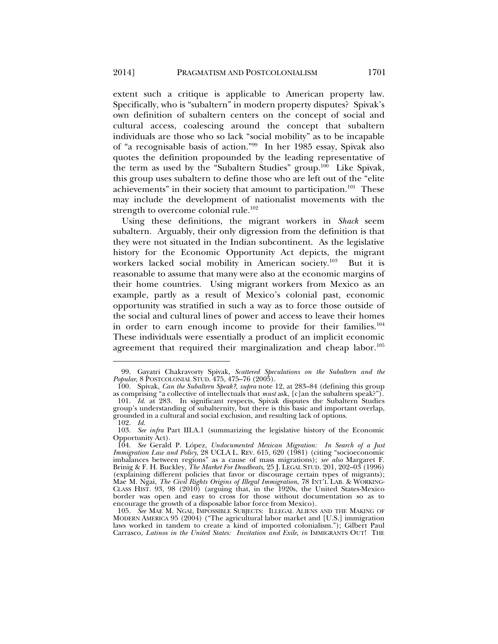extent such a critique is applicable to American property law. Specifically, who is "subaltern" in modern property disputes? Spivak's own definition of subaltern centers on the concept of social and cultural access, coalescing around the concept that subaltern individuals are those who so lack "social mobility" as to be incapable of "a recognisable basis of action."99 In her 1985 essay, Spivak also quotes the definition propounded by the leading representative of the term as used by the "Subaltern Studies" group.100 Like Spivak, this group uses subaltern to define those who are left out of the "elite achievements" in their society that amount to participation.<sup>101</sup> These may include the development of nationalist movements with the strength to overcome colonial rule. $102$ 

Using these definitions, the migrant workers in *Shack* seem subaltern. Arguably, their only digression from the definition is that they were not situated in the Indian subcontinent. As the legislative history for the Economic Opportunity Act depicts, the migrant workers lacked social mobility in American society.<sup>103</sup> But it is reasonable to assume that many were also at the economic margins of their home countries. Using migrant workers from Mexico as an example, partly as a result of Mexico's colonial past, economic opportunity was stratified in such a way as to force those outside of the social and cultural lines of power and access to leave their homes in order to earn enough income to provide for their families.<sup>104</sup> These individuals were essentially a product of an implicit economic agreement that required their marginalization and cheap labor.<sup>105</sup>

 <sup>99.</sup> Gayatri Chakravorty Spivak, *Scattered Speculations on the Subaltern and the Popular*, 8 POSTCOLONIAL STUD. 475, 475–76 (2005).

 <sup>100.</sup> Spivak, *Can the Subaltern Speak?*, *supra* note 12, at 283–84 (defining this group as comprising "a collective of intellectuals that *must* ask, [c]an the subaltern speak?"). 101. *Id.* at 283. In significant respects, Spivak disputes the Subaltern Studies group's understanding of subalternity, but there is this basic and important overlap, grounded in a cultural and social exclusion, and resulting lack of options. 102. *Id.*

 <sup>103.</sup> *See infra* Part III.A.1 (summarizing the legislative history of the Economic Opportunity Act).

 <sup>104.</sup> *See* Gerald P. López, *Undocumented Mexican Migration: In Search of a Just Immigration Law and Policy*, 28 UCLA L. REV. 615, 620 (1981) (citing "socioeconomic imbalances between regions" as a cause of mass migrations); *see also* Margaret F. Brinig & F. H. Buckley, *The Market For Deadbeats*, 25 J. LEGAL STUD. 201, 202–03 (1996) (explaining different policies that favor or discourage certain types of migrants); Mae M. Ngai, *The Civil Rights Origins of Illegal Immigration*, 78 INT'L LAB. & WORKING-CLASS HIST. 93, 98 (2010) (arguing that, in the 1920s, the United States-Mexico border was open and easy to cross for those without documentation so as to encourage the growth of a disposable labor force from Mexico).

 <sup>105.</sup> *See* MAE M. NGAI, IMPOSSIBLE SUBJECTS: ILLEGAL ALIENS AND THE MAKING OF MODERN AMERICA 95 (2004) ("The agricultural labor market and [U.S.] immigration laws worked in tandem to create a kind of imported colonialism."); Gilbert Paul Carrasco, *Latinos in the United States: Invitation and Exile*, *in* IMMIGRANTS OUT! THE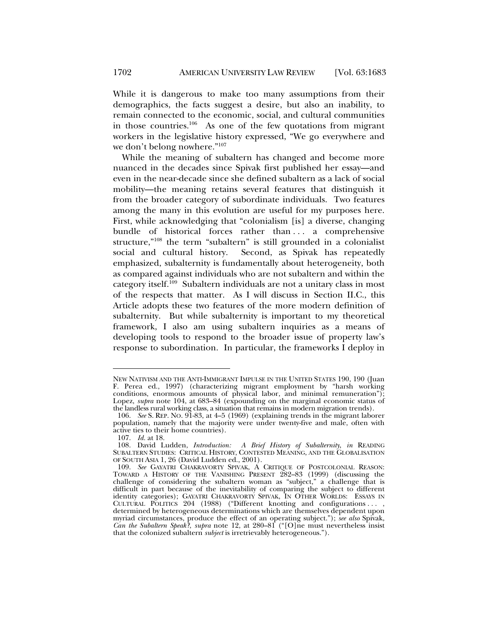While it is dangerous to make too many assumptions from their demographics, the facts suggest a desire, but also an inability, to remain connected to the economic, social, and cultural communities in those countries.<sup>106</sup> As one of the few quotations from migrant workers in the legislative history expressed, "We go everywhere and we don't belong nowhere."107

While the meaning of subaltern has changed and become more nuanced in the decades since Spivak first published her essay—and even in the near-decade since she defined subaltern as a lack of social mobility—the meaning retains several features that distinguish it from the broader category of subordinate individuals. Two features among the many in this evolution are useful for my purposes here. First, while acknowledging that "colonialism [is] a diverse, changing bundle of historical forces rather than . . . a comprehensive structure,"<sup>108</sup> the term "subaltern" is still grounded in a colonialist social and cultural history. Second, as Spivak has repeatedly emphasized, subalternity is fundamentally about heterogeneity, both as compared against individuals who are not subaltern and within the category itself.109 Subaltern individuals are not a unitary class in most of the respects that matter. As I will discuss in Section II.C., this Article adopts these two features of the more modern definition of subalternity. But while subalternity is important to my theoretical framework, I also am using subaltern inquiries as a means of developing tools to respond to the broader issue of property law's response to subordination. In particular, the frameworks I deploy in

NEW NATIVISM AND THE ANTI-IMMIGRANT IMPULSE IN THE UNITED STATES 190, 190 (Juan F. Perea ed., 1997) (characterizing migrant employment by "harsh working conditions, enormous amounts of physical labor, and minimal remuneration"); Lopez, *supra* note 104, at 683–84 (expounding on the marginal economic status of the landless rural working class, a situation that remains in modern migration trends).

 <sup>106.</sup> *See* S. REP. NO. 91-83, at 4–5 (1969) (explaining trends in the migrant laborer population, namely that the majority were under twenty-five and male, often with active ties to their home countries).

 <sup>107.</sup> *Id.* at 18.

 <sup>108.</sup> David Ludden, *Introduction: A Brief History of Subalternity*, *in* READING SUBALTERN STUDIES: CRITICAL HISTORY, CONTESTED MEANING, AND THE GLOBALISATION OF SOUTH ASIA 1, 26 (David Ludden ed., 2001).

 <sup>109.</sup> *See* GAYATRI CHAKRAVORTY SPIVAK, A CRITIQUE OF POSTCOLONIAL REASON: TOWARD A HISTORY OF THE VANISHING PRESENT 282–83 (1999) (discussing the challenge of considering the subaltern woman as "subject," a challenge that is difficult in part because of the inevitability of comparing the subject to different identity categories); GAYATRI CHAKRAVORTY SPIVAK, IN OTHER WORLDS: ESSAYS IN CULTURAL POLITICS 204 (1988) ("Different knotting and configurations . . . , determined by heterogeneous determinations which are themselves dependent upon myriad circumstances, produce the effect of an operating subject."); *see also* Spivak, *Can the Subaltern Speak?*, *supra* note 12, at 280–81 ("[O]ne must nevertheless insist that the colonized subaltern *subject* is irretrievably heterogeneous.").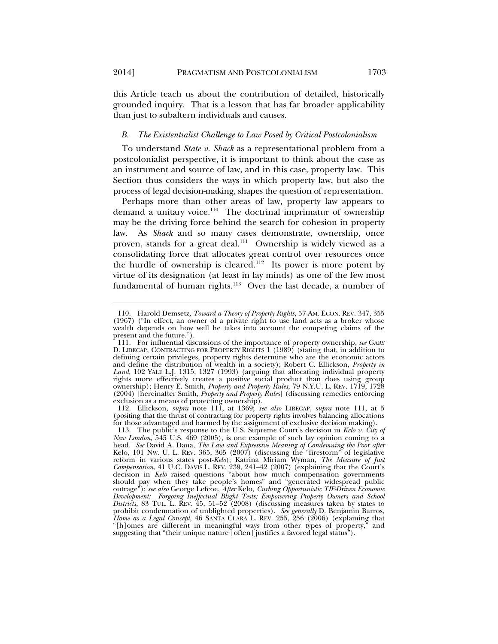l

this Article teach us about the contribution of detailed, historically grounded inquiry. That is a lesson that has far broader applicability than just to subaltern individuals and causes.

#### *B. The Existentialist Challenge to Law Posed by Critical Postcolonialism*

To understand *State v. Shack* as a representational problem from a postcolonialist perspective, it is important to think about the case as an instrument and source of law, and in this case, property law. This Section thus considers the ways in which property law, but also the process of legal decision-making, shapes the question of representation.

Perhaps more than other areas of law, property law appears to demand a unitary voice.<sup>110</sup> The doctrinal imprimatur of ownership may be the driving force behind the search for cohesion in property law. As *Shack* and so many cases demonstrate, ownership, once proven, stands for a great deal.<sup>111</sup> Ownership is widely viewed as a consolidating force that allocates great control over resources once the hurdle of ownership is cleared.<sup>112</sup> Its power is more potent by virtue of its designation (at least in lay minds) as one of the few most fundamental of human rights.<sup>113</sup> Over the last decade, a number of

 <sup>110.</sup> Harold Demsetz*, Toward a Theory of Property Rights*, 57 AM. ECON. REV. 347, 355 (1967) ("In effect, an owner of a private right to use land acts as a broker whose wealth depends on how well he takes into account the competing claims of the present and the future.").

 <sup>111.</sup> For influential discussions of the importance of property ownership, *see* GARY D. LIBECAP, CONTRACTING FOR PROPERTY RIGHTS 1 (1989) (stating that, in addition to defining certain privileges, property rights determine who are the economic actors and define the distribution of wealth in a society); Robert C. Ellickson, *Property in Land*, 102 YALE L.J. 1315, 1327 (1993) (arguing that allocating individual property rights more effectively creates a positive social product than does using group ownership); Henry E. Smith, *Property and Property Rules*, 79 N.Y.U. L. REV. 1719, 1728 (2004) [hereinafter Smith, *Property and Property Rules*] (discussing remedies enforcing exclusion as a means of protecting ownership).

 <sup>112.</sup> Ellickson, *supra* note 111, at 1369; *see also* LIBECAP, *supra* note 111, at 5 (positing that the thrust of contracting for property rights involves balancing allocations for those advantaged and harmed by the assignment of exclusive decision making).

 <sup>113.</sup> The public's response to the U.S. Supreme Court's decision in *Kelo v. City of New London*, 545 U.S. 469 (2005), is one example of such lay opinion coming to a head. *See* David A. Dana, *The Law and Expressive Meaning of Condemning the Poor after*  Kelo, 101 NW. U. L. REV. 365, 365 (2007) (discussing the "firestorm" of legislative reform in various states post-*Kelo*); Katrina Miriam Wyman, *The Measure of Just Compensation*, 41 U.C. DAVIS L. REV. 239, 241–42 (2007) (explaining that the Court's decision in *Kelo* raised questions "about how much compensation governments should pay when they take people's homes" and "generated widespread public outrage"); *see also* George Lefcoe, *After* Kelo*, Curbing Opportunistic TIF-Driven Economic Development: Forgoing Ineffectual Blight Tests; Empowering Property Owners and School Districts*, 83 TUL. L. REV. 45, 51–52 (2008) (discussing measures taken by states to prohibit condemnation of unblighted properties). *See generally* D. Benjamin Barros, *Home as a Legal Concept*, 46 SANTA CLARA L. REV. 255, 256 (2006) (explaining that "[h]omes are different in meaningful ways from other types of property," and suggesting that "their unique nature [often] justifies a favored legal status").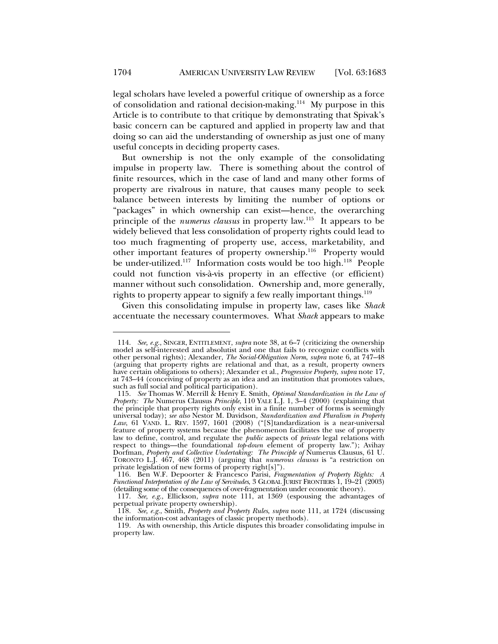legal scholars have leveled a powerful critique of ownership as a force of consolidation and rational decision-making.<sup>114</sup> My purpose in this Article is to contribute to that critique by demonstrating that Spivak's basic concern can be captured and applied in property law and that doing so can aid the understanding of ownership as just one of many useful concepts in deciding property cases.

But ownership is not the only example of the consolidating impulse in property law. There is something about the control of finite resources, which in the case of land and many other forms of property are rivalrous in nature, that causes many people to seek balance between interests by limiting the number of options or "packages" in which ownership can exist—hence, the overarching principle of the *numerus clausus* in property law.115 It appears to be widely believed that less consolidation of property rights could lead to too much fragmenting of property use, access, marketability, and other important features of property ownership.<sup>116</sup> Property would be under-utilized.<sup>117</sup> Information costs would be too high.<sup>118</sup> People could not function vis-à-vis property in an effective (or efficient) manner without such consolidation. Ownership and, more generally, rights to property appear to signify a few really important things.<sup>119</sup>

Given this consolidating impulse in property law, cases like *Shack* accentuate the necessary countermoves. What *Shack* appears to make

 <sup>114.</sup> *See, e.g.*, SINGER, ENTITLEMENT, *supra* note 38, at 6–7 (criticizing the ownership model as self-interested and absolutist and one that fails to recognize conflicts with other personal rights); Alexander, *The Social-Obligation Norm*, *supra* note 6, at 747–48 (arguing that property rights are relational and that, as a result, property owners have certain obligations to others); Alexander et al., *Progressive Property*, *supra* note 17, at 743–44 (conceiving of property as an idea and an institution that promotes values, such as full social and political participation).

 <sup>115.</sup> *See* Thomas W. Merrill & Henry E. Smith, *Optimal Standardization in the Law of Property: The* Numerus Clausus *Principle*, 110 YALE L.J. 1, 3–4 (2000) (explaining that the principle that property rights only exist in a finite number of forms is seemingly universal today); *see also* Nestor M. Davidson, *Standardization and Pluralism in Property Law*, 61 VAND. L. REV. 1597, 1601 (2008) ("[S]tandardization is a near-universal feature of property systems because the phenomenon facilitates the use of property law to define, control, and regulate the *public* aspects of *private* legal relations with respect to things—the foundational *top-down* element of property law."); Avihay Dorfman, *Property and Collective Undertaking: The Principle of* Numerus Clausus, 61 U. TORONTO L.J. 467, 468 (2011) (arguing that *numerous clausus* is "a restriction on private legislation of new forms of property right[s]").

 <sup>116.</sup> Ben W.F. Depoorter & Francesco Parisi, *Fragmentation of Property Rights: A Functional Interpretation of the Law of Servitudes*, 3 GLOBAL JURIST FRONTIERS 1, 19–21 (2003) (detailing some of the consequences of over-fragmentation under economic theory).

 <sup>117.</sup> *See, e.g.*, Ellickson, *supra* note 111, at 1369 (espousing the advantages of perpetual private property ownership).

 <sup>118.</sup> *See, e.g.*, Smith, *Property and Property Rules*, *supra* note 111, at 1724 (discussing the information-cost advantages of classic property methods).

 <sup>119.</sup> As with ownership, this Article disputes this broader consolidating impulse in property law.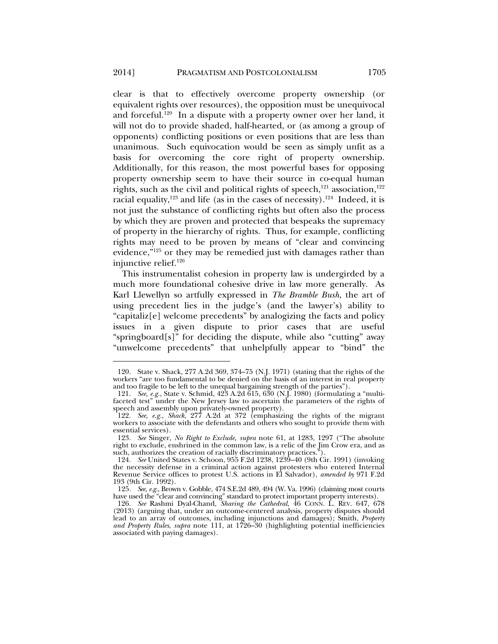clear is that to effectively overcome property ownership (or equivalent rights over resources), the opposition must be unequivocal and forceful.<sup>120</sup> In a dispute with a property owner over her land, it will not do to provide shaded, half-hearted, or (as among a group of opponents) conflicting positions or even positions that are less than unanimous. Such equivocation would be seen as simply unfit as a basis for overcoming the core right of property ownership. Additionally, for this reason, the most powerful bases for opposing property ownership seem to have their source in co-equal human rights, such as the civil and political rights of speech, $121$  association, $122$ racial equality,<sup>123</sup> and life (as in the cases of necessity).<sup>124</sup> Indeed, it is not just the substance of conflicting rights but often also the process by which they are proven and protected that bespeaks the supremacy of property in the hierarchy of rights. Thus, for example, conflicting rights may need to be proven by means of "clear and convincing evidence,"<sup>125</sup> or they may be remedied just with damages rather than injunctive relief.<sup>126</sup>

This instrumentalist cohesion in property law is undergirded by a much more foundational cohesive drive in law more generally. As Karl Llewellyn so artfully expressed in *The Bramble Bush*, the art of using precedent lies in the judge's (and the lawyer's) ability to "capitaliz[e] welcome precedents" by analogizing the facts and policy issues in a given dispute to prior cases that are useful "springboard[s]" for deciding the dispute, while also "cutting" away "unwelcome precedents" that unhelpfully appear to "bind" the

 <sup>120.</sup> State v. Shack, 277 A.2d 369, 374–75 (N.J. 1971) (stating that the rights of the workers "are too fundamental to be denied on the basis of an interest in real property and too fragile to be left to the unequal bargaining strength of the parties").

 <sup>121.</sup> *See, e.g.*, State v. Schmid, 423 A.2d 615, 630 (N.J. 1980) (formulating a "multifaceted test" under the New Jersey law to ascertain the parameters of the rights of speech and assembly upon privately-owned property).

 <sup>122.</sup> *See, e.g.*, *Shack*, 277 A.2d at 372 (emphasizing the rights of the migrant workers to associate with the defendants and others who sought to provide them with essential services).

 <sup>123.</sup> *See* Singer, *No Right to Exclude*, *supra* note 61, at 1283, 1297 ("The absolute right to exclude, enshrined in the common law, is a relic of the Jim Crow era, and as such, authorizes the creation of racially discriminatory practices.").

 <sup>124.</sup> *See* United States v. Schoon, 955 F.2d 1238, 1239–40 (9th Cir. 1991) (invoking the necessity defense in a criminal action against protesters who entered Internal Revenue Service offices to protest U.S. actions in El Salvador), *amended by* 971 F.2d 193 (9th Cir. 1992).

 <sup>125.</sup> *See, e.g.*, Brown v. Gobble, 474 S.E.2d 489, 494 (W. Va. 1996) (claiming most courts have used the "clear and convincing" standard to protect important property interests).

 <sup>126.</sup> *See* Rashmi Dyal-Chand, *Sharing the Cathedral*, 46 CONN. L. REV. 647, 678 (2013) (arguing that, under an outcome-centered analysis, property disputes should lead to an array of outcomes, including injunctions and damages); Smith, *Property and Property Rules*, *supra* note 111, at 1726–30 (highlighting potential inefficiencies associated with paying damages).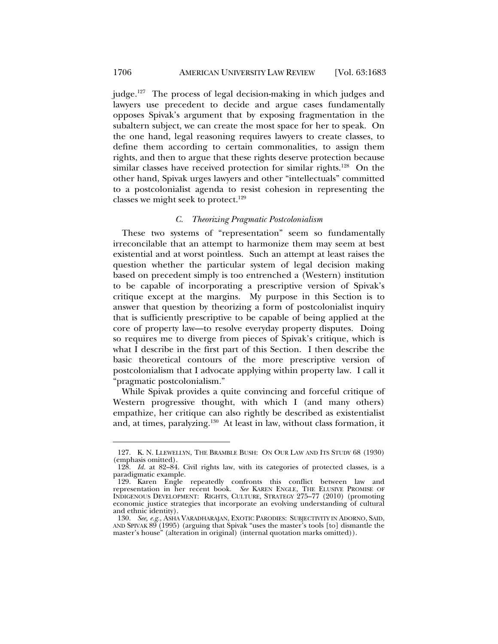judge.<sup>127</sup> The process of legal decision-making in which judges and lawyers use precedent to decide and argue cases fundamentally opposes Spivak's argument that by exposing fragmentation in the subaltern subject, we can create the most space for her to speak. On the one hand, legal reasoning requires lawyers to create classes, to define them according to certain commonalities, to assign them rights, and then to argue that these rights deserve protection because similar classes have received protection for similar rights.<sup>128</sup> On the other hand, Spivak urges lawyers and other "intellectuals" committed to a postcolonialist agenda to resist cohesion in representing the classes we might seek to protect.<sup>129</sup>

# *C. Theorizing Pragmatic Postcolonialism*

These two systems of "representation" seem so fundamentally irreconcilable that an attempt to harmonize them may seem at best existential and at worst pointless. Such an attempt at least raises the question whether the particular system of legal decision making based on precedent simply is too entrenched a (Western) institution to be capable of incorporating a prescriptive version of Spivak's critique except at the margins. My purpose in this Section is to answer that question by theorizing a form of postcolonialist inquiry that is sufficiently prescriptive to be capable of being applied at the core of property law—to resolve everyday property disputes. Doing so requires me to diverge from pieces of Spivak's critique, which is what I describe in the first part of this Section. I then describe the basic theoretical contours of the more prescriptive version of postcolonialism that I advocate applying within property law. I call it "pragmatic postcolonialism."

While Spivak provides a quite convincing and forceful critique of Western progressive thought, with which I (and many others) empathize, her critique can also rightly be described as existentialist and, at times, paralyzing.<sup>130</sup> At least in law, without class formation, it

 <sup>127.</sup> K. N. LLEWELLYN, THE BRAMBLE BUSH: ON OUR LAW AND ITS STUDY 68 (1930) (emphasis omitted).

 <sup>128.</sup> *Id.* at 82–84. Civil rights law, with its categories of protected classes, is a paradigmatic example.

 <sup>129.</sup> Karen Engle repeatedly confronts this conflict between law and representation in her recent book. *See* KAREN ENGLE, THE ELUSIVE PROMISE OF INDIGENOUS DEVELOPMENT: RIGHTS, CULTURE, STRATEGY 275–77 (2010) (promoting economic justice strategies that incorporate an evolving understanding of cultural and ethnic identity).

 <sup>130.</sup> *See, e.g.*, ASHA VARADHARAJAN, EXOTIC PARODIES: SUBJECTIVITY IN ADORNO, SAID, AND SPIVAK 89 (1995) (arguing that Spivak "uses the master's tools [to] dismantle the master's house" (alteration in original) (internal quotation marks omitted)).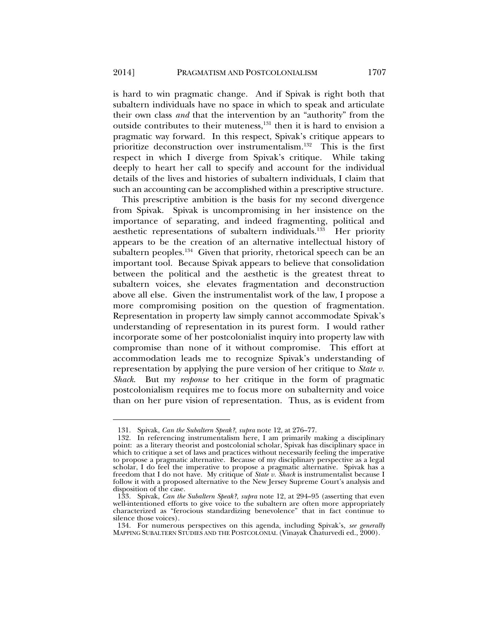is hard to win pragmatic change. And if Spivak is right both that subaltern individuals have no space in which to speak and articulate their own class *and* that the intervention by an "authority" from the outside contributes to their muteness,<sup>131</sup> then it is hard to envision a pragmatic way forward. In this respect, Spivak's critique appears to prioritize deconstruction over instrumentalism.132 This is the first respect in which I diverge from Spivak's critique. While taking deeply to heart her call to specify and account for the individual details of the lives and histories of subaltern individuals, I claim that such an accounting can be accomplished within a prescriptive structure.

This prescriptive ambition is the basis for my second divergence from Spivak. Spivak is uncompromising in her insistence on the importance of separating, and indeed fragmenting, political and aesthetic representations of subaltern individuals.<sup>133</sup> Her priority appears to be the creation of an alternative intellectual history of subaltern peoples.<sup>134</sup> Given that priority, rhetorical speech can be an important tool. Because Spivak appears to believe that consolidation between the political and the aesthetic is the greatest threat to subaltern voices, she elevates fragmentation and deconstruction above all else. Given the instrumentalist work of the law, I propose a more compromising position on the question of fragmentation. Representation in property law simply cannot accommodate Spivak's understanding of representation in its purest form. I would rather incorporate some of her postcolonialist inquiry into property law with compromise than none of it without compromise. This effort at accommodation leads me to recognize Spivak's understanding of representation by applying the pure version of her critique to *State v. Shack*. But my *response* to her critique in the form of pragmatic postcolonialism requires me to focus more on subalternity and voice than on her pure vision of representation. Thus, as is evident from

 <sup>131.</sup> Spivak, *Can the Subaltern Speak?*, *supra* note 12, at 276–77.

 <sup>132.</sup> In referencing instrumentalism here, I am primarily making a disciplinary point: as a literary theorist and postcolonial scholar, Spivak has disciplinary space in which to critique a set of laws and practices without necessarily feeling the imperative to propose a pragmatic alternative. Because of my disciplinary perspective as a legal scholar, I do feel the imperative to propose a pragmatic alternative. Spivak has a freedom that I do not have. My critique of *State v. Shack* is instrumentalist because I follow it with a proposed alternative to the New Jersey Supreme Court's analysis and disposition of the case.

 <sup>133.</sup> Spivak, *Can the Subaltern Speak?*, *supra* note 12, at 294–95 (asserting that even well-intentioned efforts to give voice to the subaltern are often more appropriately characterized as "ferocious standardizing benevolence" that in fact continue to silence those voices).

 <sup>134.</sup> For numerous perspectives on this agenda, including Spivak's, *see generally* MAPPING SUBALTERN STUDIES AND THE POSTCOLONIAL (Vinayak Chaturvedi ed., 2000).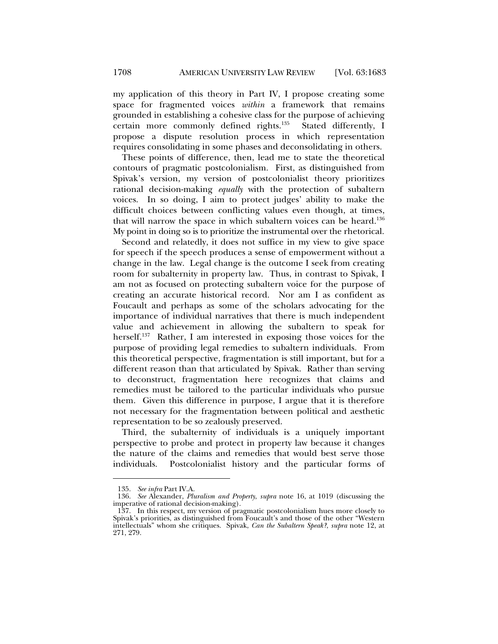my application of this theory in Part IV, I propose creating some space for fragmented voices *within* a framework that remains grounded in establishing a cohesive class for the purpose of achieving certain more commonly defined rights.135 Stated differently, I propose a dispute resolution process in which representation requires consolidating in some phases and deconsolidating in others.

These points of difference, then, lead me to state the theoretical contours of pragmatic postcolonialism. First, as distinguished from Spivak's version, my version of postcolonialist theory prioritizes rational decision-making *equally* with the protection of subaltern voices. In so doing, I aim to protect judges' ability to make the difficult choices between conflicting values even though, at times, that will narrow the space in which subaltern voices can be heard.<sup>136</sup> My point in doing so is to prioritize the instrumental over the rhetorical.

Second and relatedly, it does not suffice in my view to give space for speech if the speech produces a sense of empowerment without a change in the law. Legal change is the outcome I seek from creating room for subalternity in property law. Thus, in contrast to Spivak, I am not as focused on protecting subaltern voice for the purpose of creating an accurate historical record. Nor am I as confident as Foucault and perhaps as some of the scholars advocating for the importance of individual narratives that there is much independent value and achievement in allowing the subaltern to speak for herself.<sup>137</sup> Rather, I am interested in exposing those voices for the purpose of providing legal remedies to subaltern individuals. From this theoretical perspective, fragmentation is still important, but for a different reason than that articulated by Spivak. Rather than serving to deconstruct, fragmentation here recognizes that claims and remedies must be tailored to the particular individuals who pursue them. Given this difference in purpose, I argue that it is therefore not necessary for the fragmentation between political and aesthetic representation to be so zealously preserved.

Third, the subalternity of individuals is a uniquely important perspective to probe and protect in property law because it changes the nature of the claims and remedies that would best serve those individuals. Postcolonialist history and the particular forms of

 <sup>135.</sup> *See infra* Part IV.A.

 <sup>136.</sup> *See* Alexander, *Pluralism and Property*, *supra* note 16, at 1019 (discussing the imperative of rational decision-making).

 <sup>137.</sup> In this respect, my version of pragmatic postcolonialism hues more closely to Spivak's priorities, as distinguished from Foucault's and those of the other "Western intellectuals" whom she critiques. Spivak, *Can the Subaltern Speak?*, *supra* note 12, at 271, 279.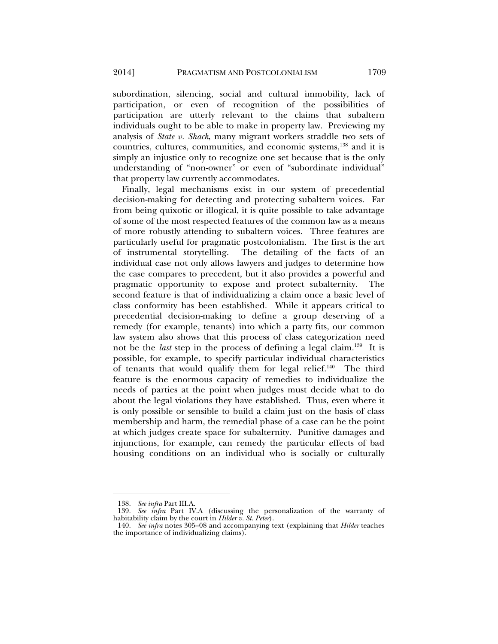subordination, silencing, social and cultural immobility, lack of participation, or even of recognition of the possibilities of participation are utterly relevant to the claims that subaltern individuals ought to be able to make in property law. Previewing my analysis of *State v. Shack*, many migrant workers straddle two sets of countries, cultures, communities, and economic systems,<sup>138</sup> and it is simply an injustice only to recognize one set because that is the only understanding of "non-owner" or even of "subordinate individual" that property law currently accommodates.

Finally, legal mechanisms exist in our system of precedential decision-making for detecting and protecting subaltern voices. Far from being quixotic or illogical, it is quite possible to take advantage of some of the most respected features of the common law as a means of more robustly attending to subaltern voices. Three features are particularly useful for pragmatic postcolonialism. The first is the art of instrumental storytelling. The detailing of the facts of an individual case not only allows lawyers and judges to determine how the case compares to precedent, but it also provides a powerful and pragmatic opportunity to expose and protect subalternity. The second feature is that of individualizing a claim once a basic level of class conformity has been established. While it appears critical to precedential decision-making to define a group deserving of a remedy (for example, tenants) into which a party fits, our common law system also shows that this process of class categorization need not be the *last* step in the process of defining a legal claim.139 It is possible, for example, to specify particular individual characteristics of tenants that would qualify them for legal relief.<sup>140</sup> The third feature is the enormous capacity of remedies to individualize the needs of parties at the point when judges must decide what to do about the legal violations they have established. Thus, even where it is only possible or sensible to build a claim just on the basis of class membership and harm, the remedial phase of a case can be the point at which judges create space for subalternity. Punitive damages and injunctions, for example, can remedy the particular effects of bad housing conditions on an individual who is socially or culturally

 <sup>138.</sup> *See infra* Part III.A.

 <sup>139.</sup> *See infra* Part IV.A (discussing the personalization of the warranty of habitability claim by the court in *Hilder v. St. Peter*).

 <sup>140.</sup> *See infra* notes 305–08 and accompanying text (explaining that *Hilder* teaches the importance of individualizing claims).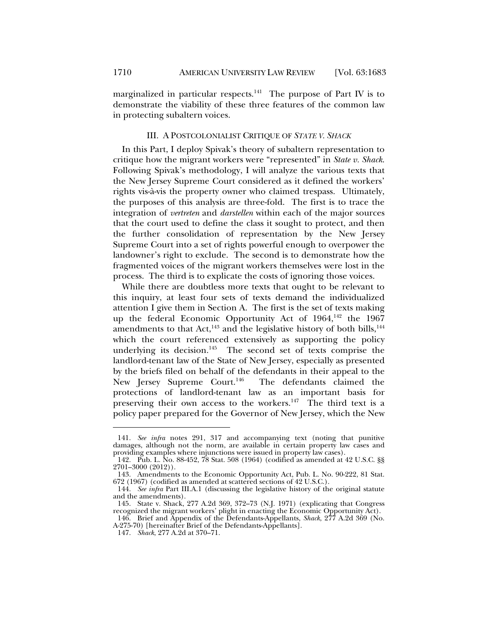marginalized in particular respects.<sup>141</sup> The purpose of Part IV is to demonstrate the viability of these three features of the common law in protecting subaltern voices.

## III. A POSTCOLONIALIST CRITIQUE OF *STATE V. SHACK*

In this Part, I deploy Spivak's theory of subaltern representation to critique how the migrant workers were "represented" in *State v. Shack*. Following Spivak's methodology, I will analyze the various texts that the New Jersey Supreme Court considered as it defined the workers' rights vis-à-vis the property owner who claimed trespass. Ultimately, the purposes of this analysis are three-fold. The first is to trace the integration of *vertreten* and *darstellen* within each of the major sources that the court used to define the class it sought to protect, and then the further consolidation of representation by the New Jersey Supreme Court into a set of rights powerful enough to overpower the landowner's right to exclude. The second is to demonstrate how the fragmented voices of the migrant workers themselves were lost in the process. The third is to explicate the costs of ignoring those voices.

While there are doubtless more texts that ought to be relevant to this inquiry, at least four sets of texts demand the individualized attention I give them in Section A. The first is the set of texts making up the federal Economic Opportunity Act of 1964,<sup>142</sup> the 1967 amendments to that Act, $^{143}$  and the legislative history of both bills, $^{144}$ which the court referenced extensively as supporting the policy underlying its decision.<sup>145</sup> The second set of texts comprise the landlord-tenant law of the State of New Jersey, especially as presented by the briefs filed on behalf of the defendants in their appeal to the New Jersey Supreme Court.<sup>146</sup> The defendants claimed the protections of landlord-tenant law as an important basis for preserving their own access to the workers.<sup>147</sup> The third text is a policy paper prepared for the Governor of New Jersey, which the New

 <sup>141.</sup> *See infra* notes 291, 317 and accompanying text (noting that punitive damages, although not the norm, are available in certain property law cases and providing examples where injunctions were issued in property law cases).

 <sup>142.</sup> Pub. L. No. 88-452, 78 Stat. 508 (1964) (codified as amended at 42 U.S.C. §§ 2701–3000 (2012)).

 <sup>143.</sup> Amendments to the Economic Opportunity Act, Pub. L. No. 90-222, 81 Stat. 672 (1967) (codified as amended at scattered sections of 42 U.S.C.).

 <sup>144.</sup> *See infra* Part III.A.1 (discussing the legislative history of the original statute and the amendments).

 <sup>145.</sup> State v. Shack, 277 A.2d 369, 372–73 (N.J. 1971) (explicating that Congress recognized the migrant workers' plight in enacting the Economic Opportunity Act).

 <sup>146.</sup> Brief and Appendix of the Defendants-Appellants, *Shack*, 277 A.2d 369 (No. A-275-70) [hereinafter Brief of the Defendants-Appellants].

 <sup>147.</sup> *Shack*, 277 A.2d at 370–71.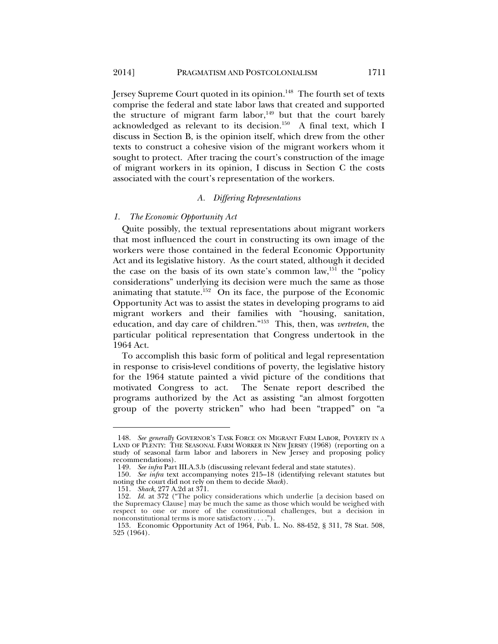Jersey Supreme Court quoted in its opinion.<sup>148</sup> The fourth set of texts comprise the federal and state labor laws that created and supported the structure of migrant farm labor, $149$  but that the court barely acknowledged as relevant to its decision.150 A final text, which I discuss in Section B, is the opinion itself, which drew from the other texts to construct a cohesive vision of the migrant workers whom it sought to protect. After tracing the court's construction of the image of migrant workers in its opinion, I discuss in Section C the costs associated with the court's representation of the workers.

#### *A. Differing Representations*

#### *1. The Economic Opportunity Act*

Quite possibly, the textual representations about migrant workers that most influenced the court in constructing its own image of the workers were those contained in the federal Economic Opportunity Act and its legislative history. As the court stated, although it decided the case on the basis of its own state's common law,<sup>151</sup> the "policy considerations" underlying its decision were much the same as those animating that statute.152 On its face, the purpose of the Economic Opportunity Act was to assist the states in developing programs to aid migrant workers and their families with "housing, sanitation, education, and day care of children."153 This, then, was *vertreten*, the particular political representation that Congress undertook in the 1964 Act.

To accomplish this basic form of political and legal representation in response to crisis-level conditions of poverty, the legislative history for the 1964 statute painted a vivid picture of the conditions that motivated Congress to act. The Senate report described the programs authorized by the Act as assisting "an almost forgotten group of the poverty stricken" who had been "trapped" on "a

 <sup>148.</sup> *See generally* GOVERNOR'S TASK FORCE ON MIGRANT FARM LABOR, POVERTY IN A LAND OF PLENTY: THE SEASONAL FARM WORKER IN NEW JERSEY (1968) (reporting on a study of seasonal farm labor and laborers in New Jersey and proposing policy recommendations).

 <sup>149.</sup> *See infra* Part III.A.3.b (discussing relevant federal and state statutes).

 <sup>150.</sup> *See infra* text accompanying notes 215–18 (identifying relevant statutes but noting the court did not rely on them to decide *Shack*).

 <sup>151.</sup> *Shack*, 277 A.2d at 371.

 <sup>152.</sup> *Id.* at 372 ("The policy considerations which underlie [a decision based on the Supremacy Clause] may be much the same as those which would be weighed with respect to one or more of the constitutional challenges, but a decision in nonconstitutional terms is more satisfactory . . . .").

 <sup>153.</sup> Economic Opportunity Act of 1964, Pub. L. No. 88-452, § 311, 78 Stat. 508, 525 (1964).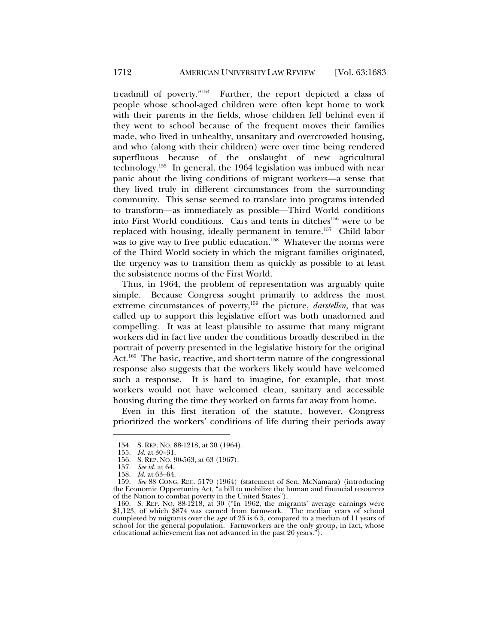treadmill of poverty."154 Further, the report depicted a class of people whose school-aged children were often kept home to work with their parents in the fields, whose children fell behind even if they went to school because of the frequent moves their families made, who lived in unhealthy, unsanitary and overcrowded housing, and who (along with their children) were over time being rendered superfluous because of the onslaught of new agricultural technology.155 In general, the 1964 legislation was imbued with near panic about the living conditions of migrant workers—a sense that they lived truly in different circumstances from the surrounding community. This sense seemed to translate into programs intended to transform—as immediately as possible—Third World conditions into First World conditions. Cars and tents in ditches<sup>156</sup> were to be replaced with housing, ideally permanent in tenure.157 Child labor was to give way to free public education.<sup>158</sup> Whatever the norms were of the Third World society in which the migrant families originated, the urgency was to transition them as quickly as possible to at least the subsistence norms of the First World.

Thus, in 1964, the problem of representation was arguably quite simple. Because Congress sought primarily to address the most extreme circumstances of poverty,<sup>159</sup> the picture, *darstellen*, that was called up to support this legislative effort was both unadorned and compelling. It was at least plausible to assume that many migrant workers did in fact live under the conditions broadly described in the portrait of poverty presented in the legislative history for the original Act.<sup>160</sup> The basic, reactive, and short-term nature of the congressional response also suggests that the workers likely would have welcomed such a response. It is hard to imagine, for example, that most workers would not have welcomed clean, sanitary and accessible housing during the time they worked on farms far away from home.

Even in this first iteration of the statute, however, Congress prioritized the workers' conditions of life during their periods away

 <sup>154.</sup> S. REP. NO. 88-1218, at 30 (1964).

 <sup>155.</sup> *Id.* at 30–31.

 <sup>156.</sup> S. REP. NO. 90-563, at 63 (1967).

 <sup>157.</sup> *See id.* at 64.

 <sup>158.</sup> *Id.* at 63–64.

 <sup>159.</sup> *See* 88 CONG. REC. 5179 (1964) (statement of Sen. McNamara) (introducing the Economic Opportunity Act, "a bill to mobilize the human and financial resources of the Nation to combat poverty in the United States").

 <sup>160.</sup> S. REP. NO. 88-1218, at 30 ("In 1962, the migrants' average earnings were \$1,123, of which \$874 was earned from farmwork. The median years of school completed by migrants over the age of 25 is 6.5, compared to a median of 11 years of school for the general population. Farmworkers are the only group, in fact, whose educational achievement has not advanced in the past 20 years.").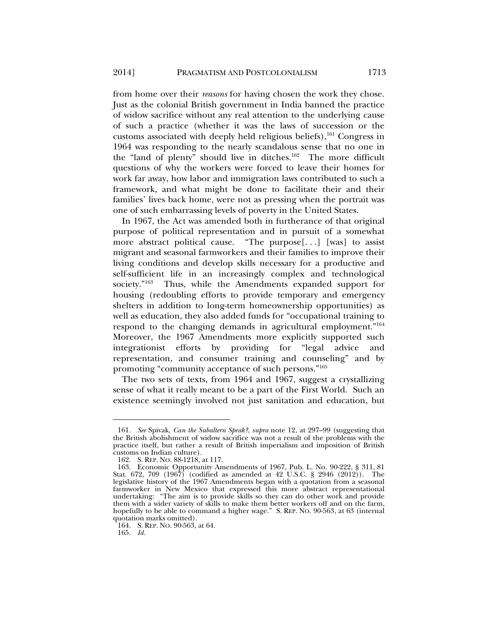from home over their *reasons* for having chosen the work they chose. Just as the colonial British government in India banned the practice of widow sacrifice without any real attention to the underlying cause of such a practice (whether it was the laws of succession or the customs associated with deeply held religious beliefs), $161$  Congress in 1964 was responding to the nearly scandalous sense that no one in the "land of plenty" should live in ditches.162 The more difficult questions of why the workers were forced to leave their homes for work far away, how labor and immigration laws contributed to such a framework, and what might be done to facilitate their and their families' lives back home, were not as pressing when the portrait was one of such embarrassing levels of poverty in the United States.

In 1967, the Act was amended both in furtherance of that original purpose of political representation and in pursuit of a somewhat more abstract political cause. "The purpose[. . .] [was] to assist migrant and seasonal farmworkers and their families to improve their living conditions and develop skills necessary for a productive and self-sufficient life in an increasingly complex and technological society."<sup>163</sup> Thus, while the Amendments expanded support for housing (redoubling efforts to provide temporary and emergency shelters in addition to long-term homeownership opportunities) as well as education, they also added funds for "occupational training to respond to the changing demands in agricultural employment."164 Moreover, the 1967 Amendments more explicitly supported such integrationist efforts by providing for "legal advice and representation, and consumer training and counseling" and by promoting "community acceptance of such persons."165

The two sets of texts, from 1964 and 1967, suggest a crystallizing sense of what it really meant to be a part of the First World. Such an existence seemingly involved not just sanitation and education, but

 <sup>161.</sup> *See* Spivak, *Can the Subaltern Speak?*, *supra* note 12, at 297–99 (suggesting that the British abolishment of widow sacrifice was not a result of the problems with the practice itself, but rather a result of British imperialism and imposition of British customs on Indian culture).

 <sup>162.</sup> S. REP. NO. 88-1218, at 117.

 <sup>163.</sup> Economic Opportunity Amendments of 1967, Pub. L. No. 90-222, § 311, 81 Stat. 672, 709 (1967) (codified as amended at 42 U.S.C. § 2946 (2012)). The legislative history of the 1967 Amendments began with a quotation from a seasonal farmworker in New Mexico that expressed this more abstract representational undertaking: "The aim is to provide skills so they can do other work and provide them with a wider variety of skills to make them better workers off and on the farm, hopefully to be able to command a higher wage." S. REP. NO. 90-563, at 63 (internal quotation marks omitted).

 <sup>164.</sup> S. REP. NO. 90-563, at 64.

 <sup>165.</sup> *Id.*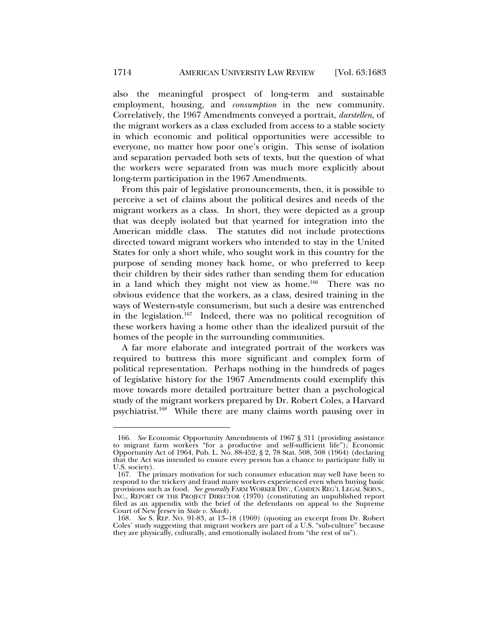also the meaningful prospect of long-term and sustainable employment, housing, and *consumption* in the new community. Correlatively, the 1967 Amendments conveyed a portrait, *darstellen*, of the migrant workers as a class excluded from access to a stable society in which economic and political opportunities were accessible to everyone, no matter how poor one's origin. This sense of isolation and separation pervaded both sets of texts, but the question of what the workers were separated from was much more explicitly about long-term participation in the 1967 Amendments.

From this pair of legislative pronouncements, then, it is possible to perceive a set of claims about the political desires and needs of the migrant workers as a class. In short, they were depicted as a group that was deeply isolated but that yearned for integration into the American middle class. The statutes did not include protections directed toward migrant workers who intended to stay in the United States for only a short while, who sought work in this country for the purpose of sending money back home, or who preferred to keep their children by their sides rather than sending them for education in a land which they might not view as home.<sup>166</sup> There was no obvious evidence that the workers, as a class, desired training in the ways of Western-style consumerism, but such a desire was entrenched in the legislation.<sup>167</sup> Indeed, there was no political recognition of these workers having a home other than the idealized pursuit of the homes of the people in the surrounding communities.

A far more elaborate and integrated portrait of the workers was required to buttress this more significant and complex form of political representation. Perhaps nothing in the hundreds of pages of legislative history for the 1967 Amendments could exemplify this move towards more detailed portraiture better than a psychological study of the migrant workers prepared by Dr. Robert Coles, a Harvard psychiatrist.168 While there are many claims worth pausing over in

 <sup>166.</sup> *See* Economic Opportunity Amendments of 1967 § 311 (providing assistance to migrant farm workers "for a productive and self-sufficient life"); Economic Opportunity Act of 1964, Pub. L. No. 88-452, § 2, 78 Stat. 508, 508 (1964) (declaring that the Act was intended to ensure every person has a chance to participate fully in U.S. society).

 <sup>167.</sup> The primary motivation for such consumer education may well have been to respond to the trickery and fraud many workers experienced even when buying basic provisions such as food. *See generally* FARM WORKER DIV., CAMDEN REG'L LEGAL SERVS., INC., REPORT OF THE PROJECT DIRECTOR (1970) (constituting an unpublished report filed as an appendix with the brief of the defendants on appeal to the Supreme Court of New Jersey in *State v. Shack*).

 <sup>168.</sup> *See* S. REP. NO. 91-83, at 13–18 (1969) (quoting an excerpt from Dr. Robert Coles' study suggesting that migrant workers are part of a U.S. "sub-culture" because they are physically, culturally, and emotionally isolated from "the rest of us").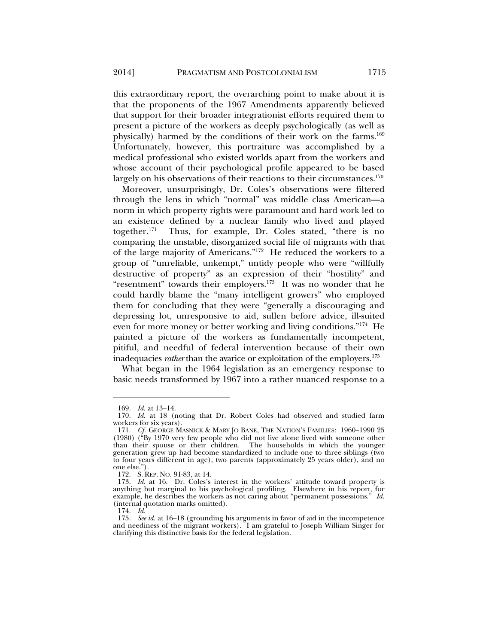this extraordinary report, the overarching point to make about it is that the proponents of the 1967 Amendments apparently believed that support for their broader integrationist efforts required them to present a picture of the workers as deeply psychologically (as well as physically) harmed by the conditions of their work on the farms.<sup>169</sup> Unfortunately, however, this portraiture was accomplished by a medical professional who existed worlds apart from the workers and whose account of their psychological profile appeared to be based largely on his observations of their reactions to their circumstances.<sup>170</sup>

Moreover, unsurprisingly, Dr. Coles's observations were filtered through the lens in which "normal" was middle class American—a norm in which property rights were paramount and hard work led to an existence defined by a nuclear family who lived and played together.171 Thus, for example, Dr. Coles stated, "there is no comparing the unstable, disorganized social life of migrants with that of the large majority of Americans."172 He reduced the workers to a group of "unreliable, unkempt," untidy people who were "willfully destructive of property" as an expression of their "hostility" and "resentment" towards their employers.<sup>173</sup> It was no wonder that he could hardly blame the "many intelligent growers" who employed them for concluding that they were "generally a discouraging and depressing lot, unresponsive to aid, sullen before advice, ill-suited even for more money or better working and living conditions."174 He painted a picture of the workers as fundamentally incompetent, pitiful, and needful of federal intervention because of their own inadequacies *rather* than the avarice or exploitation of the employers.<sup>175</sup>

What began in the 1964 legislation as an emergency response to basic needs transformed by 1967 into a rather nuanced response to a

 <sup>169.</sup> *Id.* at 13–14.

 <sup>170.</sup> *Id.* at 18 (noting that Dr. Robert Coles had observed and studied farm workers for six years).

 <sup>171.</sup> *Cf.* GEORGE MASNICK & MARY JO BANE, THE NATION'S FAMILIES: 1960–1990 25 (1980) ("By 1970 very few people who did not live alone lived with someone other than their spouse or their children. The households in which the younger generation grew up had become standardized to include one to three siblings (two to four years different in age), two parents (approximately 25 years older), and no one else.").

 <sup>172.</sup> S. REP. NO. 91-83, at 14.

 <sup>173.</sup> *Id.* at 16. Dr. Coles's interest in the workers' attitude toward property is anything but marginal to his psychological profiling. Elsewhere in his report, for example, he describes the workers as not caring about "permanent possessions." *Id.* (internal quotation marks omitted).

 <sup>174.</sup> *Id.*

 <sup>175.</sup> *See id.* at 16–18 (grounding his arguments in favor of aid in the incompetence and neediness of the migrant workers). I am grateful to Joseph William Singer for clarifying this distinctive basis for the federal legislation.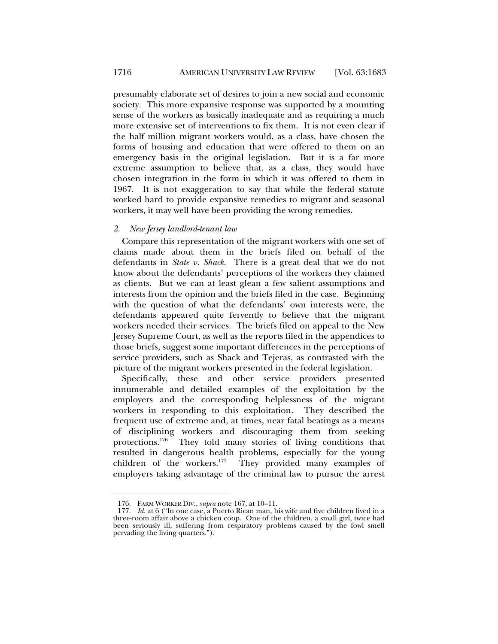presumably elaborate set of desires to join a new social and economic society. This more expansive response was supported by a mounting sense of the workers as basically inadequate and as requiring a much more extensive set of interventions to fix them. It is not even clear if the half million migrant workers would, as a class, have chosen the forms of housing and education that were offered to them on an emergency basis in the original legislation. But it is a far more extreme assumption to believe that, as a class, they would have chosen integration in the form in which it was offered to them in 1967. It is not exaggeration to say that while the federal statute worked hard to provide expansive remedies to migrant and seasonal workers, it may well have been providing the wrong remedies.

#### *2. New Jersey landlord-tenant law*

Compare this representation of the migrant workers with one set of claims made about them in the briefs filed on behalf of the defendants in *State v. Shack*. There is a great deal that we do not know about the defendants' perceptions of the workers they claimed as clients. But we can at least glean a few salient assumptions and interests from the opinion and the briefs filed in the case. Beginning with the question of what the defendants' own interests were, the defendants appeared quite fervently to believe that the migrant workers needed their services. The briefs filed on appeal to the New Jersey Supreme Court, as well as the reports filed in the appendices to those briefs, suggest some important differences in the perceptions of service providers, such as Shack and Tejeras, as contrasted with the picture of the migrant workers presented in the federal legislation.

Specifically, these and other service providers presented innumerable and detailed examples of the exploitation by the employers and the corresponding helplessness of the migrant workers in responding to this exploitation. They described the frequent use of extreme and, at times, near fatal beatings as a means of disciplining workers and discouraging them from seeking protections.176 They told many stories of living conditions that resulted in dangerous health problems, especially for the young children of the workers.177 They provided many examples of employers taking advantage of the criminal law to pursue the arrest

 <sup>176.</sup> FARM WORKER DIV., *supra* note 167, at 10–11.

 <sup>177.</sup> *Id.* at 6 ("In one case, a Puerto Rican man, his wife and five children lived in a three-room affair above a chicken coop. One of the children, a small girl, twice had been seriously ill, suffering from respiratory problems caused by the fowl smell pervading the living quarters.").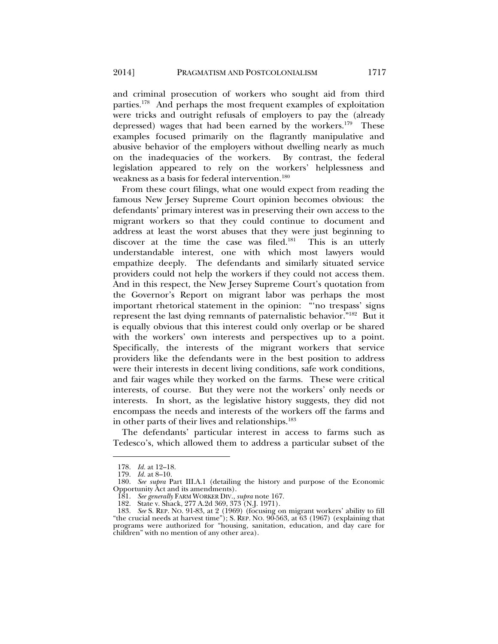and criminal prosecution of workers who sought aid from third parties.178 And perhaps the most frequent examples of exploitation were tricks and outright refusals of employers to pay the (already depressed) wages that had been earned by the workers.<sup>179</sup> These examples focused primarily on the flagrantly manipulative and abusive behavior of the employers without dwelling nearly as much on the inadequacies of the workers. By contrast, the federal legislation appeared to rely on the workers' helplessness and weakness as a basis for federal intervention.<sup>180</sup>

From these court filings, what one would expect from reading the famous New Jersey Supreme Court opinion becomes obvious: the defendants' primary interest was in preserving their own access to the migrant workers so that they could continue to document and address at least the worst abuses that they were just beginning to discover at the time the case was filed.<sup>181</sup> This is an utterly understandable interest, one with which most lawyers would empathize deeply. The defendants and similarly situated service providers could not help the workers if they could not access them. And in this respect, the New Jersey Supreme Court's quotation from the Governor's Report on migrant labor was perhaps the most important rhetorical statement in the opinion: "'no trespass' signs represent the last dying remnants of paternalistic behavior."182 But it is equally obvious that this interest could only overlap or be shared with the workers' own interests and perspectives up to a point. Specifically, the interests of the migrant workers that service providers like the defendants were in the best position to address were their interests in decent living conditions, safe work conditions, and fair wages while they worked on the farms. These were critical interests, of course. But they were not the workers' only needs or interests. In short, as the legislative history suggests, they did not encompass the needs and interests of the workers off the farms and in other parts of their lives and relationships.<sup>183</sup>

The defendants' particular interest in access to farms such as Tedesco's, which allowed them to address a particular subset of the

 <sup>178.</sup> *Id.* at 12–18.

 <sup>179.</sup> *Id.* at 8–10.

 <sup>180.</sup> *See supra* Part III.A.1 (detailing the history and purpose of the Economic Opportunity Act and its amendments).

 <sup>181.</sup> *See generally* FARM WORKER DIV., *supra* note 167.

 <sup>182.</sup> State v. Shack, 277 A.2d 369, 373 (N.J. 1971).

 <sup>183.</sup> *See* S. REP. NO. 91-83, at 2 (1969) (focusing on migrant workers' ability to fill "the crucial needs at harvest time"); S. REP. NO. 90-563, at 63 (1967) (explaining that programs were authorized for "housing, sanitation, education, and day care for children" with no mention of any other area).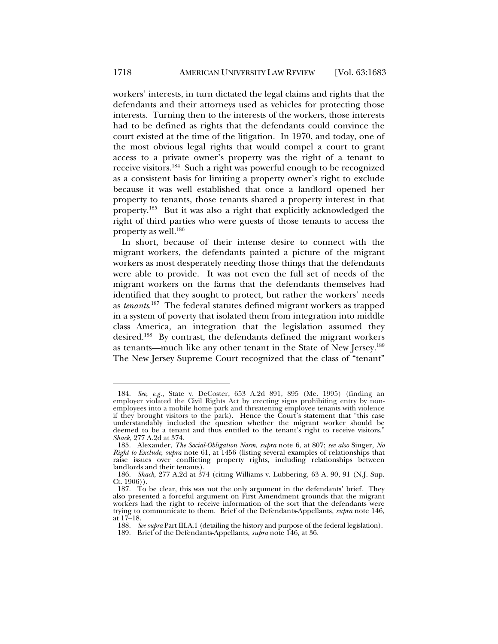workers' interests, in turn dictated the legal claims and rights that the defendants and their attorneys used as vehicles for protecting those interests. Turning then to the interests of the workers, those interests had to be defined as rights that the defendants could convince the court existed at the time of the litigation. In 1970, and today, one of the most obvious legal rights that would compel a court to grant access to a private owner's property was the right of a tenant to receive visitors.184 Such a right was powerful enough to be recognized as a consistent basis for limiting a property owner's right to exclude because it was well established that once a landlord opened her property to tenants, those tenants shared a property interest in that property.185 But it was also a right that explicitly acknowledged the right of third parties who were guests of those tenants to access the property as well. $186$ 

In short, because of their intense desire to connect with the migrant workers, the defendants painted a picture of the migrant workers as most desperately needing those things that the defendants were able to provide. It was not even the full set of needs of the migrant workers on the farms that the defendants themselves had identified that they sought to protect, but rather the workers' needs as *tenants*. 187 The federal statutes defined migrant workers as trapped in a system of poverty that isolated them from integration into middle class America, an integration that the legislation assumed they desired.188 By contrast, the defendants defined the migrant workers as tenants—much like any other tenant in the State of New Jersey.189 The New Jersey Supreme Court recognized that the class of "tenant"

 <sup>184.</sup> *See, e.g.,* State v. DeCoster, 653 A.2d 891, 895 (Me. 1995) (finding an employer violated the Civil Rights Act by erecting signs prohibiting entry by nonemployees into a mobile home park and threatening employee tenants with violence if they brought visitors to the park). Hence the Court's statement that "this case understandably included the question whether the migrant worker should be deemed to be a tenant and thus entitled to the tenant's right to receive visitors." *Shack*, 277 A.2d at 374.

 <sup>185.</sup> Alexander, *The Social-Obligation Norm*, *supra* note 6, at 807; *see also* Singer, *No Right to Exclude*, *supra* note 61, at 1456 (listing several examples of relationships that raise issues over conflicting property rights, including relationships between landlords and their tenants).

 <sup>186.</sup> *Shack*, 277 A.2d at 374 (citing Williams v. Lubbering, 63 A. 90, 91 (N.J. Sup. Ct. 1906)).

 <sup>187.</sup> To be clear, this was not the only argument in the defendants' brief. They also presented a forceful argument on First Amendment grounds that the migrant workers had the right to receive information of the sort that the defendants were trying to communicate to them. Brief of the Defendants-Appellants, *supra* note 146, at 17–18.

 <sup>188.</sup> *See supra* Part III.A.1 (detailing the history and purpose of the federal legislation).

 <sup>189.</sup> Brief of the Defendants-Appellants, *supra* note 146, at 36.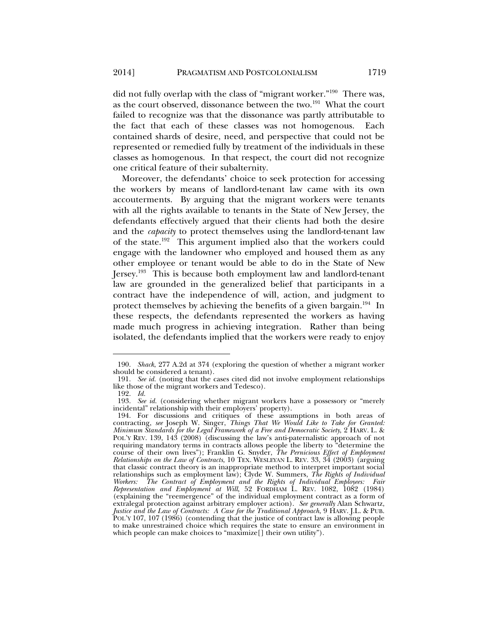did not fully overlap with the class of "migrant worker."190 There was, as the court observed, dissonance between the two.<sup>191</sup> What the court failed to recognize was that the dissonance was partly attributable to the fact that each of these classes was not homogenous. Each contained shards of desire, need, and perspective that could not be represented or remedied fully by treatment of the individuals in these classes as homogenous. In that respect, the court did not recognize one critical feature of their subalternity.

Moreover, the defendants' choice to seek protection for accessing the workers by means of landlord-tenant law came with its own accouterments. By arguing that the migrant workers were tenants with all the rights available to tenants in the State of New Jersey, the defendants effectively argued that their clients had both the desire and the *capacity* to protect themselves using the landlord-tenant law of the state.192 This argument implied also that the workers could engage with the landowner who employed and housed them as any other employee or tenant would be able to do in the State of New Jersey.193 This is because both employment law and landlord-tenant law are grounded in the generalized belief that participants in a contract have the independence of will, action, and judgment to protect themselves by achieving the benefits of a given bargain.<sup>194</sup> In these respects, the defendants represented the workers as having made much progress in achieving integration. Rather than being isolated, the defendants implied that the workers were ready to enjoy

 <sup>190.</sup> *Shack*, 277 A.2d at 374 (exploring the question of whether a migrant worker should be considered a tenant).

 <sup>191.</sup> *See id.* (noting that the cases cited did not involve employment relationships like those of the migrant workers and Tedesco).

 <sup>192.</sup> *Id.*

 <sup>193.</sup> *See id.* (considering whether migrant workers have a possessory or "merely incidental" relationship with their employers' property).

 <sup>194.</sup> For discussions and critiques of these assumptions in both areas of contracting, *see* Joseph W. Singer, *Things That We Would Like to Take for Granted: Minimum Standards for the Legal Framework of a Free and Democratic Society*, 2 HARV. L. & POL'Y REV. 139, 143 (2008) (discussing the law's anti-paternalistic approach of not requiring mandatory terms in contracts allows people the liberty to "determine the course of their own lives"); Franklin G. Snyder, *The Pernicious Effect of Employment Relationships on the Law of Contracts*, 10 TEX. WESLEYAN L. REV. 33, 34 (2003) (arguing that classic contract theory is an inappropriate method to interpret important social relationships such as employment law); Clyde W. Summers, *The Rights of Individual Workers: The Contract of Employment and the Rights of Individual Employees: Fair Representation and Employment at Will*, 52 FORDHAM L. REV. 1082, 1082 (1984) (explaining the "reemergence" of the individual employment contract as a form of extralegal protection against arbitrary employer action). *See generally* Alan Schwartz, *Justice and the Law of Contracts: A Case for the Traditional Approach*, 9 HARV. J.L. & PUB. POL'Y 107, 107 (1986) (contending that the justice of contract law is allowing people to make unrestrained choice which requires the state to ensure an environment in which people can make choices to "maximize[] their own utility").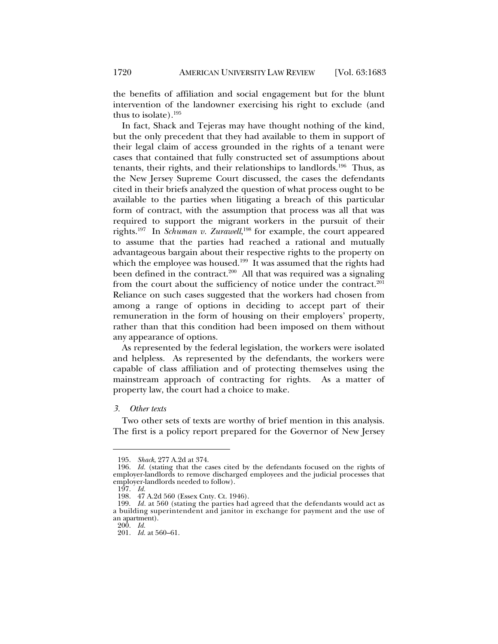the benefits of affiliation and social engagement but for the blunt intervention of the landowner exercising his right to exclude (and thus to isolate).195

In fact, Shack and Tejeras may have thought nothing of the kind, but the only precedent that they had available to them in support of their legal claim of access grounded in the rights of a tenant were cases that contained that fully constructed set of assumptions about tenants, their rights, and their relationships to landlords.196 Thus, as the New Jersey Supreme Court discussed, the cases the defendants cited in their briefs analyzed the question of what process ought to be available to the parties when litigating a breach of this particular form of contract, with the assumption that process was all that was required to support the migrant workers in the pursuit of their rights.197 In *Schuman v. Zurawell*, 198 for example, the court appeared to assume that the parties had reached a rational and mutually advantageous bargain about their respective rights to the property on which the employee was housed.<sup>199</sup> It was assumed that the rights had been defined in the contract.<sup>200</sup> All that was required was a signaling from the court about the sufficiency of notice under the contract.<sup>201</sup> Reliance on such cases suggested that the workers had chosen from among a range of options in deciding to accept part of their remuneration in the form of housing on their employers' property, rather than that this condition had been imposed on them without any appearance of options.

As represented by the federal legislation, the workers were isolated and helpless. As represented by the defendants, the workers were capable of class affiliation and of protecting themselves using the mainstream approach of contracting for rights. As a matter of property law, the court had a choice to make.

#### *3. Other texts*

Two other sets of texts are worthy of brief mention in this analysis. The first is a policy report prepared for the Governor of New Jersey

 <sup>195.</sup> *Shack*, 277 A.2d at 374.

 <sup>196.</sup> *Id.* (stating that the cases cited by the defendants focused on the rights of employer-landlords to remove discharged employees and the judicial processes that employer-landlords needed to follow).

 <sup>197.</sup> *Id.*

 <sup>198. 47</sup> A.2d 560 (Essex Cnty. Ct. 1946).

 <sup>199.</sup> *Id.* at 560 (stating the parties had agreed that the defendants would act as a building superintendent and janitor in exchange for payment and the use of an apartment).

 <sup>200.</sup> *Id.*

 <sup>201.</sup> *Id.* at 560–61.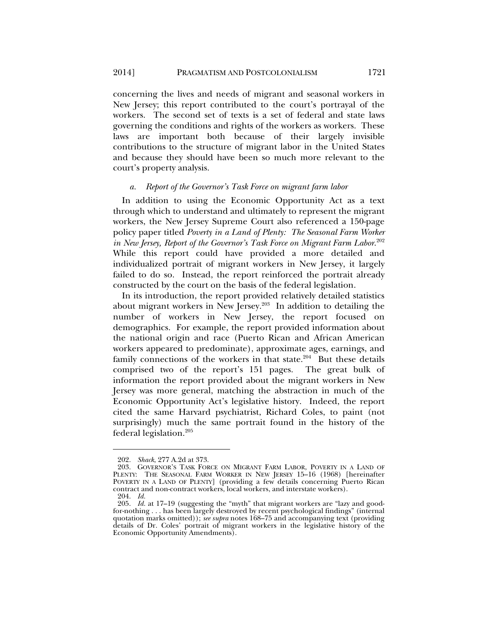concerning the lives and needs of migrant and seasonal workers in New Jersey; this report contributed to the court's portrayal of the workers. The second set of texts is a set of federal and state laws governing the conditions and rights of the workers as workers. These laws are important both because of their largely invisible contributions to the structure of migrant labor in the United States and because they should have been so much more relevant to the court's property analysis.

#### *a. Report of the Governor's Task Force on migrant farm labor*

In addition to using the Economic Opportunity Act as a text through which to understand and ultimately to represent the migrant workers, the New Jersey Supreme Court also referenced a 150-page policy paper titled *Poverty in a Land of Plenty: The Seasonal Farm Worker in New Jersey, Report of the Governor's Task Force on Migrant Farm Labor*. 202 While this report could have provided a more detailed and individualized portrait of migrant workers in New Jersey, it largely failed to do so. Instead, the report reinforced the portrait already constructed by the court on the basis of the federal legislation.

In its introduction, the report provided relatively detailed statistics about migrant workers in New Jersey. $203$  In addition to detailing the number of workers in New Jersey, the report focused on demographics. For example, the report provided information about the national origin and race (Puerto Rican and African American workers appeared to predominate), approximate ages, earnings, and family connections of the workers in that state. $204$  But these details comprised two of the report's 151 pages. The great bulk of information the report provided about the migrant workers in New Jersey was more general, matching the abstraction in much of the Economic Opportunity Act's legislative history. Indeed, the report cited the same Harvard psychiatrist, Richard Coles, to paint (not surprisingly) much the same portrait found in the history of the federal legislation.205

 <sup>202.</sup> *Shack*, 277 A.2d at 373.

 <sup>203.</sup> GOVERNOR'S TASK FORCE ON MIGRANT FARM LABOR, POVERTY IN A LAND OF PLENTY: THE SEASONAL FARM WORKER IN NEW JERSEY 15-16 (1968) [hereinafter POVERTY IN A LAND OF PLENTY] (providing a few details concerning Puerto Rican contract and non-contract workers, local workers, and interstate workers).

 <sup>204.</sup> *Id.*

 <sup>205.</sup> *Id.* at 17–19 (suggesting the "myth" that migrant workers are "lazy and goodfor-nothing . . . has been largely destroyed by recent psychological findings" (internal quotation marks omitted)); *see supra* notes 168–75 and accompanying text (providing details of Dr. Coles' portrait of migrant workers in the legislative history of the Economic Opportunity Amendments).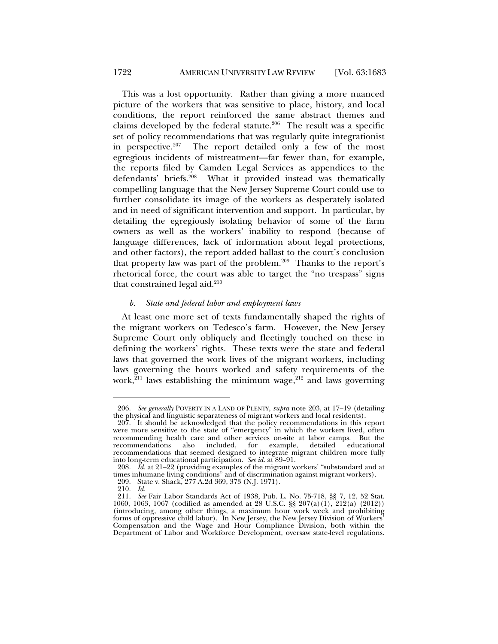This was a lost opportunity. Rather than giving a more nuanced picture of the workers that was sensitive to place, history, and local conditions, the report reinforced the same abstract themes and claims developed by the federal statute.<sup>206</sup> The result was a specific set of policy recommendations that was regularly quite integrationist in perspective. $207$  The report detailed only a few of the most egregious incidents of mistreatment—far fewer than, for example, the reports filed by Camden Legal Services as appendices to the defendants' briefs.<sup>208</sup> What it provided instead was thematically compelling language that the New Jersey Supreme Court could use to further consolidate its image of the workers as desperately isolated and in need of significant intervention and support. In particular, by detailing the egregiously isolating behavior of some of the farm owners as well as the workers' inability to respond (because of language differences, lack of information about legal protections, and other factors), the report added ballast to the court's conclusion that property law was part of the problem.209 Thanks to the report's rhetorical force, the court was able to target the "no trespass" signs that constrained legal aid. $210$ 

# *b. State and federal labor and employment laws*

At least one more set of texts fundamentally shaped the rights of the migrant workers on Tedesco's farm. However, the New Jersey Supreme Court only obliquely and fleetingly touched on these in defining the workers' rights. These texts were the state and federal laws that governed the work lives of the migrant workers, including laws governing the hours worked and safety requirements of the work,<sup>211</sup> laws establishing the minimum wage,<sup>212</sup> and laws governing

 <sup>206.</sup> *See generally* POVERTY IN A LAND OF PLENTY, *supra* note 203, at 17–19 (detailing the physical and linguistic separateness of migrant workers and local residents).

 <sup>207.</sup> It should be acknowledged that the policy recommendations in this report were more sensitive to the state of "emergency" in which the workers lived, often recommending health care and other services on-site at labor camps. But the recommendations also included, for example, detailed educational recommendations that seemed designed to integrate migrant children more fully into long-term educational participation. *See id.* at 89–91.

 <sup>208.</sup> *Id.* at 21–22 (providing examples of the migrant workers' "substandard and at times inhumane living conditions" and of discrimination against migrant workers).

 <sup>209.</sup> State v. Shack, 277 A.2d 369, 373 (N.J. 1971).

 <sup>210.</sup> *Id.*

 <sup>211.</sup> *See* Fair Labor Standards Act of 1938, Pub. L. No. 75-718, §§ 7, 12, 52 Stat. 1060, 1063, 1067 (codified as amended at 28 U.S.C. §§ 207(a)(1), 212(a) (2012)) (introducing, among other things, a maximum hour work week and prohibiting forms of oppressive child labor). In New Jersey, the New Jersey Division of Workers' Compensation and the Wage and Hour Compliance Division, both within the Department of Labor and Workforce Development, oversaw state-level regulations.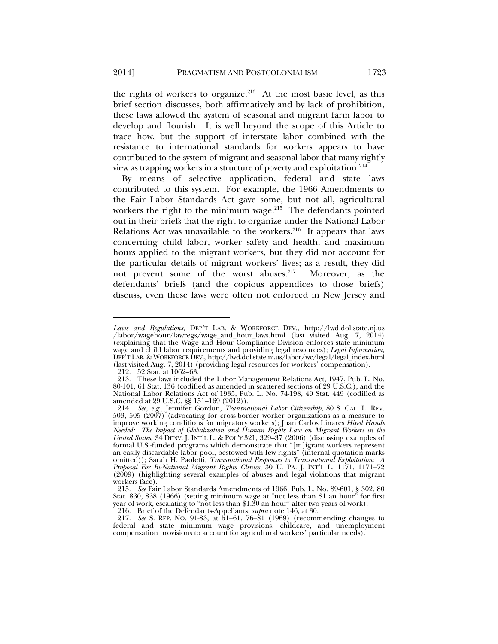the rights of workers to organize. $213$  At the most basic level, as this brief section discusses, both affirmatively and by lack of prohibition, these laws allowed the system of seasonal and migrant farm labor to develop and flourish. It is well beyond the scope of this Article to trace how, but the support of interstate labor combined with the resistance to international standards for workers appears to have contributed to the system of migrant and seasonal labor that many rightly view as trapping workers in a structure of poverty and exploitation.214

By means of selective application, federal and state laws contributed to this system. For example, the 1966 Amendments to the Fair Labor Standards Act gave some, but not all, agricultural workers the right to the minimum wage.<sup>215</sup> The defendants pointed out in their briefs that the right to organize under the National Labor Relations Act was unavailable to the workers. $216$  It appears that laws concerning child labor, worker safety and health, and maximum hours applied to the migrant workers, but they did not account for the particular details of migrant workers' lives; as a result, they did not prevent some of the worst abuses.217 Moreover, as the defendants' briefs (and the copious appendices to those briefs) discuss, even these laws were often not enforced in New Jersey and

*Laws and Regulations*, DEP'T LAB. & WORKFORCE DEV., http://lwd.dol.state.nj.us /labor/wagehour/lawregs/wage\_and\_hour\_laws.html (last visited Aug. 7, 2014) (explaining that the Wage and Hour Compliance Division enforces state minimum wage and child labor requirements and providing legal resources); *Legal Information*, DEP'T LAB. & WORKFORCE DEV., http://lwd.dol.state.nj.us/labor/wc/legal/legal\_index.html (last visited Aug. 7, 2014) (providing legal resources for workers' compensation).

 <sup>212. 52</sup> Stat. at 1062–63.

 <sup>213.</sup> These laws included the Labor Management Relations Act, 1947, Pub. L. No. 80-101, 61 Stat. 136 (codified as amended in scattered sections of 29 U.S.C.), and the National Labor Relations Act of 1935, Pub. L. No. 74-198, 49 Stat. 449 (codified as amended at 29 U.S.C. §§ 151–169 (2012)).

 <sup>214.</sup> *See, e.g.*, Jennifer Gordon, *Transnational Labor Citizenship*, 80 S. CAL. L. REV. 503, 505 (2007) (advocating for cross-border worker organizations as a measure to improve working conditions for migratory workers); Juan Carlos Linares *Hired Hands Needed: The Impact of Globalization and Human Rights Law on Migrant Workers in the United States*, 34 DENV. J. INT'L L. & POL'Y 321, 329–37 (2006) (discussing examples of formal U.S.-funded programs which demonstrate that "[m]igrant workers represent an easily discardable labor pool, bestowed with few rights" (internal quotation marks omitted)); Sarah H. Paoletti, *Transnational Responses to Transnational Exploitation: A Proposal For Bi-National Migrant Rights Clinics*, 30 U. PA. J. INT'L L. 1171, 1171–72 (2009) (highlighting several examples of abuses and legal violations that migrant workers face).

 <sup>215.</sup> *See* Fair Labor Standards Amendments of 1966, Pub. L. No. 89-601, § 302, 80 Stat. 830, 838 (1966) (setting minimum wage at "not less than \$1 an hour" for first year of work, escalating to "not less than \$1.30 an hour" after two years of work).

 <sup>216.</sup> Brief of the Defendants-Appellants, *supra* note 146, at 30.

 <sup>217.</sup> *See* S. REP. NO. 91-83, at 51–61, 76–81 (1969) (recommending changes to federal and state minimum wage provisions, childcare, and unemployment compensation provisions to account for agricultural workers' particular needs).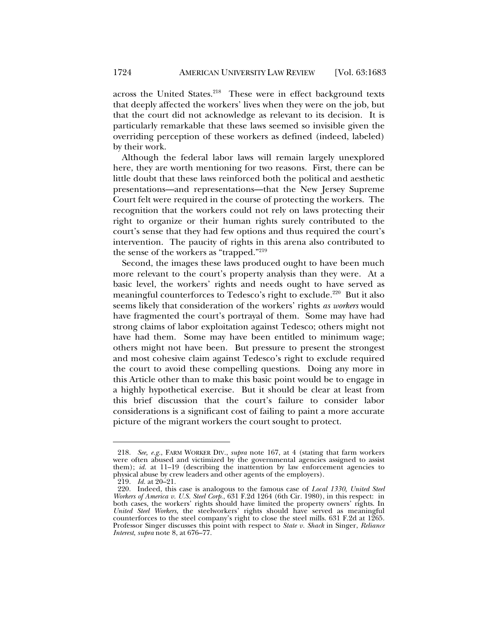across the United States.<sup>218</sup> These were in effect background texts that deeply affected the workers' lives when they were on the job, but that the court did not acknowledge as relevant to its decision. It is particularly remarkable that these laws seemed so invisible given the overriding perception of these workers as defined (indeed, labeled) by their work.

Although the federal labor laws will remain largely unexplored here, they are worth mentioning for two reasons. First, there can be little doubt that these laws reinforced both the political and aesthetic presentations—and representations—that the New Jersey Supreme Court felt were required in the course of protecting the workers. The recognition that the workers could not rely on laws protecting their right to organize or their human rights surely contributed to the court's sense that they had few options and thus required the court's intervention. The paucity of rights in this arena also contributed to the sense of the workers as "trapped."219

Second, the images these laws produced ought to have been much more relevant to the court's property analysis than they were. At a basic level, the workers' rights and needs ought to have served as meaningful counterforces to Tedesco's right to exclude.<sup>220</sup> But it also seems likely that consideration of the workers' rights *as workers* would have fragmented the court's portrayal of them. Some may have had strong claims of labor exploitation against Tedesco; others might not have had them. Some may have been entitled to minimum wage; others might not have been. But pressure to present the strongest and most cohesive claim against Tedesco's right to exclude required the court to avoid these compelling questions. Doing any more in this Article other than to make this basic point would be to engage in a highly hypothetical exercise. But it should be clear at least from this brief discussion that the court's failure to consider labor considerations is a significant cost of failing to paint a more accurate picture of the migrant workers the court sought to protect.

 <sup>218.</sup> *See, e.g.*, FARM WORKER DIV., *supra* note 167, at 4 (stating that farm workers were often abused and victimized by the governmental agencies assigned to assist them); *id.* at 11-19 (describing the inattention by law enforcement agencies to physical abuse by crew leaders and other agents of the employers).

 <sup>219.</sup> *Id.* at 20–21.

 <sup>220.</sup> Indeed, this case is analogous to the famous case of *Local 1330, United Steel Workers of America v. U.S. Steel Corp.*, 631 F.2d 1264 (6th Cir. 1980), in this respect: in both cases, the workers' rights should have limited the property owners' rights. In *United Steel Workers*, the steelworkers' rights should have served as meaningful counterforces to the steel company's right to close the steel mills. 631 F.2d at 1265. Professor Singer discusses this point with respect to *State v. Shack* in Singer, *Reliance Interest*, *supra* note 8, at 676–77.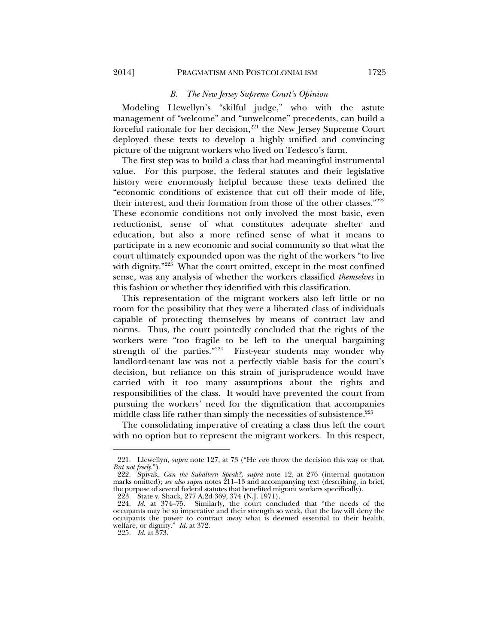# *B. The New Jersey Supreme Court's Opinion*

Modeling Llewellyn's "skilful judge," who with the astute management of "welcome" and "unwelcome" precedents, can build a forceful rationale for her decision,<sup>221</sup> the New Jersey Supreme Court deployed these texts to develop a highly unified and convincing picture of the migrant workers who lived on Tedesco's farm.

The first step was to build a class that had meaningful instrumental value. For this purpose, the federal statutes and their legislative history were enormously helpful because these texts defined the "economic conditions of existence that cut off their mode of life, their interest, and their formation from those of the other classes."222 These economic conditions not only involved the most basic, even reductionist, sense of what constitutes adequate shelter and education, but also a more refined sense of what it means to participate in a new economic and social community so that what the court ultimately expounded upon was the right of the workers "to live with dignity."<sup>223</sup> What the court omitted, except in the most confined sense, was any analysis of whether the workers classified *themselves* in this fashion or whether they identified with this classification.

This representation of the migrant workers also left little or no room for the possibility that they were a liberated class of individuals capable of protecting themselves by means of contract law and norms. Thus, the court pointedly concluded that the rights of the workers were "too fragile to be left to the unequal bargaining strength of the parties."<sup>224</sup> First-year students may wonder why landlord-tenant law was not a perfectly viable basis for the court's decision, but reliance on this strain of jurisprudence would have carried with it too many assumptions about the rights and responsibilities of the class. It would have prevented the court from pursuing the workers' need for the dignification that accompanies middle class life rather than simply the necessities of subsistence.<sup>225</sup>

The consolidating imperative of creating a class thus left the court with no option but to represent the migrant workers. In this respect,

223. State v. Shack, 277 A.2d 369, 374 (N.J. 1971).

 <sup>221.</sup> Llewellyn, *supra* note 127, at 73 ("He *can* throw the decision this way or that. *But not freely*.").

 <sup>222.</sup> Spivak, *Can the Subaltern Speak?*, *supra* note 12, at 276 (internal quotation marks omitted); *see also supra* notes 211–13 and accompanying text (describing, in brief, the purpose of several federal statutes that benefited migrant workers specifically).

 <sup>224.</sup> *Id.* at 374–75. Similarly, the court concluded that "the needs of the occupants may be so imperative and their strength so weak, that the law will deny the occupants the power to contract away what is deemed essential to their health, welfare, or dignity." *Id.* at 372.

 <sup>225.</sup> *Id.* at 373.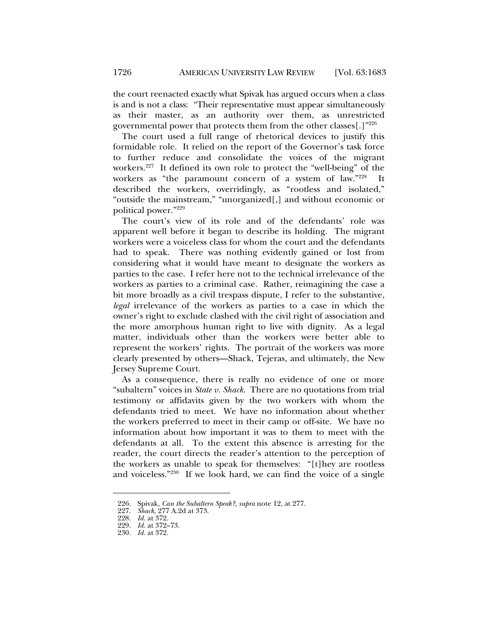the court reenacted exactly what Spivak has argued occurs when a class is and is not a class: "Their representative must appear simultaneously as their master, as an authority over them, as unrestricted governmental power that protects them from the other classes[.]"226

The court used a full range of rhetorical devices to justify this formidable role. It relied on the report of the Governor's task force to further reduce and consolidate the voices of the migrant workers.<sup>227</sup> It defined its own role to protect the "well-being" of the workers as "the paramount concern of a system of law."228 It described the workers, overridingly, as "rootless and isolated," "outside the mainstream," "unorganized[,] and without economic or political power."229

The court's view of its role and of the defendants' role was apparent well before it began to describe its holding. The migrant workers were a voiceless class for whom the court and the defendants had to speak. There was nothing evidently gained or lost from considering what it would have meant to designate the workers as parties to the case. I refer here not to the technical irrelevance of the workers as parties to a criminal case. Rather, reimagining the case a bit more broadly as a civil trespass dispute, I refer to the substantive, *legal* irrelevance of the workers as parties to a case in which the owner's right to exclude clashed with the civil right of association and the more amorphous human right to live with dignity. As a legal matter, individuals other than the workers were better able to represent the workers' rights. The portrait of the workers was more clearly presented by others—Shack, Tejeras, and ultimately, the New Jersey Supreme Court.

As a consequence, there is really no evidence of one or more "subaltern" voices in *State v. Shack*. There are no quotations from trial testimony or affidavits given by the two workers with whom the defendants tried to meet. We have no information about whether the workers preferred to meet in their camp or off-site. We have no information about how important it was to them to meet with the defendants at all. To the extent this absence is arresting for the reader, the court directs the reader's attention to the perception of the workers as unable to speak for themselves: "[t]hey are rootless and voiceless."230 If we look hard, we can find the voice of a single

 <sup>226.</sup> Spivak, *Can the Subaltern Speak?*, *supra* note 12, at 277.

 <sup>227.</sup> *Shack*, 277 A.2d at 373.

 <sup>228.</sup> *Id.* at 372.

 <sup>229.</sup> *Id.* at 372–73.

 <sup>230.</sup> *Id.* at 372.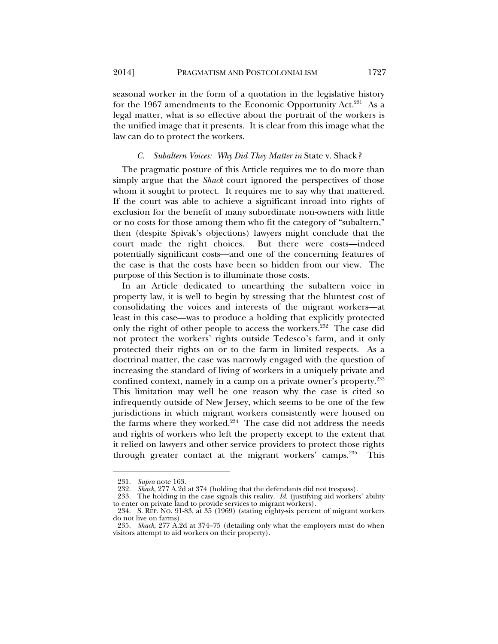seasonal worker in the form of a quotation in the legislative history for the 1967 amendments to the Economic Opportunity Act.<sup>231</sup> As a legal matter, what is so effective about the portrait of the workers is the unified image that it presents. It is clear from this image what the law can do to protect the workers.

### *C. Subaltern Voices: Why Did They Matter in* State v. Shack*?*

The pragmatic posture of this Article requires me to do more than simply argue that the *Shack* court ignored the perspectives of those whom it sought to protect. It requires me to say why that mattered. If the court was able to achieve a significant inroad into rights of exclusion for the benefit of many subordinate non-owners with little or no costs for those among them who fit the category of "subaltern," then (despite Spivak's objections) lawyers might conclude that the court made the right choices. But there were costs—indeed potentially significant costs—and one of the concerning features of the case is that the costs have been so hidden from our view. The purpose of this Section is to illuminate those costs.

In an Article dedicated to unearthing the subaltern voice in property law, it is well to begin by stressing that the bluntest cost of consolidating the voices and interests of the migrant workers—at least in this case—was to produce a holding that explicitly protected only the right of other people to access the workers.<sup>232</sup> The case did not protect the workers' rights outside Tedesco's farm, and it only protected their rights on or to the farm in limited respects. As a doctrinal matter, the case was narrowly engaged with the question of increasing the standard of living of workers in a uniquely private and confined context, namely in a camp on a private owner's property.233 This limitation may well be one reason why the case is cited so infrequently outside of New Jersey, which seems to be one of the few jurisdictions in which migrant workers consistently were housed on the farms where they worked. $234$  The case did not address the needs and rights of workers who left the property except to the extent that it relied on lawyers and other service providers to protect those rights through greater contact at the migrant workers' camps.<sup>235</sup> This

 <sup>231.</sup> *Supra* note 163.

*Shack*, 277 A.2d at 374 (holding that the defendants did not trespass).

 <sup>233.</sup> The holding in the case signals this reality. *Id.* (justifying aid workers' ability to enter on private land to provide services to migrant workers).

 <sup>234.</sup> S. REP. NO. 91-83, at 35 (1969) (stating eighty-six percent of migrant workers do not live on farms).

 <sup>235.</sup> *Shack*, 277 A.2d at 374–75 (detailing only what the employers must do when visitors attempt to aid workers on their property).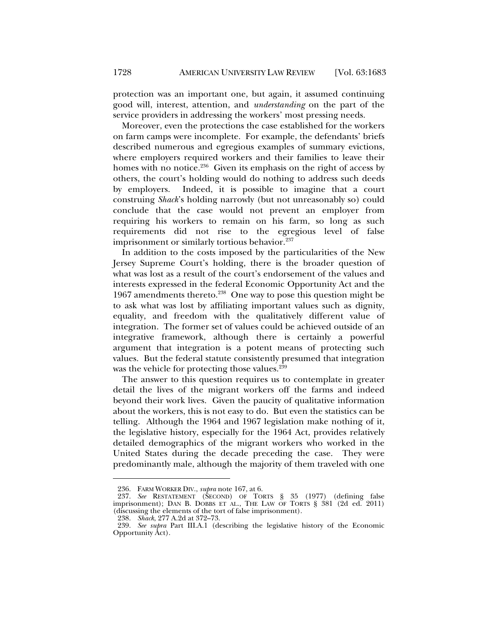protection was an important one, but again, it assumed continuing good will, interest, attention, and *understanding* on the part of the service providers in addressing the workers' most pressing needs.

Moreover, even the protections the case established for the workers on farm camps were incomplete. For example, the defendants' briefs described numerous and egregious examples of summary evictions, where employers required workers and their families to leave their homes with no notice.<sup>236</sup> Given its emphasis on the right of access by others, the court's holding would do nothing to address such deeds by employers. Indeed, it is possible to imagine that a court construing *Shack*'s holding narrowly (but not unreasonably so) could conclude that the case would not prevent an employer from requiring his workers to remain on his farm, so long as such requirements did not rise to the egregious level of false imprisonment or similarly tortious behavior.<sup>237</sup>

In addition to the costs imposed by the particularities of the New Jersey Supreme Court's holding, there is the broader question of what was lost as a result of the court's endorsement of the values and interests expressed in the federal Economic Opportunity Act and the 1967 amendments thereto.<sup>238</sup> One way to pose this question might be to ask what was lost by affiliating important values such as dignity, equality, and freedom with the qualitatively different value of integration. The former set of values could be achieved outside of an integrative framework, although there is certainly a powerful argument that integration is a potent means of protecting such values. But the federal statute consistently presumed that integration was the vehicle for protecting those values.<sup>239</sup>

The answer to this question requires us to contemplate in greater detail the lives of the migrant workers off the farms and indeed beyond their work lives. Given the paucity of qualitative information about the workers, this is not easy to do. But even the statistics can be telling. Although the 1964 and 1967 legislation make nothing of it, the legislative history, especially for the 1964 Act, provides relatively detailed demographics of the migrant workers who worked in the United States during the decade preceding the case. They were predominantly male, although the majority of them traveled with one

 <sup>236.</sup> FARM WORKER DIV., *supra* note 167, at 6.

 <sup>237.</sup> *See* RESTATEMENT (SECOND) OF TORTS § 35 (1977) (defining false imprisonment); DAN B. DOBBS ET AL., THE LAW OF TORTS § 381 (2d ed. 2011) (discussing the elements of the tort of false imprisonment).

 <sup>238.</sup> *Shack*, 277 A.2d at 372–73.

 <sup>239.</sup> *See supra* Part III.A.1 (describing the legislative history of the Economic Opportunity Act).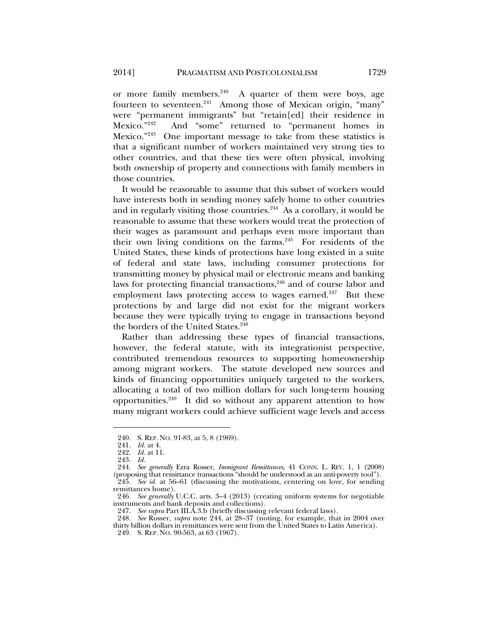or more family members. $240$  A quarter of them were boys, age fourteen to seventeen.<sup>241</sup> Among those of Mexican origin, "many" were "permanent immigrants" but "retain[ed] their residence in Mexico."242 And "some" returned to "permanent homes in Mexico."243 One important message to take from these statistics is that a significant number of workers maintained very strong ties to other countries, and that these ties were often physical, involving both ownership of property and connections with family members in those countries.

It would be reasonable to assume that this subset of workers would have interests both in sending money safely home to other countries and in regularly visiting those countries. $244$  As a corollary, it would be reasonable to assume that these workers would treat the protection of their wages as paramount and perhaps even more important than their own living conditions on the farms. $245$  For residents of the United States, these kinds of protections have long existed in a suite of federal and state laws, including consumer protections for transmitting money by physical mail or electronic means and banking laws for protecting financial transactions,<sup>246</sup> and of course labor and employment laws protecting access to wages earned.<sup>247</sup> But these protections by and large did not exist for the migrant workers because they were typically trying to engage in transactions beyond the borders of the United States.<sup>248</sup>

Rather than addressing these types of financial transactions, however, the federal statute, with its integrationist perspective, contributed tremendous resources to supporting homeownership among migrant workers. The statute developed new sources and kinds of financing opportunities uniquely targeted to the workers, allocating a total of two million dollars for such long-term housing opportunities. $249$  It did so without any apparent attention to how many migrant workers could achieve sufficient wage levels and access

 <sup>240.</sup> S. REP. NO. 91-83, at 5, 8 (1969).

 <sup>241.</sup> *Id.* at 4.

 <sup>242.</sup> *Id.* at 11.

 <sup>243.</sup> *Id.*

 <sup>244.</sup> *See generally* Ezra Rosser, *Immigrant Remittances*, 41 CONN. L. REV. 1, 1 (2008) (proposing that remittance transactions "should be understood as an anti-poverty tool"). 245. *See id.* at 56–61 (discussing the motivations, centering on love, for sending remittances home).

 <sup>246.</sup> *See generally* U.C.C. arts. 3–4 (2013) (creating uniform systems for negotiable instruments and bank deposits and collections).

 <sup>247.</sup> *See supra* Part III.A.3.b (briefly discussing relevant federal laws).

 <sup>248.</sup> *See* Rosser, *supra* note 244, at 28–37 (noting, for example, that in 2004 over thirty billion dollars in remittances were sent from the United States to Latin America).

 <sup>249.</sup> S. REP. NO. 90-563, at 63 (1967).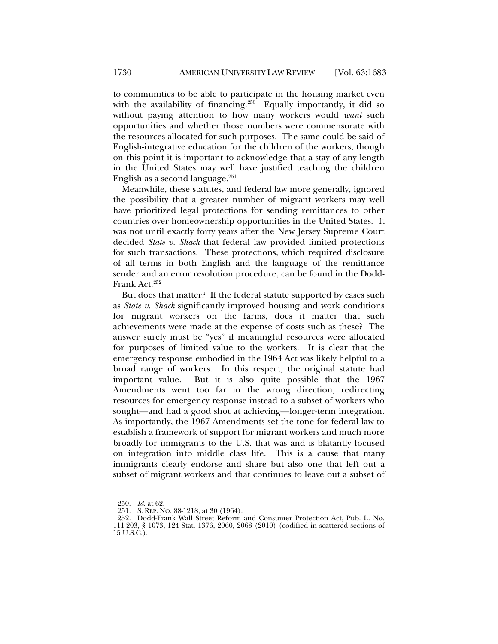to communities to be able to participate in the housing market even with the availability of financing.<sup>250</sup> Equally importantly, it did so without paying attention to how many workers would *want* such opportunities and whether those numbers were commensurate with the resources allocated for such purposes. The same could be said of English-integrative education for the children of the workers, though on this point it is important to acknowledge that a stay of any length in the United States may well have justified teaching the children English as a second language. $251$ 

Meanwhile, these statutes, and federal law more generally, ignored the possibility that a greater number of migrant workers may well have prioritized legal protections for sending remittances to other countries over homeownership opportunities in the United States. It was not until exactly forty years after the New Jersey Supreme Court decided *State v. Shack* that federal law provided limited protections for such transactions. These protections, which required disclosure of all terms in both English and the language of the remittance sender and an error resolution procedure, can be found in the Dodd-Frank Act.<sup>252</sup>

But does that matter? If the federal statute supported by cases such as *State v. Shack* significantly improved housing and work conditions for migrant workers on the farms, does it matter that such achievements were made at the expense of costs such as these? The answer surely must be "yes" if meaningful resources were allocated for purposes of limited value to the workers. It is clear that the emergency response embodied in the 1964 Act was likely helpful to a broad range of workers. In this respect, the original statute had important value. But it is also quite possible that the 1967 Amendments went too far in the wrong direction, redirecting resources for emergency response instead to a subset of workers who sought—and had a good shot at achieving—longer-term integration. As importantly, the 1967 Amendments set the tone for federal law to establish a framework of support for migrant workers and much more broadly for immigrants to the U.S. that was and is blatantly focused on integration into middle class life. This is a cause that many immigrants clearly endorse and share but also one that left out a subset of migrant workers and that continues to leave out a subset of

 <sup>250.</sup> *Id.* at 62.

 <sup>251.</sup> S. REP. NO. 88-1218, at 30 (1964).

 <sup>252.</sup> Dodd-Frank Wall Street Reform and Consumer Protection Act, Pub. L. No. 111-203, § 1073, 124 Stat. 1376, 2060, 2063 (2010) (codified in scattered sections of 15 U.S.C.).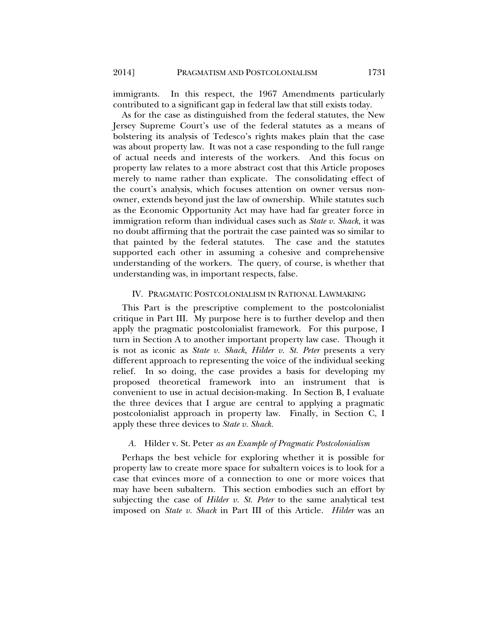immigrants. In this respect, the 1967 Amendments particularly contributed to a significant gap in federal law that still exists today.

As for the case as distinguished from the federal statutes, the New Jersey Supreme Court's use of the federal statutes as a means of bolstering its analysis of Tedesco's rights makes plain that the case was about property law. It was not a case responding to the full range of actual needs and interests of the workers. And this focus on property law relates to a more abstract cost that this Article proposes merely to name rather than explicate. The consolidating effect of the court's analysis, which focuses attention on owner versus nonowner, extends beyond just the law of ownership. While statutes such as the Economic Opportunity Act may have had far greater force in immigration reform than individual cases such as *State v. Shack*, it was no doubt affirming that the portrait the case painted was so similar to that painted by the federal statutes. The case and the statutes supported each other in assuming a cohesive and comprehensive understanding of the workers. The query, of course, is whether that understanding was, in important respects, false.

### IV. PRAGMATIC POSTCOLONIALISM IN RATIONAL LAWMAKING

This Part is the prescriptive complement to the postcolonialist critique in Part III. My purpose here is to further develop and then apply the pragmatic postcolonialist framework. For this purpose, I turn in Section A to another important property law case. Though it is not as iconic as *State v. Shack*, *Hilder v. St. Peter* presents a very different approach to representing the voice of the individual seeking relief. In so doing, the case provides a basis for developing my proposed theoretical framework into an instrument that is convenient to use in actual decision-making. In Section B, I evaluate the three devices that I argue are central to applying a pragmatic postcolonialist approach in property law. Finally, in Section C, I apply these three devices to *State v. Shack.* 

#### *A.* Hilder v. St. Peter *as an Example of Pragmatic Postcolonialism*

Perhaps the best vehicle for exploring whether it is possible for property law to create more space for subaltern voices is to look for a case that evinces more of a connection to one or more voices that may have been subaltern. This section embodies such an effort by subjecting the case of *Hilder v. St. Peter* to the same analytical test imposed on *State v. Shack* in Part III of this Article. *Hilder* was an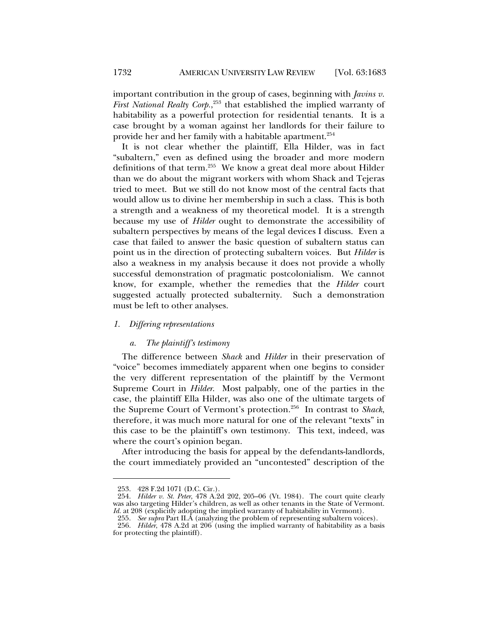important contribution in the group of cases, beginning with *Javins v. First National Realty Corp.*, 253 that established the implied warranty of habitability as a powerful protection for residential tenants. It is a case brought by a woman against her landlords for their failure to provide her and her family with a habitable apartment.254

It is not clear whether the plaintiff, Ella Hilder, was in fact "subaltern," even as defined using the broader and more modern definitions of that term.255 We know a great deal more about Hilder than we do about the migrant workers with whom Shack and Tejeras tried to meet. But we still do not know most of the central facts that would allow us to divine her membership in such a class. This is both a strength and a weakness of my theoretical model. It is a strength because my use of *Hilder* ought to demonstrate the accessibility of subaltern perspectives by means of the legal devices I discuss. Even a case that failed to answer the basic question of subaltern status can point us in the direction of protecting subaltern voices. But *Hilder* is also a weakness in my analysis because it does not provide a wholly successful demonstration of pragmatic postcolonialism. We cannot know, for example, whether the remedies that the *Hilder* court suggested actually protected subalternity. Such a demonstration must be left to other analyses.

#### *1. Differing representations*

#### *a. The plaintiff's testimony*

The difference between *Shack* and *Hilder* in their preservation of "voice" becomes immediately apparent when one begins to consider the very different representation of the plaintiff by the Vermont Supreme Court in *Hilder*. Most palpably, one of the parties in the case, the plaintiff Ella Hilder, was also one of the ultimate targets of the Supreme Court of Vermont's protection.256 In contrast to *Shack*, therefore, it was much more natural for one of the relevant "texts" in this case to be the plaintiff's own testimony. This text, indeed, was where the court's opinion began.

After introducing the basis for appeal by the defendants-landlords, the court immediately provided an "uncontested" description of the

 <sup>253. 428</sup> F.2d 1071 (D.C. Cir.).

 <sup>254.</sup> *Hilder v. St. Peter*, 478 A.2d 202, 205–06 (Vt. 1984). The court quite clearly was also targeting Hilder's children, as well as other tenants in the State of Vermont. *Id.* at 208 (explicitly adopting the implied warranty of habitability in Vermont).

 <sup>255.</sup> *See supra* Part II.A (analyzing the problem of representing subaltern voices). 256. *Hilder*, 478 A.2d at 206 (using the implied warranty of habitability as a basis for protecting the plaintiff).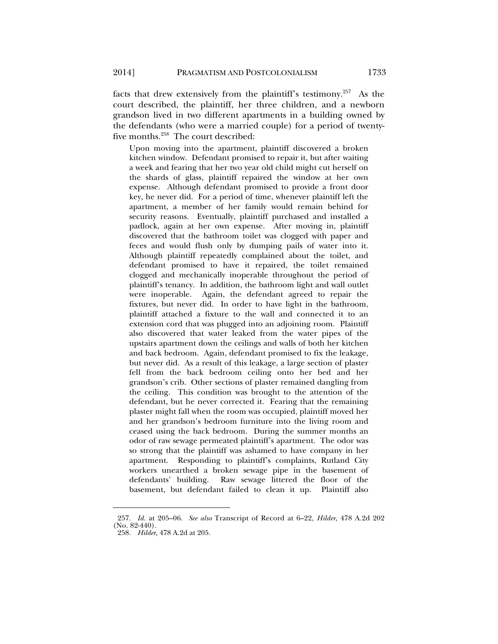facts that drew extensively from the plaintiff's testimony.<sup>257</sup> As the court described, the plaintiff, her three children, and a newborn grandson lived in two different apartments in a building owned by the defendants (who were a married couple) for a period of twentyfive months.258 The court described:

Upon moving into the apartment, plaintiff discovered a broken kitchen window. Defendant promised to repair it, but after waiting a week and fearing that her two year old child might cut herself on the shards of glass, plaintiff repaired the window at her own expense. Although defendant promised to provide a front door key, he never did. For a period of time, whenever plaintiff left the apartment, a member of her family would remain behind for security reasons. Eventually, plaintiff purchased and installed a padlock, again at her own expense. After moving in, plaintiff discovered that the bathroom toilet was clogged with paper and feces and would flush only by dumping pails of water into it. Although plaintiff repeatedly complained about the toilet, and defendant promised to have it repaired, the toilet remained clogged and mechanically inoperable throughout the period of plaintiff's tenancy. In addition, the bathroom light and wall outlet were inoperable. Again, the defendant agreed to repair the fixtures, but never did. In order to have light in the bathroom, plaintiff attached a fixture to the wall and connected it to an extension cord that was plugged into an adjoining room. Plaintiff also discovered that water leaked from the water pipes of the upstairs apartment down the ceilings and walls of both her kitchen and back bedroom. Again, defendant promised to fix the leakage, but never did. As a result of this leakage, a large section of plaster fell from the back bedroom ceiling onto her bed and her grandson's crib. Other sections of plaster remained dangling from the ceiling. This condition was brought to the attention of the defendant, but he never corrected it. Fearing that the remaining plaster might fall when the room was occupied, plaintiff moved her and her grandson's bedroom furniture into the living room and ceased using the back bedroom. During the summer months an odor of raw sewage permeated plaintiff's apartment. The odor was so strong that the plaintiff was ashamed to have company in her apartment. Responding to plaintiff's complaints, Rutland City workers unearthed a broken sewage pipe in the basement of defendants' building. Raw sewage littered the floor of the basement, but defendant failed to clean it up. Plaintiff also

 <sup>257.</sup> *Id.* at 205–06. *See also* Transcript of Record at 6–22, *Hilder*, 478 A.2d 202 (No. 82-440).

 <sup>258.</sup> *Hilder*, 478 A.2d at 205.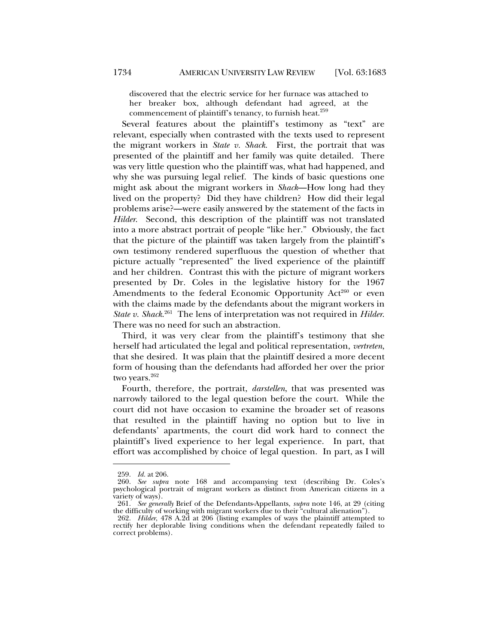discovered that the electric service for her furnace was attached to her breaker box, although defendant had agreed, at the commencement of plaintiff's tenancy, to furnish heat. $259$ 

Several features about the plaintiff's testimony as "text" are relevant, especially when contrasted with the texts used to represent the migrant workers in *State v. Shack*. First, the portrait that was presented of the plaintiff and her family was quite detailed. There was very little question who the plaintiff was, what had happened, and why she was pursuing legal relief. The kinds of basic questions one might ask about the migrant workers in *Shack*—How long had they lived on the property? Did they have children? How did their legal problems arise?—were easily answered by the statement of the facts in *Hilder*. Second, this description of the plaintiff was not translated into a more abstract portrait of people "like her." Obviously, the fact that the picture of the plaintiff was taken largely from the plaintiff's own testimony rendered superfluous the question of whether that picture actually "represented" the lived experience of the plaintiff and her children. Contrast this with the picture of migrant workers presented by Dr. Coles in the legislative history for the 1967 Amendments to the federal Economic Opportunity Act<sup>260</sup> or even with the claims made by the defendants about the migrant workers in *State v. Shack*. 261 The lens of interpretation was not required in *Hilder*. There was no need for such an abstraction.

Third, it was very clear from the plaintiff's testimony that she herself had articulated the legal and political representation, *vertreten*, that she desired. It was plain that the plaintiff desired a more decent form of housing than the defendants had afforded her over the prior two years.<sup>262</sup>

Fourth, therefore, the portrait, *darstellen*, that was presented was narrowly tailored to the legal question before the court. While the court did not have occasion to examine the broader set of reasons that resulted in the plaintiff having no option but to live in defendants' apartments, the court did work hard to connect the plaintiff's lived experience to her legal experience. In part, that effort was accomplished by choice of legal question. In part, as I will

 <sup>259.</sup> *Id.* at 206.

 <sup>260.</sup> *See supra* note 168 and accompanying text (describing Dr. Coles's psychological portrait of migrant workers as distinct from American citizens in a variety of ways).

 <sup>261.</sup> *See generally* Brief of the Defendants-Appellants, *supra* note 146, at 29 (citing the difficulty of working with migrant workers due to their "cultural alienation").

 <sup>262.</sup> *Hilder*, 478 A.2d at 206 (listing examples of ways the plaintiff attempted to rectify her deplorable living conditions when the defendant repeatedly failed to correct problems).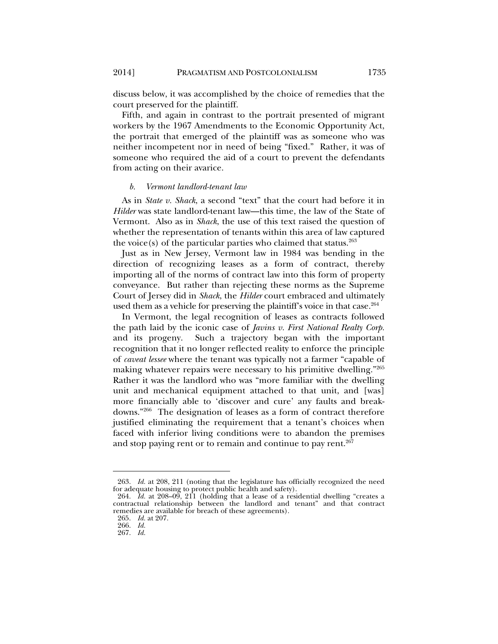discuss below, it was accomplished by the choice of remedies that the court preserved for the plaintiff.

Fifth, and again in contrast to the portrait presented of migrant workers by the 1967 Amendments to the Economic Opportunity Act, the portrait that emerged of the plaintiff was as someone who was neither incompetent nor in need of being "fixed." Rather, it was of someone who required the aid of a court to prevent the defendants from acting on their avarice.

#### *b. Vermont landlord-tenant law*

As in *State v. Shack*, a second "text" that the court had before it in *Hilder* was state landlord-tenant law—this time, the law of the State of Vermont. Also as in *Shack*, the use of this text raised the question of whether the representation of tenants within this area of law captured the voice(s) of the particular parties who claimed that status. $263$ 

Just as in New Jersey, Vermont law in 1984 was bending in the direction of recognizing leases as a form of contract, thereby importing all of the norms of contract law into this form of property conveyance. But rather than rejecting these norms as the Supreme Court of Jersey did in *Shack*, the *Hilder* court embraced and ultimately used them as a vehicle for preserving the plaintiff's voice in that case.<sup>264</sup>

In Vermont, the legal recognition of leases as contracts followed the path laid by the iconic case of *Javins v. First National Realty Corp.* and its progeny. Such a trajectory began with the important recognition that it no longer reflected reality to enforce the principle of *caveat lessee* where the tenant was typically not a farmer "capable of making whatever repairs were necessary to his primitive dwelling."265 Rather it was the landlord who was "more familiar with the dwelling unit and mechanical equipment attached to that unit, and [was] more financially able to 'discover and cure' any faults and breakdowns."266 The designation of leases as a form of contract therefore justified eliminating the requirement that a tenant's choices when faced with inferior living conditions were to abandon the premises and stop paying rent or to remain and continue to pay rent.<sup>267</sup>

 <sup>263.</sup> *Id.* at 208, 211 (noting that the legislature has officially recognized the need for adequate housing to protect public health and safety).

 <sup>264.</sup> *Id.* at 208–09, 211 (holding that a lease of a residential dwelling "creates a contractual relationship between the landlord and tenant" and that contract remedies are available for breach of these agreements).

 <sup>265.</sup> *Id.* at 207.

 <sup>266.</sup> *Id.*

 <sup>267.</sup> *Id.*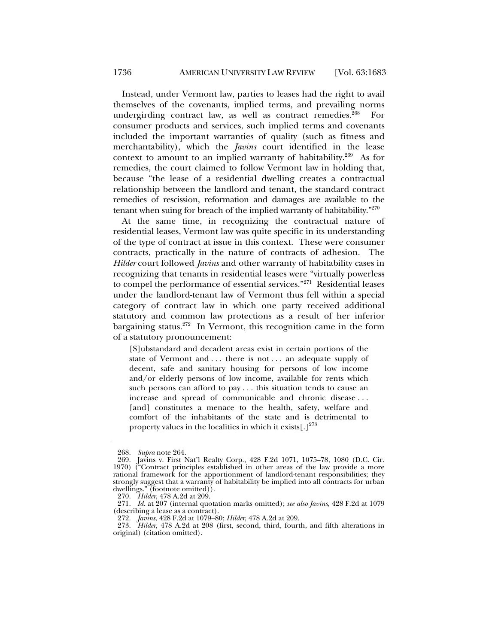Instead, under Vermont law, parties to leases had the right to avail themselves of the covenants, implied terms, and prevailing norms undergirding contract law, as well as contract remedies.<sup>268</sup> For consumer products and services, such implied terms and covenants included the important warranties of quality (such as fitness and merchantability), which the *Javins* court identified in the lease context to amount to an implied warranty of habitability.<sup>269</sup> As for remedies, the court claimed to follow Vermont law in holding that, because "the lease of a residential dwelling creates a contractual relationship between the landlord and tenant, the standard contract remedies of rescission, reformation and damages are available to the tenant when suing for breach of the implied warranty of habitability."270

At the same time, in recognizing the contractual nature of residential leases, Vermont law was quite specific in its understanding of the type of contract at issue in this context. These were consumer contracts, practically in the nature of contracts of adhesion. The *Hilder* court followed *Javins* and other warranty of habitability cases in recognizing that tenants in residential leases were "virtually powerless to compel the performance of essential services."<sup>271</sup> Residential leases under the landlord-tenant law of Vermont thus fell within a special category of contract law in which one party received additional statutory and common law protections as a result of her inferior bargaining status.272 In Vermont, this recognition came in the form of a statutory pronouncement:

[S]ubstandard and decadent areas exist in certain portions of the state of Vermont and ... there is not ... an adequate supply of decent, safe and sanitary housing for persons of low income and/or elderly persons of low income, available for rents which such persons can afford to pay . . . this situation tends to cause an increase and spread of communicable and chronic disease . . . [and] constitutes a menace to the health, safety, welfare and comfort of the inhabitants of the state and is detrimental to property values in the localities in which it exists  $[.]^{273}$ 

 <sup>268.</sup> *Supra* note 264.

 <sup>269.</sup> Javins v. First Nat'l Realty Corp., 428 F.2d 1071, 1075–78, 1080 (D.C. Cir. 1970) ("Contract principles established in other areas of the law provide a more rational framework for the apportionment of landlord-tenant responsibilities; they strongly suggest that a warranty of habitability be implied into all contracts for urban dwellings." (footnote omitted)).

 <sup>270.</sup> *Hilder*, 478 A.2d at 209.

 <sup>271.</sup> *Id.* at 207 (internal quotation marks omitted); *see also Javins*, 428 F.2d at 1079 (describing a lease as a contract).

 <sup>272.</sup> *Javins*, 428 F.2d at 1079–80; *Hilder*, 478 A.2d at 209.

 <sup>273.</sup> *Hilder*, 478 A.2d at 208 (first, second, third, fourth, and fifth alterations in original) (citation omitted).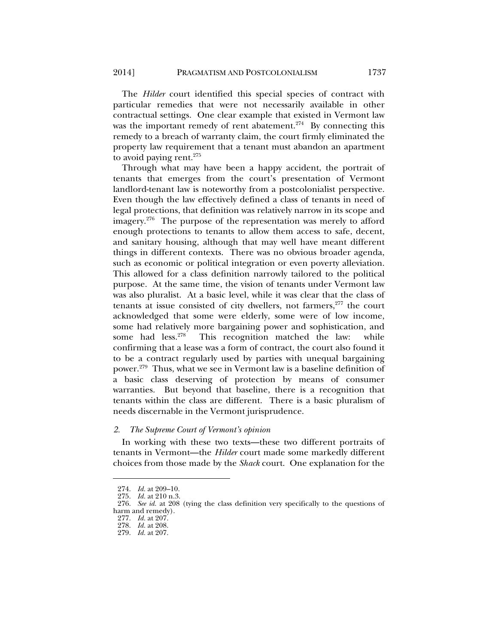The *Hilder* court identified this special species of contract with particular remedies that were not necessarily available in other contractual settings. One clear example that existed in Vermont law was the important remedy of rent abatement.<sup>274</sup> By connecting this remedy to a breach of warranty claim, the court firmly eliminated the property law requirement that a tenant must abandon an apartment to avoid paying rent. $275$ 

Through what may have been a happy accident, the portrait of tenants that emerges from the court's presentation of Vermont landlord-tenant law is noteworthy from a postcolonialist perspective. Even though the law effectively defined a class of tenants in need of legal protections, that definition was relatively narrow in its scope and imagery.<sup>276</sup> The purpose of the representation was merely to afford enough protections to tenants to allow them access to safe, decent, and sanitary housing, although that may well have meant different things in different contexts. There was no obvious broader agenda, such as economic or political integration or even poverty alleviation. This allowed for a class definition narrowly tailored to the political purpose. At the same time, the vision of tenants under Vermont law was also pluralist. At a basic level, while it was clear that the class of tenants at issue consisted of city dwellers, not farmers, $277$  the court acknowledged that some were elderly, some were of low income, some had relatively more bargaining power and sophistication, and some had less.<sup>278</sup> This recognition matched the law: while confirming that a lease was a form of contract, the court also found it to be a contract regularly used by parties with unequal bargaining power.279 Thus, what we see in Vermont law is a baseline definition of a basic class deserving of protection by means of consumer warranties. But beyond that baseline, there is a recognition that tenants within the class are different. There is a basic pluralism of needs discernable in the Vermont jurisprudence.

#### *2. The Supreme Court of Vermont's opinion*

In working with these two texts—these two different portraits of tenants in Vermont—the *Hilder* court made some markedly different choices from those made by the *Shack* court. One explanation for the

 <sup>274.</sup> *Id.* at 209–10.

 <sup>275.</sup> *Id.* at 210 n.3.

 <sup>276.</sup> *See id.* at 208 (tying the class definition very specifically to the questions of harm and remedy).

 <sup>277.</sup> *Id.* at 207.

 <sup>278.</sup> *Id.* at 208.

 <sup>279.</sup> *Id.* at 207.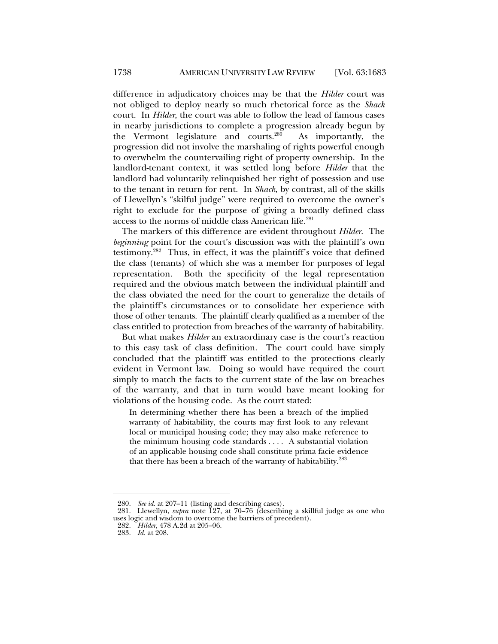difference in adjudicatory choices may be that the *Hilder* court was not obliged to deploy nearly so much rhetorical force as the *Shack* court. In *Hilder*, the court was able to follow the lead of famous cases in nearby jurisdictions to complete a progression already begun by the Vermont legislature and courts.280 As importantly, the progression did not involve the marshaling of rights powerful enough to overwhelm the countervailing right of property ownership. In the landlord-tenant context, it was settled long before *Hilder* that the landlord had voluntarily relinquished her right of possession and use to the tenant in return for rent. In *Shack*, by contrast, all of the skills of Llewellyn's "skilful judge" were required to overcome the owner's right to exclude for the purpose of giving a broadly defined class access to the norms of middle class American life.<sup>281</sup>

The markers of this difference are evident throughout *Hilder*. The *beginning* point for the court's discussion was with the plaintiff's own testimony.282 Thus, in effect, it was the plaintiff's voice that defined the class (tenants) of which she was a member for purposes of legal representation. Both the specificity of the legal representation required and the obvious match between the individual plaintiff and the class obviated the need for the court to generalize the details of the plaintiff's circumstances or to consolidate her experience with those of other tenants. The plaintiff clearly qualified as a member of the class entitled to protection from breaches of the warranty of habitability.

But what makes *Hilder* an extraordinary case is the court's reaction to this easy task of class definition. The court could have simply concluded that the plaintiff was entitled to the protections clearly evident in Vermont law. Doing so would have required the court simply to match the facts to the current state of the law on breaches of the warranty, and that in turn would have meant looking for violations of the housing code. As the court stated:

In determining whether there has been a breach of the implied warranty of habitability, the courts may first look to any relevant local or municipal housing code; they may also make reference to the minimum housing code standards . . . . A substantial violation of an applicable housing code shall constitute prima facie evidence that there has been a breach of the warranty of habitability.<sup>283</sup>

 <sup>280.</sup> *See id.* at 207–11 (listing and describing cases).

 <sup>281.</sup> Llewellyn, *supra* note 127, at 70–76 (describing a skillful judge as one who uses logic and wisdom to overcome the barriers of precedent).

 <sup>282.</sup> *Hilder*, 478 A.2d at 205–06.

 <sup>283.</sup> *Id.* at 208.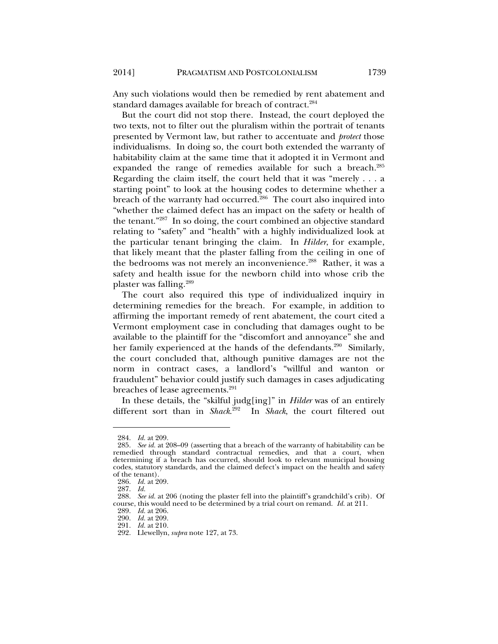Any such violations would then be remedied by rent abatement and standard damages available for breach of contract.<sup>284</sup>

But the court did not stop there. Instead, the court deployed the two texts, not to filter out the pluralism within the portrait of tenants presented by Vermont law, but rather to accentuate and *protect* those individualisms. In doing so, the court both extended the warranty of habitability claim at the same time that it adopted it in Vermont and expanded the range of remedies available for such a breach.<sup>285</sup> Regarding the claim itself, the court held that it was "merely . . . a starting point" to look at the housing codes to determine whether a breach of the warranty had occurred.<sup>286</sup> The court also inquired into "whether the claimed defect has an impact on the safety or health of the tenant."287 In so doing, the court combined an objective standard relating to "safety" and "health" with a highly individualized look at the particular tenant bringing the claim. In *Hilder*, for example, that likely meant that the plaster falling from the ceiling in one of the bedrooms was not merely an inconvenience.<sup>288</sup> Rather, it was a safety and health issue for the newborn child into whose crib the plaster was falling.289

The court also required this type of individualized inquiry in determining remedies for the breach. For example, in addition to affirming the important remedy of rent abatement, the court cited a Vermont employment case in concluding that damages ought to be available to the plaintiff for the "discomfort and annoyance" she and her family experienced at the hands of the defendants.<sup>290</sup> Similarly, the court concluded that, although punitive damages are not the norm in contract cases, a landlord's "willful and wanton or fraudulent" behavior could justify such damages in cases adjudicating breaches of lease agreements.<sup>291</sup>

In these details, the "skilful judg[ing]" in *Hilder* was of an entirely different sort than in *Shack*. 292 In *Shack*, the court filtered out

 <sup>284.</sup> *Id.* at 209.

 <sup>285.</sup> *See id.* at 208–09 (asserting that a breach of the warranty of habitability can be remedied through standard contractual remedies, and that a court, when determining if a breach has occurred, should look to relevant municipal housing codes, statutory standards, and the claimed defect's impact on the health and safety of the tenant).

 <sup>286.</sup> *Id.* at 209.

 <sup>287.</sup> *Id.* 

 <sup>288.</sup> *See id.* at 206 (noting the plaster fell into the plaintiff's grandchild's crib). Of course, this would need to be determined by a trial court on remand. *Id.* at 211.

 <sup>289.</sup> *Id.* at 206.

 <sup>290.</sup> *Id.* at 209.

 <sup>291.</sup> *Id.* at 210.

 <sup>292.</sup> Llewellyn, *supra* note 127, at 73.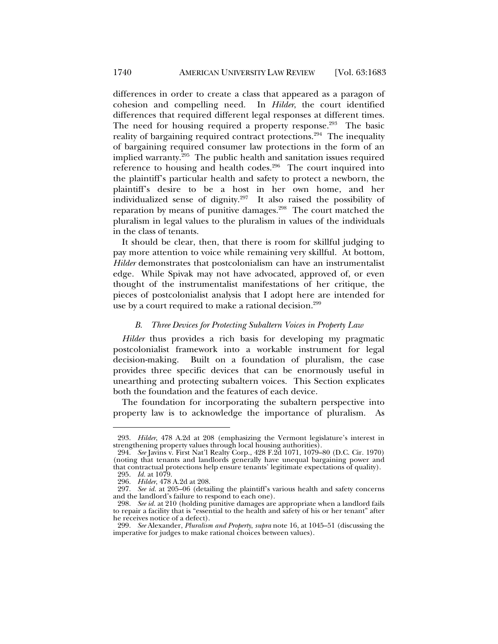differences in order to create a class that appeared as a paragon of cohesion and compelling need. In *Hilder*, the court identified differences that required different legal responses at different times. The need for housing required a property response.<sup>293</sup> The basic reality of bargaining required contract protections.<sup>294</sup> The inequality of bargaining required consumer law protections in the form of an implied warranty.<sup>295</sup> The public health and sanitation issues required reference to housing and health codes.<sup>296</sup> The court inquired into the plaintiff's particular health and safety to protect a newborn, the plaintiff's desire to be a host in her own home, and her individualized sense of dignity.297 It also raised the possibility of reparation by means of punitive damages.298 The court matched the pluralism in legal values to the pluralism in values of the individuals in the class of tenants.

It should be clear, then, that there is room for skillful judging to pay more attention to voice while remaining very skillful. At bottom, *Hilder* demonstrates that postcolonialism can have an instrumentalist edge. While Spivak may not have advocated, approved of, or even thought of the instrumentalist manifestations of her critique, the pieces of postcolonialist analysis that I adopt here are intended for use by a court required to make a rational decision.<sup>299</sup>

#### *B. Three Devices for Protecting Subaltern Voices in Property Law*

*Hilder* thus provides a rich basis for developing my pragmatic postcolonialist framework into a workable instrument for legal decision-making. Built on a foundation of pluralism, the case provides three specific devices that can be enormously useful in unearthing and protecting subaltern voices. This Section explicates both the foundation and the features of each device.

The foundation for incorporating the subaltern perspective into property law is to acknowledge the importance of pluralism. As

 <sup>293.</sup> *Hilder*, 478 A.2d at 208 (emphasizing the Vermont legislature's interest in strengthening property values through local housing authorities).

 <sup>294.</sup> *See* Javins v. First Nat'l Realty Corp., 428 F.2d 1071, 1079–80 (D.C. Cir. 1970) (noting that tenants and landlords generally have unequal bargaining power and that contractual protections help ensure tenants' legitimate expectations of quality). 295. *Id.* at 1079.

 <sup>296.</sup> *Hilder*, 478 A.2d at 208.

 <sup>297.</sup> *See id.* at 205–06 (detailing the plaintiff's various health and safety concerns and the landlord's failure to respond to each one).

 <sup>298.</sup> *See id.* at 210 (holding punitive damages are appropriate when a landlord fails to repair a facility that is "essential to the health and safety of his or her tenant" after he receives notice of a defect).

 <sup>299.</sup> *See* Alexander, *Pluralism and Property*, *supra* note 16, at 1045–51 (discussing the imperative for judges to make rational choices between values).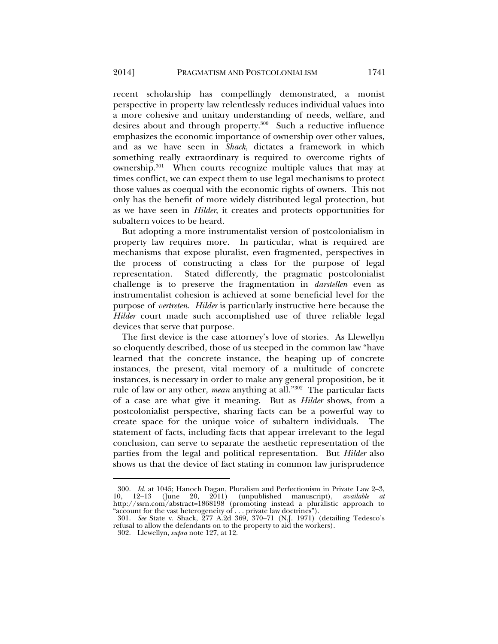recent scholarship has compellingly demonstrated, a monist perspective in property law relentlessly reduces individual values into a more cohesive and unitary understanding of needs, welfare, and desires about and through property.<sup>300</sup> Such a reductive influence emphasizes the economic importance of ownership over other values, and as we have seen in *Shack*, dictates a framework in which something really extraordinary is required to overcome rights of ownership.301 When courts recognize multiple values that may at times conflict, we can expect them to use legal mechanisms to protect those values as coequal with the economic rights of owners. This not only has the benefit of more widely distributed legal protection, but as we have seen in *Hilder*, it creates and protects opportunities for subaltern voices to be heard.

But adopting a more instrumentalist version of postcolonialism in property law requires more. In particular, what is required are mechanisms that expose pluralist, even fragmented, perspectives in the process of constructing a class for the purpose of legal representation. Stated differently, the pragmatic postcolonialist challenge is to preserve the fragmentation in *darstellen* even as instrumentalist cohesion is achieved at some beneficial level for the purpose of *vertreten*. *Hilder* is particularly instructive here because the *Hilder* court made such accomplished use of three reliable legal devices that serve that purpose.

The first device is the case attorney's love of stories. As Llewellyn so eloquently described, those of us steeped in the common law "have learned that the concrete instance, the heaping up of concrete instances, the present, vital memory of a multitude of concrete instances, is necessary in order to make any general proposition, be it rule of law or any other, *mean* anything at all."302 The particular facts of a case are what give it meaning. But as *Hilder* shows, from a postcolonialist perspective, sharing facts can be a powerful way to create space for the unique voice of subaltern individuals. The statement of facts, including facts that appear irrelevant to the legal conclusion, can serve to separate the aesthetic representation of the parties from the legal and political representation. But *Hilder* also shows us that the device of fact stating in common law jurisprudence

 <sup>300.</sup> *Id.* at 1045; Hanoch Dagan, Pluralism and Perfectionism in Private Law 2–3, 10, 12–13 (June 20, 2011) (unpublished manuscript), *available at* http://ssrn.com/abstract=1868198 (promoting instead a pluralistic approach to "account for the vast heterogeneity of . . . private law doctrines").

 <sup>301.</sup> *See* State v. Shack, 277 A.2d 369, 370–71 (N.J. 1971) (detailing Tedesco's refusal to allow the defendants on to the property to aid the workers).

 <sup>302.</sup> Llewellyn, *supra* note 127, at 12.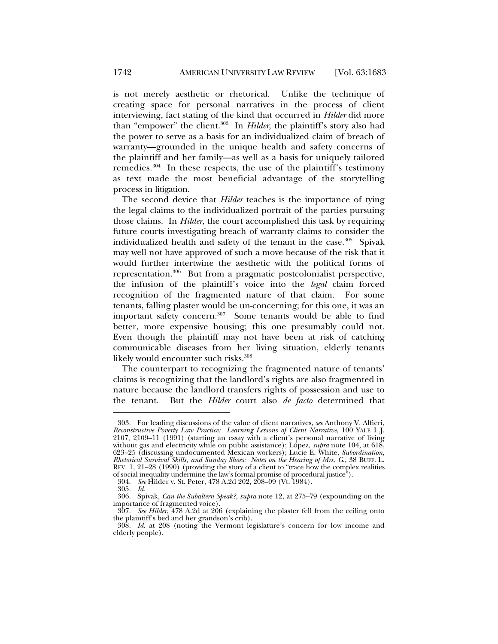is not merely aesthetic or rhetorical. Unlike the technique of creating space for personal narratives in the process of client interviewing, fact stating of the kind that occurred in *Hilder* did more than "empower" the client.303 In *Hilder*, the plaintiff's story also had the power to serve as a basis for an individualized claim of breach of warranty—grounded in the unique health and safety concerns of the plaintiff and her family—as well as a basis for uniquely tailored remedies. $304$  In these respects, the use of the plaintiff's testimony as text made the most beneficial advantage of the storytelling process in litigation.

The second device that *Hilder* teaches is the importance of tying the legal claims to the individualized portrait of the parties pursuing those claims. In *Hilder*, the court accomplished this task by requiring future courts investigating breach of warranty claims to consider the individualized health and safety of the tenant in the case.<sup>305</sup> Spivak may well not have approved of such a move because of the risk that it would further intertwine the aesthetic with the political forms of representation.306 But from a pragmatic postcolonialist perspective, the infusion of the plaintiff's voice into the *legal* claim forced recognition of the fragmented nature of that claim. For some tenants, falling plaster would be un-concerning; for this one, it was an important safety concern.<sup>307</sup> Some tenants would be able to find better, more expensive housing; this one presumably could not. Even though the plaintiff may not have been at risk of catching communicable diseases from her living situation, elderly tenants likely would encounter such risks.308

The counterpart to recognizing the fragmented nature of tenants' claims is recognizing that the landlord's rights are also fragmented in nature because the landlord transfers rights of possession and use to the tenant. But the *Hilder* court also *de facto* determined that

 <sup>303.</sup> For leading discussions of the value of client narratives, *see* Anthony V. Alfieri, *Reconstructive Poverty Law Practice: Learning Lessons of Client Narrative*, 100 YALE L.J. 2107, 2109–11 (1991) (starting an essay with a client's personal narrative of living without gas and electricity while on public assistance); López, *supra* note 104, at 618, 623–25 (discussing undocumented Mexican workers); Lucie E. White, *Subordination, Rhetorical Survival Skills, and Sunday Shoes: Notes on the Hearing of Mrs. G*., 38 BUFF. L. REV. 1, 21–28 (1990) (providing the story of a client to "trace how the complex realities of social inequality undermine the law's formal promise of procedural justice").

 <sup>304.</sup> *See* Hilder v. St. Peter, 478 A.2d 202, 208–09 (Vt. 1984).

 <sup>305.</sup> *Id.*

 <sup>306.</sup> Spivak, *Can the Subaltern Speak?*, *supra* note 12, at 275–79 (expounding on the importance of fragmented voice).

 <sup>307.</sup> *See Hilder*, 478 A.2d at 206 (explaining the plaster fell from the ceiling onto the plaintiff's bed and her grandson's crib).

 <sup>308.</sup> *Id.* at 208 (noting the Vermont legislature's concern for low income and elderly people).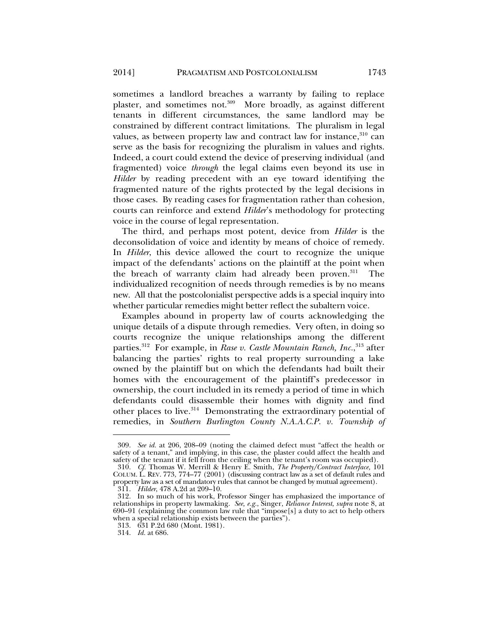sometimes a landlord breaches a warranty by failing to replace plaster, and sometimes not.309 More broadly, as against different tenants in different circumstances, the same landlord may be constrained by different contract limitations. The pluralism in legal values, as between property law and contract law for instance,  $310$  can serve as the basis for recognizing the pluralism in values and rights. Indeed, a court could extend the device of preserving individual (and fragmented) voice *through* the legal claims even beyond its use in *Hilder* by reading precedent with an eye toward identifying the fragmented nature of the rights protected by the legal decisions in those cases. By reading cases for fragmentation rather than cohesion, courts can reinforce and extend *Hilder*'s methodology for protecting voice in the course of legal representation.

The third, and perhaps most potent, device from *Hilder* is the deconsolidation of voice and identity by means of choice of remedy. In *Hilder*, this device allowed the court to recognize the unique impact of the defendants' actions on the plaintiff at the point when the breach of warranty claim had already been proven.<sup>311</sup> The individualized recognition of needs through remedies is by no means new. All that the postcolonialist perspective adds is a special inquiry into whether particular remedies might better reflect the subaltern voice.

Examples abound in property law of courts acknowledging the unique details of a dispute through remedies. Very often, in doing so courts recognize the unique relationships among the different parties.312 For example, in *Rase v. Castle Mountain Ranch, Inc.*, 313 after balancing the parties' rights to real property surrounding a lake owned by the plaintiff but on which the defendants had built their homes with the encouragement of the plaintiff's predecessor in ownership, the court included in its remedy a period of time in which defendants could disassemble their homes with dignity and find other places to live.<sup>314</sup> Demonstrating the extraordinary potential of remedies, in *Southern Burlington County N.A.A.C.P. v. Township of* 

 <sup>309.</sup> *See id.* at 206, 208–09 (noting the claimed defect must "affect the health or safety of a tenant," and implying, in this case, the plaster could affect the health and safety of the tenant if it fell from the ceiling when the tenant's room was occupied).

 <sup>310.</sup> *Cf.* Thomas W. Merrill & Henry E. Smith, *The Property/Contract Interface,* 101 COLUM. L. REV. 773, 774–77 (2001) (discussing contract law as a set of default rules and property law as a set of mandatory rules that cannot be changed by mutual agreement).

 <sup>311.</sup> *Hilder*, 478 A.2d at 209–10.

 <sup>312.</sup> In so much of his work, Professor Singer has emphasized the importance of relationships in property lawmaking. *See, e.g.*, Singer, *Reliance Interest*, *supra* note 8, at 690–91 (explaining the common law rule that "impose[s] a duty to act to help others when a special relationship exists between the parties").

 <sup>313. 631</sup> P.2d 680 (Mont. 1981).

 <sup>314.</sup> *Id.* at 686.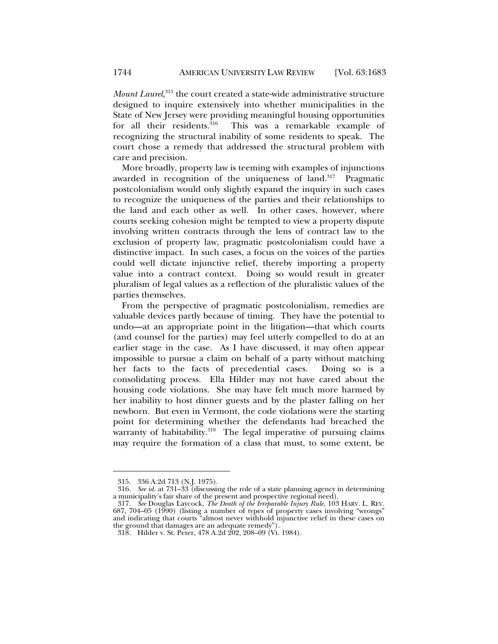*Mount Laurel*, 315 the court created a state-wide administrative structure designed to inquire extensively into whether municipalities in the State of New Jersey were providing meaningful housing opportunities<br>for all their residents.<sup>316</sup> This was a remarkable example of This was a remarkable example of recognizing the structural inability of some residents to speak. The court chose a remedy that addressed the structural problem with care and precision.

More broadly, property law is teeming with examples of injunctions awarded in recognition of the uniqueness of land.<sup>317</sup> Pragmatic postcolonialism would only slightly expand the inquiry in such cases to recognize the uniqueness of the parties and their relationships to the land and each other as well. In other cases, however, where courts seeking cohesion might be tempted to view a property dispute involving written contracts through the lens of contract law to the exclusion of property law, pragmatic postcolonialism could have a distinctive impact. In such cases, a focus on the voices of the parties could well dictate injunctive relief, thereby importing a property value into a contract context. Doing so would result in greater pluralism of legal values as a reflection of the pluralistic values of the parties themselves.

From the perspective of pragmatic postcolonialism, remedies are valuable devices partly because of timing. They have the potential to undo—at an appropriate point in the litigation—that which courts (and counsel for the parties) may feel utterly compelled to do at an earlier stage in the case. As I have discussed, it may often appear impossible to pursue a claim on behalf of a party without matching her facts to the facts of precedential cases. Doing so is a consolidating process. Ella Hilder may not have cared about the housing code violations. She may have felt much more harmed by her inability to host dinner guests and by the plaster falling on her newborn. But even in Vermont, the code violations were the starting point for determining whether the defendants had breached the warranty of habitability. $318$  The legal imperative of pursuing claims may require the formation of a class that must, to some extent, be

 <sup>315. 336</sup> A.2d 713 (N.J. 1975).

 <sup>316.</sup> *See id.* at 731–33 (discussing the role of a state planning agency in determining a municipality's fair share of the present and prospective regional need).

 <sup>317.</sup> *See* Douglas Laycock, *The Death of the Irreparable Injury Rule*, 103 HARV. L. REV. 687, 704–05 (1990) (listing a number of types of property cases involving "wrongs" and indicating that courts "almost never withhold injunctive relief in these cases on the ground that damages are an adequate remedy").

 <sup>318.</sup> Hilder v. St. Peter, 478 A.2d 202, 208–09 (Vt. 1984).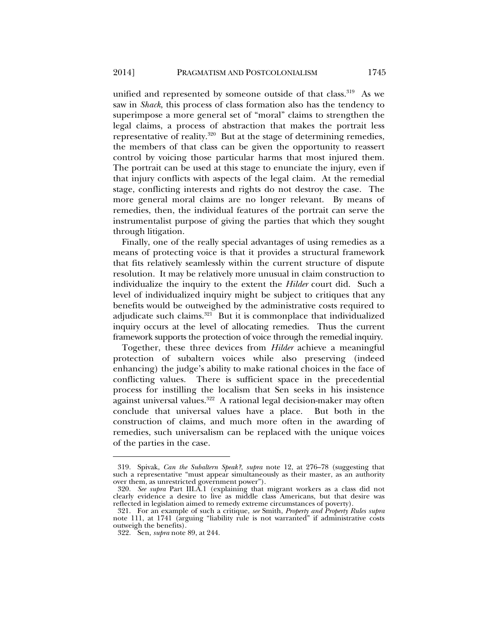unified and represented by someone outside of that class.<sup>319</sup> As we saw in *Shack*, this process of class formation also has the tendency to superimpose a more general set of "moral" claims to strengthen the legal claims, a process of abstraction that makes the portrait less representative of reality.320 But at the stage of determining remedies, the members of that class can be given the opportunity to reassert control by voicing those particular harms that most injured them. The portrait can be used at this stage to enunciate the injury, even if that injury conflicts with aspects of the legal claim. At the remedial stage, conflicting interests and rights do not destroy the case. The more general moral claims are no longer relevant. By means of remedies, then, the individual features of the portrait can serve the instrumentalist purpose of giving the parties that which they sought through litigation.

Finally, one of the really special advantages of using remedies as a means of protecting voice is that it provides a structural framework that fits relatively seamlessly within the current structure of dispute resolution. It may be relatively more unusual in claim construction to individualize the inquiry to the extent the *Hilder* court did. Such a level of individualized inquiry might be subject to critiques that any benefits would be outweighed by the administrative costs required to adjudicate such claims. $321$  But it is commonplace that individualized inquiry occurs at the level of allocating remedies. Thus the current framework supports the protection of voice through the remedial inquiry.

Together, these three devices from *Hilder* achieve a meaningful protection of subaltern voices while also preserving (indeed enhancing) the judge's ability to make rational choices in the face of conflicting values. There is sufficient space in the precedential process for instilling the localism that Sen seeks in his insistence against universal values.<sup>322</sup> A rational legal decision-maker may often conclude that universal values have a place. But both in the construction of claims, and much more often in the awarding of remedies, such universalism can be replaced with the unique voices of the parties in the case.

 <sup>319.</sup> Spivak, *Can the Subaltern Speak?*, *supra* note 12, at 276–78 (suggesting that such a representative "must appear simultaneously as their master, as an authority over them, as unrestricted government power").

 <sup>320.</sup> *See supra* Part III.A.1 (explaining that migrant workers as a class did not clearly evidence a desire to live as middle class Americans, but that desire was reflected in legislation aimed to remedy extreme circumstances of poverty).

 <sup>321.</sup> For an example of such a critique, *see* Smith, *Property and Property Rules supra* note 111, at 1741 (arguing "liability rule is not warranted" if administrative costs outweigh the benefits).

 <sup>322.</sup> Sen, *supra* note 89, at 244.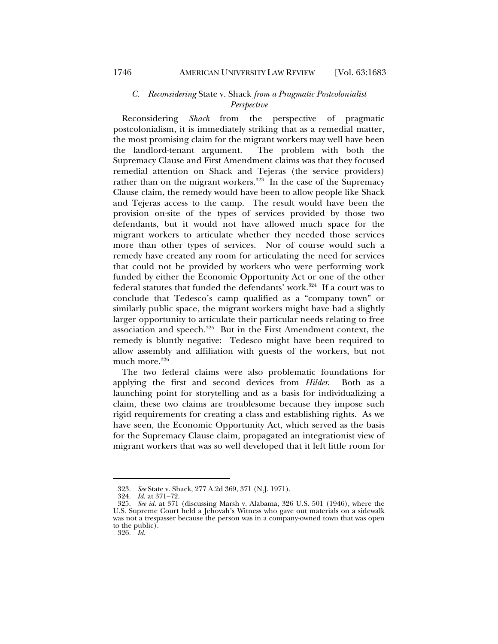# *C. Reconsidering* State v. Shack *from a Pragmatic Postcolonialist Perspective*

Reconsidering *Shack* from the perspective of pragmatic postcolonialism, it is immediately striking that as a remedial matter, the most promising claim for the migrant workers may well have been the landlord-tenant argument. The problem with both the Supremacy Clause and First Amendment claims was that they focused remedial attention on Shack and Tejeras (the service providers) rather than on the migrant workers.<sup>323</sup> In the case of the Supremacy Clause claim, the remedy would have been to allow people like Shack and Tejeras access to the camp. The result would have been the provision on-site of the types of services provided by those two defendants, but it would not have allowed much space for the migrant workers to articulate whether they needed those services more than other types of services. Nor of course would such a remedy have created any room for articulating the need for services that could not be provided by workers who were performing work funded by either the Economic Opportunity Act or one of the other federal statutes that funded the defendants' work.<sup>324</sup> If a court was to conclude that Tedesco's camp qualified as a "company town" or similarly public space, the migrant workers might have had a slightly larger opportunity to articulate their particular needs relating to free association and speech.<sup>325</sup> But in the First Amendment context, the remedy is bluntly negative: Tedesco might have been required to allow assembly and affiliation with guests of the workers, but not much more.<sup>326</sup>

The two federal claims were also problematic foundations for applying the first and second devices from *Hilder*. Both as a launching point for storytelling and as a basis for individualizing a claim, these two claims are troublesome because they impose such rigid requirements for creating a class and establishing rights. As we have seen, the Economic Opportunity Act, which served as the basis for the Supremacy Clause claim, propagated an integrationist view of migrant workers that was so well developed that it left little room for

 <sup>323.</sup> *See* State v. Shack, 277 A.2d 369, 371 (N.J. 1971).

 <sup>324.</sup> *Id.* at 371–72.

 <sup>325.</sup> *See id.* at 371 (discussing Marsh v. Alabama, 326 U.S. 501 (1946), where the U.S. Supreme Court held a Jehovah's Witness who gave out materials on a sidewalk was not a trespasser because the person was in a company-owned town that was open to the public).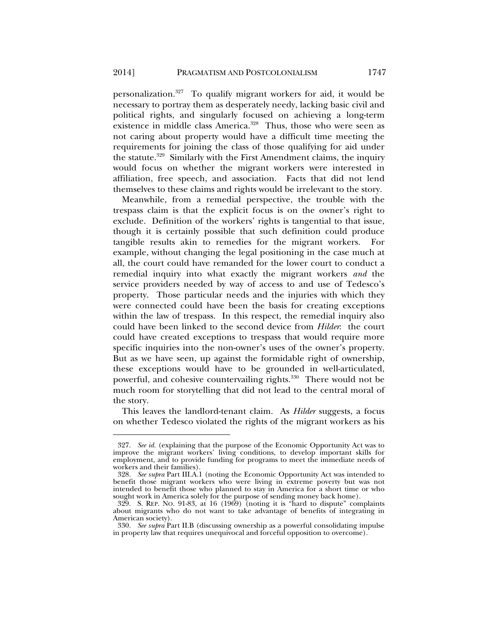personalization.327 To qualify migrant workers for aid, it would be necessary to portray them as desperately needy, lacking basic civil and political rights, and singularly focused on achieving a long-term existence in middle class America.<sup>328</sup> Thus, those who were seen as not caring about property would have a difficult time meeting the requirements for joining the class of those qualifying for aid under the statute. $329$  Similarly with the First Amendment claims, the inquiry would focus on whether the migrant workers were interested in affiliation, free speech, and association. Facts that did not lend themselves to these claims and rights would be irrelevant to the story.

Meanwhile, from a remedial perspective, the trouble with the trespass claim is that the explicit focus is on the owner's right to exclude. Definition of the workers' rights is tangential to that issue, though it is certainly possible that such definition could produce tangible results akin to remedies for the migrant workers. For example, without changing the legal positioning in the case much at all, the court could have remanded for the lower court to conduct a remedial inquiry into what exactly the migrant workers *and* the service providers needed by way of access to and use of Tedesco's property. Those particular needs and the injuries with which they were connected could have been the basis for creating exceptions within the law of trespass. In this respect, the remedial inquiry also could have been linked to the second device from *Hilder*: the court could have created exceptions to trespass that would require more specific inquiries into the non-owner's uses of the owner's property. But as we have seen, up against the formidable right of ownership, these exceptions would have to be grounded in well-articulated, powerful, and cohesive countervailing rights.<sup>330</sup> There would not be much room for storytelling that did not lead to the central moral of the story.

This leaves the landlord-tenant claim. As *Hilder* suggests, a focus on whether Tedesco violated the rights of the migrant workers as his

 <sup>327.</sup> *See id.* (explaining that the purpose of the Economic Opportunity Act was to improve the migrant workers' living conditions, to develop important skills for employment, and to provide funding for programs to meet the immediate needs of workers and their families).

 <sup>328.</sup> *See supra* Part III.A.1 (noting the Economic Opportunity Act was intended to benefit those migrant workers who were living in extreme poverty but was not intended to benefit those who planned to stay in America for a short time or who sought work in America solely for the purpose of sending money back home).

 <sup>329.</sup> S. REP. NO. 91-83, at 16 (1969) (noting it is "hard to dispute" complaints about migrants who do not want to take advantage of benefits of integrating in American society).

 <sup>330.</sup> *See supra* Part II.B (discussing ownership as a powerful consolidating impulse in property law that requires unequivocal and forceful opposition to overcome).